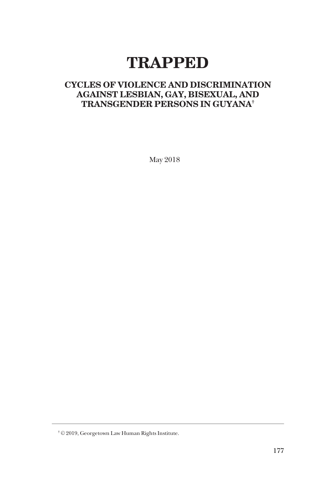# **TRAPPED**

# **CYCLES OF VIOLENCE AND DISCRIMINATION AGAINST LESBIAN, GAY, BISEXUAL, AND TRANSGENDER PERSONS IN GUYANA†**

May 2018

 $^+\mathbb{O}$  2019, Georgetown Law Human Rights Institute.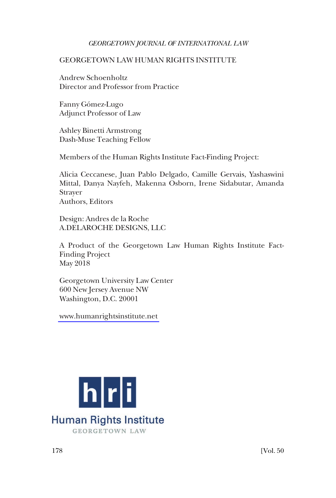# GEORGETOWN LAW HUMAN RIGHTS INSTITUTE

Andrew Schoenholtz Director and Professor from Practice

Fanny Gómez-Lugo Adjunct Professor of Law

Ashley Binetti Armstrong Dash-Muse Teaching Fellow

Members of the Human Rights Institute Fact-Finding Project:

Alicia Ceccanese, Juan Pablo Delgado, Camille Gervais, Yashaswini Mittal, Danya Nayfeh, Makenna Osborn, Irene Sidabutar, Amanda Strayer Authors, Editors

Design: Andres de la Roche A.DELAROCHE DESIGNS, LLC

A Product of the Georgetown Law Human Rights Institute Fact-Finding Project May 2018

Georgetown University Law Center 600 New Jersey Avenue NW Washington, D.C. 20001

[www.humanrightsinstitute.net](http://www.humanrightsinstitute.net) 

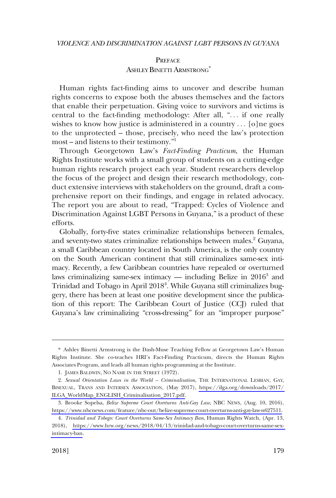# **PREFACE** ASHLEY BINETTI ARMSTRONG<sup>\*</sup>

<span id="page-2-0"></span>Human rights fact-finding aims to uncover and describe human rights concerns to expose both the abuses themselves and the factors that enable their perpetuation. Giving voice to survivors and victims is central to the fact-finding methodology: After all, ". . . if one really wishes to know how justice is administered in a country  $\ldots$  [o]ne goes to the unprotected – those, precisely, who need the law's protection most – and listens to their testimony."<sup>1</sup>

Through Georgetown Law's *Fact-Finding Practicum*, the Human Rights Institute works with a small group of students on a cutting-edge human rights research project each year. Student researchers develop the focus of the project and design their research methodology, conduct extensive interviews with stakeholders on the ground, draft a comprehensive report on their findings, and engage in related advocacy. The report you are about to read, "Trapped: Cycles of Violence and Discrimination Against LGBT Persons in Guyana," is a product of these efforts.

Globally, forty-five states criminalize relationships between females, and seventy-two states criminalize relationships between males.<sup>2</sup> Guyana, a small Caribbean country located in South America, is the only country on the South American continent that still criminalizes same-sex intimacy. Recently, a few Caribbean countries have repealed or overturned laws criminalizing same-sex intimacy — including Belize in  $2016<sup>3</sup>$  and Trinidad and Tobago in April 20184 . While Guyana still criminalizes buggery, there has been at least one positive development since the publication of this report: The Caribbean Court of Justice (CCJ) ruled that Guyana's law criminalizing "cross-dressing" for an "improper purpose"

<sup>\*</sup> Ashley Binetti Armstrong is the Dash-Muse Teaching Fellow at Georgetown Law's Human Rights Institute. She co-teaches HRI's Fact-Finding Practicum, directs the Human Rights Associates Program, and leads all human rights programming at the Institute.

<sup>1.</sup> JAMES BALDWIN, NO NAME IN THE STREET (1972).

*Sexual Orientation Laws in the World – Criminalisation*, THE INTERNATIONAL LESBIAN, GAY, 2. BISEXUAL, TRANS AND INTERSEX ASSOCIATION, (May 2017), [https://ilga.org/downloads/2017/](https://ilga.org/downloads/2017/ILGA_WorldMap_ENGLISH_Criminalisation_2017.pdf)  [ILGA\\_WorldMap\\_ENGLISH\\_Criminalisation\\_2017.pdf.](https://ilga.org/downloads/2017/ILGA_WorldMap_ENGLISH_Criminalisation_2017.pdf)

Brooke Sopelsa, *Belize Supreme Court Overturns Anti-Gay Law*, NBC NEWS, (Aug. 10, 2016), 3. [https://www.nbcnews.com/feature/nbc-out/belize-supreme-court-overturns-anti-gay-law-n627511.](https://www.nbcnews.com/feature/nbc-out/belize-supreme-court-overturns-anti-gay-law-n627511)

*Trinidad and Tobego: Court Overturns Same-Sex Intimacy Ban*, Human Rights Watch, (Apr. 13, 4. 2018), [https://www.hrw.org/news/2018/04/13/trinidad-and-tobago-court-overturns-same-sex](https://www.hrw.org/news/2018/04/13/trinidad-and-tobago-court-overturns-same-sex-intimacy-ban)[intimacy-ban](https://www.hrw.org/news/2018/04/13/trinidad-and-tobago-court-overturns-same-sex-intimacy-ban).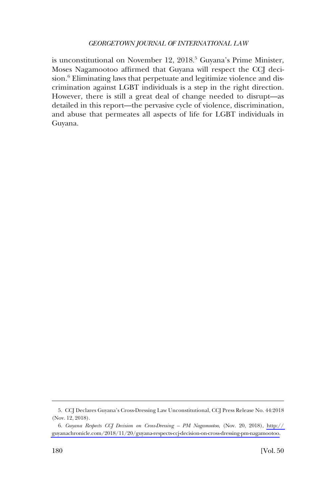is unconstitutional on November 12, 2018.<sup>5</sup> Guyana's Prime Minister, Moses Nagamootoo affirmed that Guyana will respect the CCJ decision.<sup>6</sup> Eliminating laws that perpetuate and legitimize violence and discrimination against LGBT individuals is a step in the right direction. However, there is still a great deal of change needed to disrupt—as detailed in this report—the pervasive cycle of violence, discrimination, and abuse that permeates all aspects of life for LGBT individuals in Guyana.

<sup>5.</sup> CCJ Declares Guyana's Cross-Dressing Law Unconstitutional, CCJ Press Release No. 44:2018 (Nov. 12, 2018).

*Guyana Respects CCJ Decision on Cross-Dressing – PM Nagamootoo*, (Nov. 20, 2018), [http://](http://guyanachronicle.com/2018/11/20/guyana-respects-ccj-decision-on-cross-dressing-pm-nagamootoo)  6. [guyanachronicle.com/2018/11/20/guyana-respects-ccj-decision-on-cross-dressing-pm-nagamootoo.](http://guyanachronicle.com/2018/11/20/guyana-respects-ccj-decision-on-cross-dressing-pm-nagamootoo)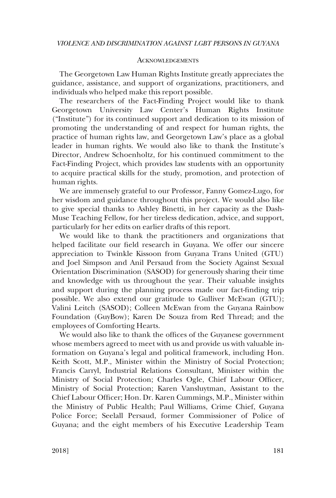#### **ACKNOWLEDGEMENTS**

<span id="page-4-0"></span>The Georgetown Law Human Rights Institute greatly appreciates the guidance, assistance, and support of organizations, practitioners, and individuals who helped make this report possible.

The researchers of the Fact-Finding Project would like to thank Georgetown University Law Center's Human Rights Institute ("Institute") for its continued support and dedication to its mission of promoting the understanding of and respect for human rights, the practice of human rights law, and Georgetown Law's place as a global leader in human rights. We would also like to thank the Institute's Director, Andrew Schoenholtz, for his continued commitment to the Fact-Finding Project, which provides law students with an opportunity to acquire practical skills for the study, promotion, and protection of human rights.

We are immensely grateful to our Professor, Fanny Gomez-Lugo, for her wisdom and guidance throughout this project. We would also like to give special thanks to Ashley Binetti, in her capacity as the Dash-Muse Teaching Fellow, for her tireless dedication, advice, and support, particularly for her edits on earlier drafts of this report.

We would like to thank the practitioners and organizations that helped facilitate our field research in Guyana. We offer our sincere appreciation to Twinkle Kissoon from Guyana Trans United (GTU) and Joel Simpson and Anil Persaud from the Society Against Sexual Orientation Discrimination (SASOD) for generously sharing their time and knowledge with us throughout the year. Their valuable insights and support during the planning process made our fact-finding trip possible. We also extend our gratitude to Gulliver McEwan (GTU); Valini Leitch (SASOD); Colleen McEwan from the Guyana Rainbow Foundation (GuyBow); Karen De Souza from Red Thread; and the employees of Comforting Hearts.

We would also like to thank the offices of the Guyanese government whose members agreed to meet with us and provide us with valuable information on Guyana's legal and political framework, including Hon. Keith Scott, M.P., Minister within the Ministry of Social Protection; Francis Carryl, Industrial Relations Consultant, Minister within the Ministry of Social Protection; Charles Ogle, Chief Labour Officer, Ministry of Social Protection; Karen Vansluytman, Assistant to the Chief Labour Officer; Hon. Dr. Karen Cummings, M.P., Minister within the Ministry of Public Health; Paul Williams, Crime Chief, Guyana Police Force; Seelall Persaud, former Commissioner of Police of Guyana; and the eight members of his Executive Leadership Team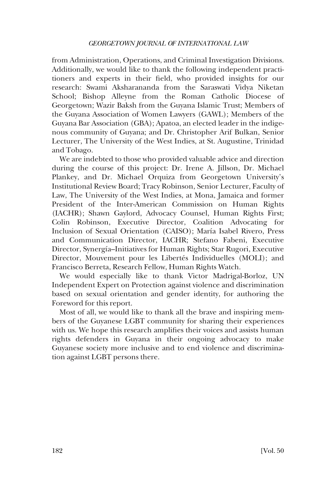from Administration, Operations, and Criminal Investigation Divisions. Additionally, we would like to thank the following independent practitioners and experts in their field, who provided insights for our research: Swami Aksharananda from the Saraswati Vidya Niketan School; Bishop Alleyne from the Roman Catholic Diocese of Georgetown; Wazir Baksh from the Guyana Islamic Trust; Members of the Guyana Association of Women Lawyers (GAWL); Members of the Guyana Bar Association (GBA); Apatoa, an elected leader in the indigenous community of Guyana; and Dr. Christopher Arif Bulkan, Senior Lecturer, The University of the West Indies, at St. Augustine, Trinidad and Tobago.

We are indebted to those who provided valuable advice and direction during the course of this project: Dr. Irene A. Jillson, Dr. Michael Plankey, and Dr. Michael Orquiza from Georgetown University's Institutional Review Board; Tracy Robinson, Senior Lecturer, Faculty of Law, The University of the West Indies, at Mona, Jamaica and former President of the Inter-American Commission on Human Rights (IACHR); Shawn Gaylord, Advocacy Counsel, Human Rights First; Colin Robinson, Executive Director, Coalition Advocating for Inclusion of Sexual Orientation (CAISO); María Isabel Rivero, Press and Communication Director, IACHR; Stefano Fabeni, Executive Director, Synergía–Initiatives for Human Rights; Star Rugori, Executive Director, Mouvement pour les Libertés Individuelles (MOLI); and Francisco Berreta, Research Fellow, Human Rights Watch.

We would especially like to thank Victor Madrigal-Borloz, UN Independent Expert on Protection against violence and discrimination based on sexual orientation and gender identity, for authoring the Foreword for this report.

Most of all, we would like to thank all the brave and inspiring members of the Guyanese LGBT community for sharing their experiences with us. We hope this research amplifies their voices and assists human rights defenders in Guyana in their ongoing advocacy to make Guyanese society more inclusive and to end violence and discrimination against LGBT persons there.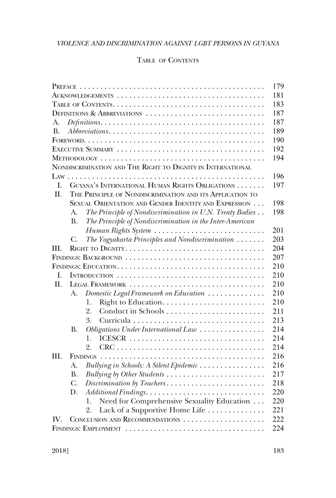# TABLE OF CONTENTS

| 179                                                                   |  |
|-----------------------------------------------------------------------|--|
| 181                                                                   |  |
| 183                                                                   |  |
| 187<br>DEFINITIONS & ABBREVIATIONS                                    |  |
| 187<br>A.                                                             |  |
| 189<br><b>B.</b>                                                      |  |
| 190                                                                   |  |
| 192                                                                   |  |
| 194                                                                   |  |
| NONDISCRIMINATION AND THE RIGHT TO DIGNITY IN INTERNATIONAL           |  |
| 196                                                                   |  |
| GUYANA'S INTERNATIONAL HUMAN RIGHTS OBLIGATIONS<br>L<br>197           |  |
| II.<br>THE PRINCIPLE OF NONDISCRIMINATION AND ITS APPLICATION TO      |  |
| SEXUAL ORIENTATION AND GENDER IDENTITY AND EXPRESSION<br>198          |  |
| The Principle of Nondiscrimination in U.N. Treaty Bodies<br>A.<br>198 |  |
| The Principle of Nondiscrimination in the Inter-American<br><b>B.</b> |  |
| 201<br>Human Rights System                                            |  |
| The Yogyakarta Principles and Nondiscrimination<br>203<br>C.          |  |
| 204<br>HI.                                                            |  |
| 207<br>FINDINGS: BACKGROUND                                           |  |
| 210                                                                   |  |
| 210<br>I.                                                             |  |
| 210<br>H.<br>LEGAL FRAMEWORK                                          |  |
| 210<br>Domestic Legal Framework on Education<br>A.                    |  |
| 210<br>1.                                                             |  |
| 2.<br>211                                                             |  |
| 3.<br>213                                                             |  |
| 214<br>Obligations Under International Law<br>В.                      |  |
| 214<br>1.                                                             |  |
| 214<br>2.                                                             |  |
| 216<br>III.                                                           |  |
| 216<br>Bullying in Schools: A Silent Epidemic<br>А.                   |  |
| 217<br>Bullying by Other Students<br>B.                               |  |
| 218<br>C.<br>Discrimination by Teachers                               |  |
| 220<br>D.                                                             |  |
| Need for Comprehensive Sexuality Education<br>220<br>1.               |  |
| Lack of a Supportive Home Life<br>221<br>2.                           |  |
| 222<br>CONCLUSION AND RECOMMENDATIONS<br>IV.                          |  |
| 224<br>FINDINGS: EMPLOYMENT                                           |  |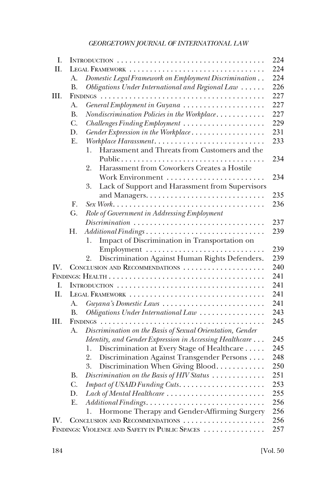| I.                    |                |                                                                                       | 224 |
|-----------------------|----------------|---------------------------------------------------------------------------------------|-----|
| П.                    |                | LEGAL FRAMEWORK                                                                       | 224 |
|                       | A.             | Domestic Legal Framework on Employment Discrimination                                 | 224 |
|                       | В.             | Obligations Under International and Regional Law                                      | 226 |
| III.                  |                |                                                                                       | 227 |
|                       | A.             | General Employment in Guyana                                                          | 227 |
|                       | <b>B.</b>      | Nondiscrimination Policies in the Workplace                                           | 227 |
|                       | C.             | Challenges Finding Employment                                                         | 229 |
|                       | D.             | Gender Expression in the Workplace                                                    | 231 |
|                       | Ε.             | Workplace Harassment                                                                  | 233 |
|                       |                | Harassment and Threats from Customers and the<br>1.                                   |     |
|                       |                | Public                                                                                | 234 |
|                       |                | Harassment from Coworkers Creates a Hostile<br>2.                                     |     |
|                       |                | Work Environment                                                                      | 234 |
|                       |                | Lack of Support and Harassment from Supervisors<br>3.                                 |     |
|                       |                |                                                                                       | 235 |
|                       | $\mathbf{F}$ . |                                                                                       | 236 |
|                       | G.             | Role of Government in Addressing Employment                                           |     |
|                       |                | $Discription \dots \dots \dots \dots \dots \dots \dots \dots \dots \dots \dots \dots$ | 237 |
|                       | Н.             | Additional Findings                                                                   | 239 |
|                       |                | Impact of Discrimination in Transportation on<br>1.                                   |     |
|                       |                |                                                                                       | 239 |
|                       |                | Discrimination Against Human Rights Defenders.<br>2.                                  | 239 |
| $\mathbf{IV}_{\cdot}$ |                | CONCLUSION AND RECOMMENDATIONS                                                        | 240 |
|                       |                |                                                                                       | 241 |
| I.                    |                |                                                                                       | 241 |
| H.                    |                | LEGAL FRAMEWORK                                                                       | 241 |
|                       | А.             | Guyana's Domestic Laws                                                                | 241 |
|                       | <b>B.</b>      | Obligations Under International Law                                                   | 243 |
| III.                  |                |                                                                                       | 245 |
|                       | А.             | Discrimination on the Basis of Sexual Orientation, Gender                             |     |
|                       |                | Identity, and Gender Expression in Accessing Healthcare                               | 245 |
|                       |                | Discrimination at Every Stage of Healthcare<br>1.                                     | 245 |
|                       |                | Discrimination Against Transgender Persons<br>2.                                      | 248 |
|                       |                | Discrimination When Giving Blood                                                      | 250 |
|                       | <b>B.</b>      | Discrimination on the Basis of HIV Status                                             | 251 |
|                       | C.             |                                                                                       | 253 |
|                       | D.             | Lack of Mental Healthcare                                                             | 255 |
|                       | Ε.             |                                                                                       | 256 |
|                       |                | Hormone Therapy and Gender-Affirming Surgery<br>1.                                    | 256 |
| IV.                   |                | CONCLUSION AND RECOMMENDATIONS                                                        | 256 |
|                       |                | FINDINGS: VIOLENCE AND SAFETY IN PUBLIC SPACES                                        | 257 |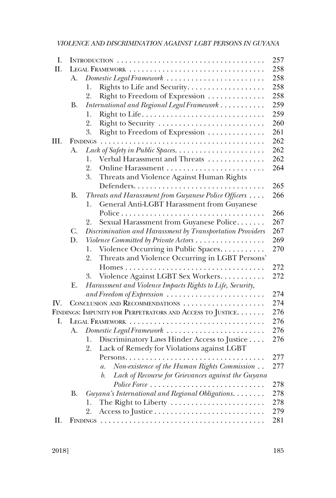| Ι.   |           |                                                           | 257 |
|------|-----------|-----------------------------------------------------------|-----|
| II.  |           |                                                           | 258 |
|      | А.        | Domestic Legal Framework                                  | 258 |
|      |           | Rights to Life and Security.<br>1.                        | 258 |
|      |           | 2.<br>Right to Freedom of Expression                      | 258 |
|      | В.        | International and Regional Legal Framework                | 259 |
|      |           | 1.                                                        | 259 |
|      |           | Right to Security<br>2.                                   | 260 |
|      |           | Right to Freedom of Expression<br>3.                      | 261 |
| III. |           |                                                           | 262 |
|      | A.        |                                                           | 262 |
|      |           | Verbal Harassment and Threats<br>1.                       | 262 |
|      |           | 2.                                                        | 264 |
|      |           | Threats and Violence Against Human Rights<br>3.           |     |
|      |           |                                                           | 265 |
|      | <b>B.</b> | Threats and Harassment from Guyanese Police Officers      | 266 |
|      |           | General Anti-LGBT Harassment from Guyanese<br>1.          |     |
|      |           |                                                           | 266 |
|      |           | Sexual Harassment from Guyanese Police<br>2.              | 267 |
|      | C.        | Discrimination and Harassment by Transportation Providers | 267 |
|      | D.        | Violence Committed by Private Actors                      | 269 |
|      |           | Violence Occurring in Public Spaces<br>1.                 | 270 |
|      |           | Threats and Violence Occurring in LGBT Persons'<br>2.     |     |
|      |           |                                                           | 272 |
|      |           | Violence Against LGBT Sex Workers<br>3.                   | 272 |
|      | Ε.        | Harassment and Violence Impacts Rights to Life, Security, |     |
|      |           | and Freedom of Expression                                 | 274 |
| IV.  |           | CONCLUSION AND RECOMMENDATIONS                            | 274 |
|      |           | FINDINGS: IMPUNITY FOR PERPETRATORS AND ACCESS TO JUSTICE | 276 |
| I.   |           | LEGAL FRAMEWORK                                           | 276 |
|      | A.        | Domestic Legal Framework                                  | 276 |
|      |           | Discriminatory Laws Hinder Access to Justice<br>1.        | 276 |
|      |           | Lack of Remedy for Violations against LGBT<br>2.          |     |
|      |           |                                                           | 277 |
|      |           | Non-existence of the Human Rights Commission<br>а.        | 277 |
|      |           | Lack of Recourse for Grievances against the Guyana<br>b.  |     |
|      |           | Police Force                                              | 278 |
|      | В.        | Guyana's International and Regional Obligations.          | 278 |
|      |           | 1.                                                        | 278 |
|      |           | 2.                                                        | 279 |
| II.  |           |                                                           | 281 |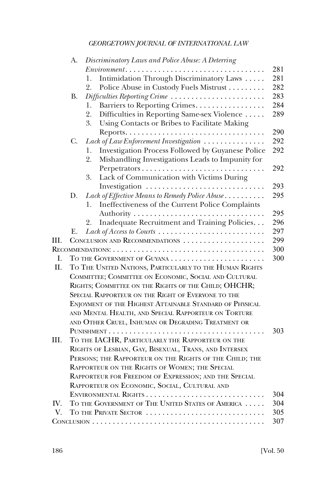|      | А.        | Discriminatory Laws and Police Abuse: A Deterring        |     |
|------|-----------|----------------------------------------------------------|-----|
|      |           | $Environment \dots \dots \dots \dots \dots \dots$<br>.   | 281 |
|      |           | Intimidation Through Discriminatory Laws<br>1.           | 281 |
|      |           | Police Abuse in Custody Fuels Mistrust<br>2.             | 282 |
|      | <b>B.</b> | Difficulties Reporting Crime                             | 283 |
|      |           | Barriers to Reporting Crimes.<br>1.                      | 284 |
|      |           | 2.<br>Difficulties in Reporting Same-sex Violence        | 289 |
|      |           | 3.<br>Using Contacts or Bribes to Facilitate Making      |     |
|      |           |                                                          | 290 |
|      | C.        | Lack of Law Enforcement Investigation                    | 292 |
|      |           | Investigation Process Followed by Guyanese Police<br>1.  | 292 |
|      |           | Mishandling Investigations Leads to Impunity for<br>2.   |     |
|      |           | Perpetrators                                             | 292 |
|      |           | Lack of Communication with Victims During<br>3.          |     |
|      |           |                                                          | 293 |
|      | D.        | Lack of Effective Means to Remedy Police Abuse           | 295 |
|      |           | Ineffectiveness of the Current Police Complaints<br>1.   |     |
|      |           |                                                          | 295 |
|      |           | Inadequate Recruitment and Training Policies.<br>2.      | 296 |
|      | Е.        | Lack of Access to Courts                                 | 297 |
| Ш.   |           | CONCLUSION AND RECOMMENDATIONS                           | 299 |
|      |           |                                                          | 300 |
| I.   |           |                                                          | 300 |
| II.  |           | TO THE UNITED NATIONS, PARTICULARLY TO THE HUMAN RIGHTS  |     |
|      |           | COMMITTEE; COMMITTEE ON ECONOMIC, SOCIAL AND CULTURAL    |     |
|      |           | RIGHTS; COMMITTEE ON THE RIGHTS OF THE CHILD; OHCHR;     |     |
|      |           | SPECIAL RAPPORTEUR ON THE RIGHT OF EVERYONE TO THE       |     |
|      |           | ENJOYMENT OF THE HIGHEST ATTAINABLE STANDARD OF PHYSICAL |     |
|      |           | AND MENTAL HEALTH, AND SPECIAL RAPPORTEUR ON TORTURE     |     |
|      |           | AND OTHER CRUEL, INHUMAN OR DEGRADING TREATMENT OR       |     |
|      |           |                                                          | 303 |
| III. |           | TO THE IACHR, PARTICULARLY THE RAPPORTEUR ON THE         |     |
|      |           | RIGHTS OF LESBIAN, GAY, BISEXUAL, TRANS, AND INTERSEX    |     |
|      |           | PERSONS; THE RAPPORTEUR ON THE RIGHTS OF THE CHILD; THE  |     |
|      |           | RAPPORTEUR ON THE RIGHTS OF WOMEN; THE SPECIAL           |     |
|      |           | RAPPORTEUR FOR FREEDOM OF EXPRESSION; AND THE SPECIAL    |     |
|      |           | RAPPORTEUR ON ECONOMIC, SOCIAL, CULTURAL AND             |     |
|      |           |                                                          | 304 |
| IV.  |           | TO THE GOVERNMENT OF THE UNITED STATES OF AMERICA        | 304 |
| V.   |           | TO THE PRIVATE SECTOR                                    | 305 |
|      |           |                                                          | 307 |
|      |           |                                                          |     |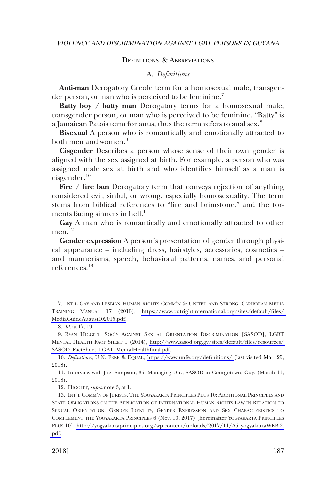#### DEFINITIONS & ABBREVIATIONS

#### A. *Definitions*

<span id="page-10-0"></span>**Anti-man** Derogatory Creole term for a homosexual male, transgender person, or man who is perceived to be feminine.<sup>7</sup>

**Batty boy / batty man** Derogatory terms for a homosexual male, transgender person, or man who is perceived to be feminine. "Batty" is a Jamaican Patois term for anus, thus the term refers to anal sex.8

**Bisexual** A person who is romantically and emotionally attracted to both men and women.<sup>9</sup>

**Cisgender** Describes a person whose sense of their own gender is aligned with the sex assigned at birth. For example, a person who was assigned male sex at birth and who identifies himself as a man is cisgender.10

**Fire / fire bun** Derogatory term that conveys rejection of anything considered evil, sinful, or wrong, especially homosexuality. The term stems from biblical references to "fire and brimstone," and the torments facing sinners in hell. $^{11}$ 

**Gay** A man who is romantically and emotionally attracted to other men. $^{12}$ 

**Gender expression** A person's presentation of gender through physical appearance – including dress, hairstyles, accessories, cosmetics – and mannerisms, speech, behavioral patterns, names, and personal references.13

12. HIGGITT, *supra* note 3, at 1.

<sup>7.</sup> INT'L GAY AND LESBIAN HUMAN RIGHTS COMM'N & UNITED AND STRONG, CARIBBEAN MEDIA TRAINING MANUAL 17 (2015), [https://www.outrightinternational.org/sites/default/files/](https://www.outrightinternational.org/sites/default/files/MediaGuideAugust102015.pdf)  [MediaGuideAugust102015.pdf.](https://www.outrightinternational.org/sites/default/files/MediaGuideAugust102015.pdf)

<sup>8.</sup> *Id*. at 17, 19.

<sup>9.</sup> RYAN HIGGITT, SOC'Y AGAINST SEXUAL ORIENTATION DISCRIMINATION [SASOD], LGBT MENTAL HEALTH FACT SHEET 1 (2014), [http://www.sasod.org.gy/sites/default/files/resources/](http://www.sasod.org.gy/sites/default/files/resources/SASOD_FactSheet_LGBT_MentalHealthfinal.pdf)  [SASOD\\_FactSheet\\_LGBT\\_MentalHealthfinal.pdf.](http://www.sasod.org.gy/sites/default/files/resources/SASOD_FactSheet_LGBT_MentalHealthfinal.pdf)

<sup>10.</sup> Definitions, U.N. FREE & EQUAL, <https://www.unfe.org/definitions/>(last visited Mar. 25, 2018).

<sup>11.</sup> Interview with Joel Simpson, 35, Managing Dir., SASOD in Georgetown, Guy. (March 11, 2018).

<sup>13.</sup> INT'L COMM'N OF JURISTS, THE YOGYAKARTA PRINCIPLES PLUS 10: ADDITIONAL PRINCIPLES AND STATE OBLIGATIONS ON THE APPLICATION OF INTERNATIONAL HUMAN RIGHTS LAW IN RELATION TO SEXUAL ORIENTATION, GENDER IDENTITY, GENDER EXPRESSION AND SEX CHARACTERISTICS TO COMPLEMENT THE YOGYAKARTA PRINCIPLES 6 (Nov. 10, 2017) [hereinafter YOGYAKARTA PRINCIPLES PLUS 10], [http://yogyakartaprinciples.org/wp-content/uploads/2017/11/A5\\_yogyakartaWEB-2.](http://yogyakartaprinciples.org/wp-content/uploads/2017/11/A5_yogyakartaWEB-2.pdf) [pdf.](http://yogyakartaprinciples.org/wp-content/uploads/2017/11/A5_yogyakartaWEB-2.pdf)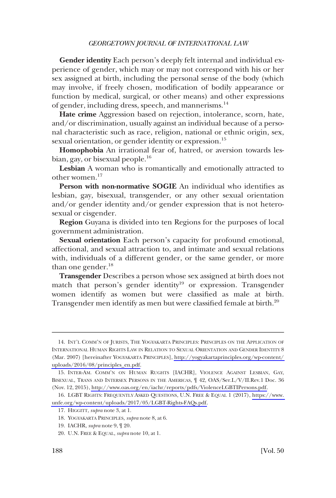**Gender identity** Each person's deeply felt internal and individual experience of gender, which may or may not correspond with his or her sex assigned at birth, including the personal sense of the body (which may involve, if freely chosen, modification of bodily appearance or function by medical, surgical, or other means) and other expressions of gender, including dress, speech, and mannerisms.<sup>14</sup>

**Hate crime** Aggression based on rejection, intolerance, scorn, hate, and/or discrimination, usually against an individual because of a personal characteristic such as race, religion, national or ethnic origin, sex, sexual orientation, or gender identity or expression.<sup>15</sup>

**Homophobia** An irrational fear of, hatred, or aversion towards lesbian, gay, or bisexual people.16

**Lesbian** A woman who is romantically and emotionally attracted to other women.17

**Person with non-normative SOGIE** An individual who identifies as lesbian, gay, bisexual, transgender, or any other sexual orientation and/or gender identity and/or gender expression that is not heterosexual or cisgender.

**Region** Guyana is divided into ten Regions for the purposes of local government administration.

**Sexual orientation** Each person's capacity for profound emotional, affectional, and sexual attraction to, and intimate and sexual relations with, individuals of a different gender, or the same gender, or more than one gender. $^{18}$ 

**Transgender** Describes a person whose sex assigned at birth does not match that person's gender identity<sup>19</sup> or expression. Transgender women identify as women but were classified as male at birth. Transgender men identify as men but were classified female at birth.<sup>20</sup>

<sup>14.</sup> INT'L COMM'N OF JURISTS, THE YOGYAKARTA PRINCIPLES: PRINCIPLES ON THE APPLICATION OF INTERNATIONAL HUMAN RIGHTS LAW IN RELATION TO SEXUAL ORIENTATION AND GENDER IDENTITY 8 (Mar. 2007) [hereinafter YOGYAKARTA PRINCIPLES], [http://yogyakartaprinciples.org/wp-content/](http://yogyakartaprinciples.org/wp-content/uploads/2016/08/principles_en.pdf)  [uploads/2016/08/principles\\_en.pdf.](http://yogyakartaprinciples.org/wp-content/uploads/2016/08/principles_en.pdf)

<sup>15.</sup> INTER-AM. COMM'N ON HUMAN RUGHTS [IACHR], VIOLENCE AGAINST LESBIAN, GAY, BISEXUAL, TRANS AND INTERSEX PERSONS IN THE AMERICAS, ¶ 42, OAS/Ser.L/V/II.Rev.1 Doc. 36 (Nov. 12, 2015), [http://www.oas.org/en/iachr/reports/pdfs/ViolenceLGBTIPersons.pdf.](http://www.oas.org/en/iachr/reports/pdfs/ViolenceLGBTIPersons.pdf)

<sup>16.</sup> LGBT RIGHTS: FREQUENTLY ASKED QUESTIONS, U.N. FREE & EQUAL 1 (2017), https://www. [unfe.org/wp-content/uploads/2017/05/LGBT-Rights-FAQs.pdf.](https://www.unfe.org/wp-content/uploads/2017/05/LGBT-Rights-FAQs.pdf)

<sup>17.</sup> HIGGITT, *supra* note 3, at 1.

<sup>18.</sup> YOGYAKARTA PRINCIPLES, *supra* note 8, at 6.

<sup>19.</sup> IACHR, *supra* note 9, ¶ 20.

<sup>20.</sup> U.N. FREE & EQUAL, *supra* note 10, at 1.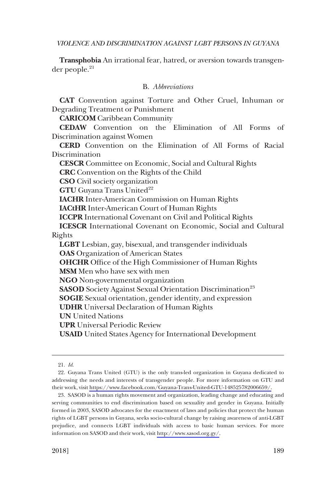<span id="page-12-0"></span>**Transphobia** An irrational fear, hatred, or aversion towards transgen $der people.<sup>21</sup>$ 

# B. *Abbreviations*

**CAT** Convention against Torture and Other Cruel, Inhuman or Degrading Treatment or Punishment

**CARICOM** Caribbean Community

**CEDAW** Convention on the Elimination of All Forms of Discrimination against Women

**CERD** Convention on the Elimination of All Forms of Racial **Discrimination** 

**CESCR** Committee on Economic, Social and Cultural Rights

**CRC** Convention on the Rights of the Child

**CSO** Civil society organization

**GTU** Guyana Trans United<sup>22</sup>

**IACHR** Inter-American Commission on Human Rights

**IACtHR** Inter-American Court of Human Rights

**ICCPR** International Covenant on Civil and Political Rights

**ICESCR** International Covenant on Economic, Social and Cultural Rights

**LGBT** Lesbian, gay, bisexual, and transgender individuals **OAS** Organization of American States

**OHCHR** Office of the High Commissioner of Human Rights

**MSM** Men who have sex with men

**NGO** Non-governmental organization

**SASOD** Society Against Sexual Orientation Discrimination<sup>23</sup>

**SOGIE** Sexual orientation, gender identity, and expression

**UDHR** Universal Declaration of Human Rights

**UN** United Nations

**UPR** Universal Periodic Review

**USAID** United States Agency for International Development

<sup>21.</sup> *Id*.

<sup>22.</sup> Guyana Trans United (GTU) is the only trans-led organization in Guyana dedicated to addressing the needs and interests of transgender people. For more information on GTU and their work, visit [https://www.facebook.com/Guyana-Trans-United-GTU-148525782006659/.](https://www.facebook.com/Guyana-Trans-United-GTU-148525782006659/)

<sup>23.</sup> SASOD is a human rights movement and organization, leading change and educating and serving communities to end discrimination based on sexuality and gender in Guyana. Initially formed in 2003, SASOD advocates for the enactment of laws and policies that protect the human rights of LGBT persons in Guyana, seeks socio-cultural change by raising awareness of anti-LGBT prejudice, and connects LGBT individuals with access to basic human services. For more information on SASOD and their work, visit<http://www.sasod.org.gy/>.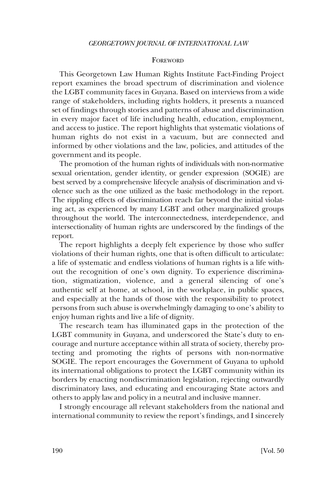#### **FOREWORD**

<span id="page-13-0"></span>This Georgetown Law Human Rights Institute Fact-Finding Project report examines the broad spectrum of discrimination and violence the LGBT community faces in Guyana. Based on interviews from a wide range of stakeholders, including rights holders, it presents a nuanced set of findings through stories and patterns of abuse and discrimination in every major facet of life including health, education, employment, and access to justice. The report highlights that systematic violations of human rights do not exist in a vacuum, but are connected and informed by other violations and the law, policies, and attitudes of the government and its people.

The promotion of the human rights of individuals with non-normative sexual orientation, gender identity, or gender expression (SOGIE) are best served by a comprehensive lifecycle analysis of discrimination and violence such as the one utilized as the basic methodology in the report. The rippling effects of discrimination reach far beyond the initial violating act, as experienced by many LGBT and other marginalized groups throughout the world. The interconnectedness, interdependence, and intersectionality of human rights are underscored by the findings of the report.

The report highlights a deeply felt experience by those who suffer violations of their human rights, one that is often difficult to articulate: a life of systematic and endless violations of human rights is a life without the recognition of one's own dignity. To experience discrimination, stigmatization, violence, and a general silencing of one's authentic self at home, at school, in the workplace, in public spaces, and especially at the hands of those with the responsibility to protect persons from such abuse is overwhelmingly damaging to one's ability to enjoy human rights and live a life of dignity.

The research team has illuminated gaps in the protection of the LGBT community in Guyana, and underscored the State's duty to encourage and nurture acceptance within all strata of society, thereby protecting and promoting the rights of persons with non-normative SOGIE. The report encourages the Government of Guyana to uphold its international obligations to protect the LGBT community within its borders by enacting nondiscrimination legislation, rejecting outwardly discriminatory laws, and educating and encouraging State actors and others to apply law and policy in a neutral and inclusive manner.

I strongly encourage all relevant stakeholders from the national and international community to review the report's findings, and I sincerely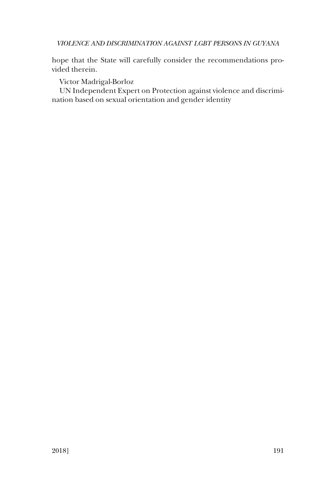hope that the State will carefully consider the recommendations provided therein.

Victor Madrigal-Borloz

UN Independent Expert on Protection against violence and discrimination based on sexual orientation and gender identity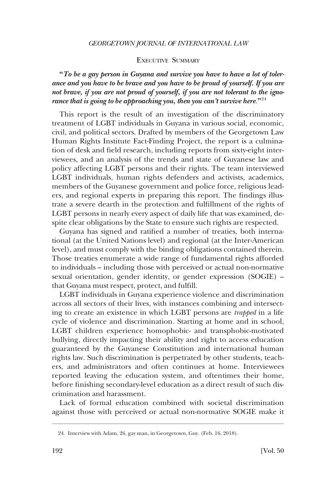#### EXECUTIVE SUMMARY

<span id="page-15-0"></span>**"***To be a gay person in Guyana and survive you have to have a lot of tolerance and you have to be brave and you have to be proud of yourself. If you are not brave, if you are not proud of yourself, if you are not tolerant to the ignorance that is going to be approaching you, then you can't survive here*.**"**<sup>24</sup>

This report is the result of an investigation of the discriminatory treatment of LGBT individuals in Guyana in various social, economic, civil, and political sectors. Drafted by members of the Georgetown Law Human Rights Institute Fact-Finding Project, the report is a culmination of desk and field research, including reports from sixty-eight interviewees, and an analysis of the trends and state of Guyanese law and policy affecting LGBT persons and their rights. The team interviewed LGBT individuals, human rights defenders and activists, academics, members of the Guyanese government and police force, religious leaders, and regional experts in preparing this report. The findings illustrate a severe dearth in the protection and fulfillment of the rights of LGBT persons in nearly every aspect of daily life that was examined, despite clear obligations by the State to ensure such rights are respected.

Guyana has signed and ratified a number of treaties, both international (at the United Nations level) and regional (at the Inter-American level), and must comply with the binding obligations contained therein. Those treaties enumerate a wide range of fundamental rights afforded to individuals – including those with perceived or actual non-normative sexual orientation, gender identity, or gender expression (SOGIE) – that Guyana must respect, protect, and fulfill.

LGBT individuals in Guyana experience violence and discrimination across all sectors of their lives, with instances combining and intersecting to create an existence in which LGBT persons are *trapped* in a life cycle of violence and discrimination. Starting at home and in school, LGBT children experience homophobic- and transphobic-motivated bullying, directly impacting their ability and right to access education guaranteed by the Guyanese Constitution and international human rights law. Such discrimination is perpetrated by other students, teachers, and administrators and often continues at home. Interviewees reported leaving the education system, and oftentimes their home, before finishing secondary-level education as a direct result of such discrimination and harassment.

Lack of formal education combined with societal discrimination against those with perceived or actual non-normative SOGIE make it

<sup>24.</sup> Interview with Adam, 26, gay man, in Georgetown, Guy. (Feb. 16, 2018).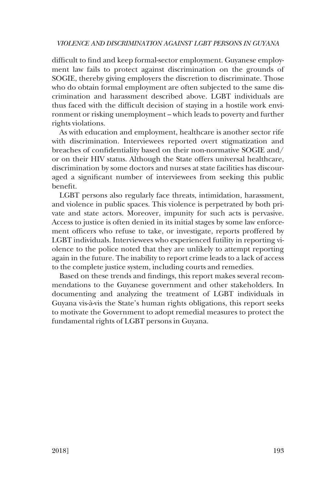difficult to find and keep formal-sector employment. Guyanese employment law fails to protect against discrimination on the grounds of SOGIE, thereby giving employers the discretion to discriminate. Those who do obtain formal employment are often subjected to the same discrimination and harassment described above. LGBT individuals are thus faced with the difficult decision of staying in a hostile work environment or risking unemployment – which leads to poverty and further rights violations.

As with education and employment, healthcare is another sector rife with discrimination. Interviewees reported overt stigmatization and breaches of confidentiality based on their non-normative SOGIE and/ or on their HIV status. Although the State offers universal healthcare, discrimination by some doctors and nurses at state facilities has discouraged a significant number of interviewees from seeking this public benefit.

LGBT persons also regularly face threats, intimidation, harassment, and violence in public spaces. This violence is perpetrated by both private and state actors. Moreover, impunity for such acts is pervasive. Access to justice is often denied in its initial stages by some law enforcement officers who refuse to take, or investigate, reports proffered by LGBT individuals. Interviewees who experienced futility in reporting violence to the police noted that they are unlikely to attempt reporting again in the future. The inability to report crime leads to a lack of access to the complete justice system, including courts and remedies.

Based on these trends and findings, this report makes several recommendations to the Guyanese government and other stakeholders. In documenting and analyzing the treatment of LGBT individuals in Guyana vis-a`-vis the State's human rights obligations, this report seeks to motivate the Government to adopt remedial measures to protect the fundamental rights of LGBT persons in Guyana.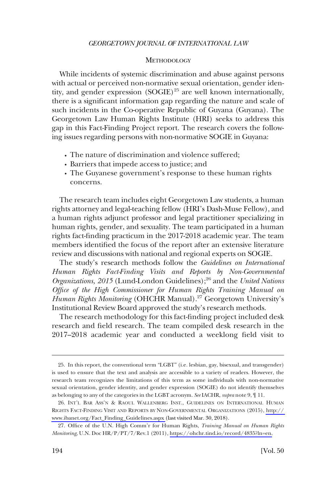#### **METHODOLOGY**

<span id="page-17-0"></span>While incidents of systemic discrimination and abuse against persons with actual or perceived non-normative sexual orientation, gender identity, and gender expression  $(SOGLE)^{25}$  are well known internationally, there is a significant information gap regarding the nature and scale of such incidents in the Co-operative Republic of Guyana (Guyana). The Georgetown Law Human Rights Institute (HRI) seeks to address this gap in this Fact-Finding Project report. The research covers the following issues regarding persons with non-normative SOGIE in Guyana:

- � The nature of discrimination and violence suffered;
- � Barriers that impede access to justice; and
- � The Guyanese government's response to these human rights concerns.

The research team includes eight Georgetown Law students, a human rights attorney and legal-teaching fellow (HRI's Dash-Muse Fellow), and a human rights adjunct professor and legal practitioner specializing in human rights, gender, and sexuality. The team participated in a human rights fact-finding practicum in the 2017-2018 academic year. The team members identified the focus of the report after an extensive literature review and discussions with national and regional experts on SOGIE.

The study's research methods follow the *Guidelines on International Human Rights Fact-Finding Visits and Reports by Non-Governmental*  Organizations, 2015 (Lund-London Guidelines);<sup>26</sup> and the *United Nations Office of the High Commissioner for Human Rights Training Manual on*  Human Rights Monitoring (OHCHR Manual).<sup>27</sup> Georgetown University's Institutional Review Board approved the study's research methods.

The research methodology for this fact-finding project included desk research and field research. The team compiled desk research in the 2017–2018 academic year and conducted a weeklong field visit to

<sup>25.</sup> In this report, the conventional term "LGBT" (i.e. lesbian, gay, bisexual, and transgender) is used to ensure that the text and analysis are accessible to a variety of readers. However, the research team recognizes the limitations of this term as some individuals with non-normative sexual orientation, gender identity, and gender expression (SOGIE) do not identify themselves as belonging to any of the categories in the LGBT acronym. *See* IACHR, *supra* note 9, ¶ 11.

<sup>26.</sup> INT'L BAR ASS'N & RAOUL WALLENBERG INST., GUIDELINES ON INTERNATIONAL HUMAN RIGHTS FACT-FINDING VISIT AND REPORTS BY NON-GOVERNMENTAL ORGANIZATIONS (2015), [http://](http://www.ibanet.org/Fact_Finding_Guidelines.aspx)  [www.ibanet.org/Fact\\_Finding\\_Guidelines.aspx](http://www.ibanet.org/Fact_Finding_Guidelines.aspx) (last visited Mar. 30, 2018).

Office of the U.N. High Comm'r for Human Rights, *Training Manual on Human Rights*  27. *Monitoring*, U.N. Doc HR/P/PT/7/Rev.1 (2011), [https://ohchr.tind.io/record/4835?ln=en.](https://ohchr.tind.io/record/4835?ln=en)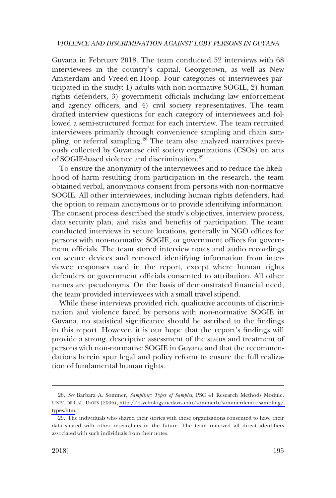Guyana in February 2018. The team conducted 52 interviews with 68 interviewees in the country's capital, Georgetown, as well as New Amsterdam and Vreed-en-Hoop. Four categories of interviewees participated in the study: 1) adults with non-normative SOGIE, 2) human rights defenders, 3) government officials including law enforcement and agency officers, and 4) civil society representatives. The team drafted interview questions for each category of interviewees and followed a semi-structured format for each interview. The team recruited interviewees primarily through convenience sampling and chain sampling, or referral sampling.<sup>28</sup> The team also analyzed narratives previously collected by Guyanese civil society organizations (CSOs) on acts of SOGIE-based violence and discrimination.29

To ensure the anonymity of the interviewees and to reduce the likelihood of harm resulting from participation in the research, the team obtained verbal, anonymous consent from persons with non-normative SOGIE. All other interviewees, including human rights defenders, had the option to remain anonymous or to provide identifying information. The consent process described the study's objectives, interview process, data security plan, and risks and benefits of participation. The team conducted interviews in secure locations, generally in NGO offices for persons with non-normative SOGIE, or government offices for government officials. The team stored interview notes and audio recordings on secure devices and removed identifying information from interviewee responses used in the report, except where human rights defenders or government officials consented to attribution. All other names are pseudonyms. On the basis of demonstrated financial need, the team provided interviewees with a small travel stipend.

While these interviews provided rich, qualitative accounts of discrimination and violence faced by persons with non-normative SOGIE in Guyana, no statistical significance should be ascribed to the findings in this report. However, it is our hope that the report's findings will provide a strong, descriptive assessment of the status and treatment of persons with non-normative SOGIE in Guyana and that the recommendations herein spur legal and policy reform to ensure the full realization of fundamental human rights.

*See* Barbara A. Sommer, *Sampling: Types of Samples*, PSC 41 Research Methods Module, 28. UNIV. OF CAL. DAVIS (2006), [http://psychology.ucdavis.edu/sommerb/sommerdemo/sampling/](http://psychology.ucdavis.edu/sommerb/sommerdemo/sampling/types.htm)  [types.htm.](http://psychology.ucdavis.edu/sommerb/sommerdemo/sampling/types.htm)

<sup>29.</sup> The individuals who shared their stories with these organizations consented to have their data shared with other researchers in the future. The team removed all direct identifiers associated with such individuals from their notes.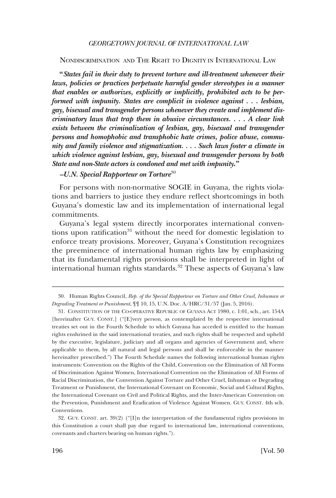#### <span id="page-19-0"></span>NONDISCRIMINATION AND THE RIGHT TO DIGNITY IN INTERNATIONAL LAW

**"***States fail in their duty to prevent torture and ill-treatment whenever their*  laws, policies or practices perpetuate harmful gender stereotypes in a manner *that enables or authorizes, explicitly or implicitly, prohibited acts to be performed with impunity. States are complicit in violence against . . . lesbian, gay, bisexual and transgender persons whenever they create and implement discriminatory laws that trap them in abusive circumstances. . . . A clear link exists between the criminalization of lesbian, gay, bisexual and transgender persons and homophobic and transphobic hate crimes, police abuse, community and family violence and stigmatization. . . . Such laws foster a climate in which violence against lesbian, gay, bisexual and transgender persons by both State and non-State actors is condoned and met with impunity***."** 

## *–U.N. Special Rapporteur on Torture*<sup>30</sup>

For persons with non-normative SOGIE in Guyana, the rights violations and barriers to justice they endure reflect shortcomings in both Guyana's domestic law and its implementation of international legal commitments.

Guyana's legal system directly incorporates international conventions upon ratification<sup>31</sup> without the need for domestic legislation to enforce treaty provisions. Moreover, Guyana's Constitution recognizes the preeminence of international human rights law by emphasizing that its fundamental rights provisions shall be interpreted in light of international human rights standards.<sup>32</sup> These aspects of Guyana's law

<sup>30.</sup> Human Rights Council, *Rep. of the Special Rapporteur on Torture and Other Cruel, Inhuman or Degrading Treatment or Punishment*, ¶¶ 10, 15, U.N. Doc. A/HRC/31/57 (Jan. 5, 2016).

<sup>31.</sup> CONSTITUTION OF THE CO-OPERATIVE REPUBLIC OF GUYANA ACT 1980, c. 1:01, sch., art. 154A [hereinafter GUY. CONST.] ("[E]very person, as contemplated by the respective international treaties set out in the Fourth Schedule to which Guyana has acceded is entitled to the human rights enshrined in the said international treaties, and such rights shall be respected and upheld by the executive, legislature, judiciary and all organs and agencies of Government and, where applicable to them, by all natural and legal persons and shall be enforceable in the manner hereinafter prescribed.") The Fourth Schedule names the following international human rights instruments: Convention on the Rights of the Child, Convention on the Elimination of All Forms of Discrimination Against Women, International Convention on the Elimination of All Forms of Racial Discrimination, the Convention Against Torture and Other Cruel, Inhuman or Degrading Treatment or Punishment, the International Covenant on Economic, Social and Cultural Rights, the International Covenant on Civil and Political Rights, and the Inter-American Convention on the Prevention, Punishment and Eradication of Violence Against Women. GUY. CONST. 4th sch. Conventions.

<sup>32.</sup> GUY. CONST. art. 39(2) ("[I]n the interpretation of the fundamental rights provisions in this Constitution a court shall pay due regard to international law, international conventions, covenants and charters bearing on human rights.").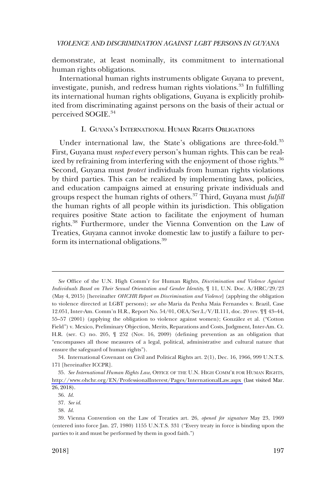<span id="page-20-0"></span>demonstrate, at least nominally, its commitment to international human rights obligations.

International human rights instruments obligate Guyana to prevent, investigate, punish, and redress human rights violations.<sup>33</sup> In fulfilling its international human rights obligations, Guyana is explicitly prohibited from discriminating against persons on the basis of their actual or perceived SOGIE.<sup>34</sup>

#### I. GUYANA'S INTERNATIONAL HUMAN RIGHTS OBLIGATIONS

Under international law, the State's obligations are three-fold.<sup>35</sup> First, Guyana must *respect* every person's human rights. This can be realized by refraining from interfering with the enjoyment of those rights.<sup>36</sup> Second, Guyana must *protect* individuals from human rights violations by third parties. This can be realized by implementing laws, policies, and education campaigns aimed at ensuring private individuals and groups respect the human rights of others.37 Third, Guyana must *fulfill*  the human rights of all people within its jurisdiction. This obligation requires positive State action to facilitate the enjoyment of human rights.38 Furthermore, under the Vienna Convention on the Law of Treaties, Guyana cannot invoke domestic law to justify a failure to perform its international obligations.<sup>39</sup>

37. *See id*.

*See* Office of the U.N. High Comm'r for Human Rights, *Discrimination and Violence Against Individuals Based on Their Sexual Orientation and Gender Identity*, ¶ 11, U.N. Doc. A/HRC/29/23 (May 4, 2015) [hereinafter *OHCHR Report on Discrimination and Violence*] (applying the obligation to violence directed at LGBT persons); *see also* Maria da Penha Maia Fernandes v. Brazil, Case 12.051, Inter-Am. Comm'n H.R., Report No. 54/01, OEA/Ser.L/V/II.111, doc. 20 rev. ¶¶ 43–44, 55–57 (2001) (applying the obligation to violence against women); González et al. ("Cotton Field") v. Mexico, Preliminary Objection, Merits, Reparations and Costs, Judgment, Inter-Am. Ct. H.R. (ser. C) no. 205, ¶ 252 (Nov. 16, 2009) (defining prevention as an obligation that "encompasses all those measures of a legal, political, administrative and cultural nature that ensure the safeguard of human rights").

<sup>34.</sup> International Covenant on Civil and Political Rights art. 2(1), Dec. 16, 1966, 999 U.N.T.S. 171 [hereinafter ICCPR].

*See International Human Rights Law*, OFFICE OF THE U.N. HIGH COMM'R FOR HUMAN RIGHTS, 35. <http://www.ohchr.org/EN/ProfessionalInterest/Pages/InternationalLaw.aspx>(last visited Mar. 26, 2018).

<sup>36.</sup> *Id*.

<sup>38.</sup> *Id*.

<sup>39.</sup> Vienna Convention on the Law of Treaties art. 26, *opened for signature* May 23, 1969 (entered into force Jan. 27, 1980) 1155 U.N.T.S. 331 ("Every treaty in force is binding upon the parties to it and must be performed by them in good faith.")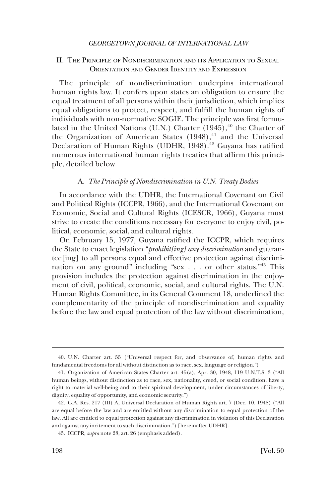# <span id="page-21-0"></span>II. THE PRINCIPLE OF NONDISCRIMINATION AND ITS APPLICATION TO SEXUAL ORIENTATION AND GENDER IDENTITY AND EXPRESSION

The principle of nondiscrimination underpins international human rights law. It confers upon states an obligation to ensure the equal treatment of all persons within their jurisdiction, which implies equal obligations to protect, respect, and fulfill the human rights of individuals with non-normative SOGIE. The principle was first formulated in the United Nations (U.N.) Charter  $(1945)$ ,<sup>40</sup> the Charter of the Organization of American States  $(1948)$ ,<sup>41</sup> and the Universal Declaration of Human Rights (UDHR, 1948).<sup>42</sup> Guyana has ratified numerous international human rights treaties that affirm this principle, detailed below.

#### A. *The Principle of Nondiscrimination in U.N. Treaty Bodies*

In accordance with the UDHR, the International Covenant on Civil and Political Rights (ICCPR, 1966), and the International Covenant on Economic, Social and Cultural Rights (ICESCR, 1966), Guyana must strive to create the conditions necessary for everyone to enjoy civil, political, economic, social, and cultural rights.

On February 15, 1977, Guyana ratified the ICCPR, which requires the State to enact legislation "*prohibit[ing] any discrimination* and guarantee[ing] to all persons equal and effective protection against discrimination on any ground" including "sex . . . or other status."<sup>43</sup> This provision includes the protection against discrimination in the enjoyment of civil, political, economic, social, and cultural rights. The U.N. Human Rights Committee, in its General Comment 18, underlined the complementarity of the principle of nondiscrimination and equality before the law and equal protection of the law without discrimination,

<sup>40.</sup> U.N. Charter art. 55 ("Universal respect for, and observance of, human rights and fundamental freedoms for all without distinction as to race, sex, language or religion.")

<sup>41.</sup> Organization of American States Charter art. 45(a), Apr. 30, 1948, 119 U.N.T.S. 3 ("All human beings, without distinction as to race, sex, nationality, creed, or social condition, have a right to material well-being and to their spiritual development, under circumstances of liberty, dignity, equality of opportunity, and economic security.")

<sup>42.</sup> G.A. Res. 217 (III) A, Universal Declaration of Human Rights art. 7 (Dec. 10, 1948) ("All are equal before the law and are entitled without any discrimination to equal protection of the law. All are entitled to equal protection against any discrimination in violation of this Declaration and against any incitement to such discrimination.") [hereinafter UDHR].

<sup>43.</sup> ICCPR, *supra* note 28, art. 26 (emphasis added).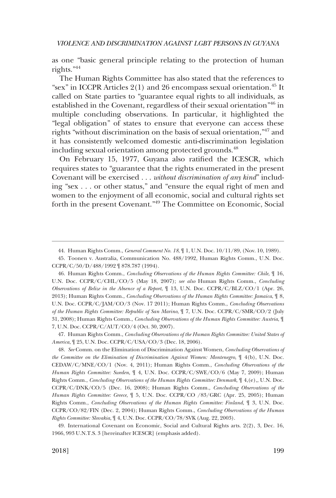as one "basic general principle relating to the protection of human rights."44

The Human Rights Committee has also stated that the references to "sex" in ICCPR Articles  $2(1)$  and 26 encompass sexual orientation.<sup>45</sup> It called on State parties to "guarantee equal rights to all individuals, as established in the Covenant, regardless of their sexual orientation"46 in multiple concluding observations. In particular, it highlighted the "legal obligation" of states to ensure that everyone can access these rights "without discrimination on the basis of sexual orientation,"47 and it has consistently welcomed domestic anti-discrimination legislation including sexual orientation among protected grounds.<sup>48</sup>

On February 15, 1977, Guyana also ratified the ICESCR, which requires states to "guarantee that the rights enumerated in the present Covenant will be exercised . . . *without discrimination of any kind*" including "sex . . . or other status," and "ensure the equal right of men and women to the enjoyment of all economic, social and cultural rights set forth in the present Covenant."49 The Committee on Economic, Social

47. Human Rights Comm., *Concluding Observations of the Human Rights Committee: United States of America*, ¶ 25, U.N. Doc. CCPR/C/USA/CO/3 (Dec. 18, 2006).

48. *See* Comm. on the Elimination of Discrimination Against Women, *Concluding Observations of the Committee on the Elimination of Discrimination Against Women: Montenegro*, ¶ 4(b), U.N. Doc. CEDAW/C/MNE/CO/1 (Nov. 4, 2011); Human Rights Comm., *Concluding Observations of the Human Rights Committee: Sweden*, ¶ 4, U.N. Doc. CCPR/C/SWE/CO/6 (May 7, 2009); Human Rights Comm., *Concluding Observations of the Human Rights Committee: Denmark*, ¶ 4,(e),, U.N. Doc. CCPR/C/DNK/CO/5 (Dec. 16, 2008); Human Rights Comm., *Concluding Observations of the Human Rights Committee: Greece*, ¶ 5, U.N. Doc. CCPR/CO /83/GRC (Apr. 25, 2005); Human Rights Comm., *Concluding Observations of the Human Rights Committee: Finland*, ¶ 3, U.N. Doc. CCPR/CO/82/FIN (Dec. 2, 2004); Human Rights Comm., *Concluding Observations of the Human Rights Committee: Slovakia*, ¶ 4, U.N. Doc. CCPR/CO/78/SVK (Aug. 22, 2003).

49. International Covenant on Economic, Social and Cultural Rights arts. 2(2), 3, Dec. 16, 1966, 993 U.N.T.S. 3 [hereinafter ICESCR] (emphasis added).

<sup>44.</sup> Human Rights Comm., *General Comment No. 18*, ¶ 1, U.N. Doc. 10/11/89, (Nov. 10, 1989).

<sup>45.</sup> Toonen v. Australia, Communication No. 488/1992, Human Rights Comm., U.N. Doc. CCPR/C/50/D/488/1992 ¶ 878.787 (1994).

<sup>46.</sup> Human Rights Comm., *Concluding Observations of the Human Rights Committee: Chile*, ¶ 16, U.N. Doc. CCPR/C/CHL/CO/5 (May 18, 2007); *see also* Human Rights Comm., *Concluding Observations of Belize in the Absence of a Report*, ¶ 13, U.N. Doc. CCPR/C/BLZ/CO/1 (Apr. 26, 2013); Human Rights Comm., *Concluding Observations of the Human Rights Committee: Jamaica*, ¶ 8, U.N. Doc. CCPR/C/JAM/CO/3 (Nov. 17 2011); Human Rights Comm., *Concluding Observations of the Human Rights Committee: Republic of San Marino*, ¶ 7, U.N. Doc. CCPR/C/SMR/CO/2 (July 31, 2008); Human Rights Comm., *Concluding Observations of the Human Rights Committee: Austria*, ¶ 7, U.N. Doc. CCPR/C/AUT/CO/4 (Oct. 30, 2007).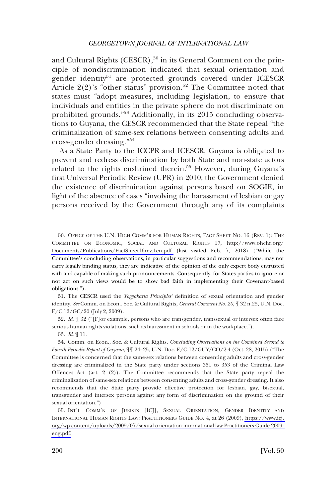and Cultural Rights (CESCR), $^{50}$  in its General Comment on the principle of nondiscrimination indicated that sexual orientation and gender identity<sup>51</sup> are protected grounds covered under ICESCR Article  $2(2)$ 's "other status" provision.<sup>52</sup> The Committee noted that states must "adopt measures, including legislation, to ensure that individuals and entities in the private sphere do not discriminate on prohibited grounds."53 Additionally, in its 2015 concluding observations to Guyana, the CESCR recommended that the State repeal "the criminalization of same-sex relations between consenting adults and cross-gender dressing."<sup>54</sup>

As a State Party to the ICCPR and ICESCR, Guyana is obligated to prevent and redress discrimination by both State and non-state actors related to the rights enshrined therein.<sup>55</sup> However, during Guyana's first Universal Periodic Review (UPR) in 2010, the Government denied the existence of discrimination against persons based on SOGIE, in light of the absence of cases "involving the harassment of lesbian or gay persons received by the Government through any of its complaints

51. The CESCR used the *Yogyakarta Principles'* definition of sexual orientation and gender identity. *See* Comm. on Econ., Soc. & Cultural Rights, *General Comment No. 20*, ¶ 32 n.25, U.N. Doc. E/C.12/GC/20 (July 2, 2009).

52. *Id*. ¶ 32 ("[F]or example, persons who are transgender, transsexual or intersex often face serious human rights violations, such as harassment in schools or in the workplace.").

53. *Id*. ¶ 11.

<sup>50.</sup> OFFICE OF THE U.N. HIGH COMM'R FOR HUMAN RIGHTS, FACT SHEET NO. 16 (REV. 1): THE COMMITTEE ON ECONOMIC, SOCIAL AND CULTURAL RIGHTS 17, [http://www.ohchr.org/](http://www.ohchr.org/Documents/Publications/FactSheet16rev.1en.pdf)  [Documents/Publications/FactSheet16rev.1en.pdf](http://www.ohchr.org/Documents/Publications/FactSheet16rev.1en.pdf) (last visited Feb. 7, 2018) ("While the Committee's concluding observations, in particular suggestions and recommendations, may not carry legally binding status, they are indicative of the opinion of the only expert body entrusted with and capable of making such pronouncements. Consequently, for States parties to ignore or not act on such views would be to show bad faith in implementing their Covenant-based obligations.").

<sup>54.</sup> Comm. on Econ., Soc. & Cultural Rights, *Concluding Observations on the Combined Second to Fourth Periodic Report of Guyana*, ¶¶ 24–25, U.N. Doc. E/C.12/GUY/CO/2-4 (Oct. 28, 2015) ("The Committee is concerned that the same-sex relations between consenting adults and cross-gender dressing are criminalized in the State party under sections 351 to 353 of the Criminal Law Offences Act (art. 2 (2)). The Committee recommends that the State party repeal the criminalization of same-sex relations between consenting adults and cross-gender dressing. It also recommends that the State party provide effective protection for lesbian, gay, bisexual, transgender and intersex persons against any form of discrimination on the ground of their sexual orientation.")

<sup>55.</sup> INT'L COMM'N OF JURISTS [ICJ], SEXUAL ORIENTATION, GENDER IDENTITY AND INTERNATIONAL HUMAN RIGHTS LAW: PRACTITIONERS GUIDE NO. 4, at 26 (2009), [https://www.icj.](https://www.icj.org/wp-content/uploads/2009/07/sexual-orientation-international-law-Practitioners-Guide-2009-eng.pdf)  [org/wp-content/uploads/2009/07/sexual-orientation-international-law-Practitioners-Guide-2009](https://www.icj.org/wp-content/uploads/2009/07/sexual-orientation-international-law-Practitioners-Guide-2009-eng.pdf)  [eng.pdf.](https://www.icj.org/wp-content/uploads/2009/07/sexual-orientation-international-law-Practitioners-Guide-2009-eng.pdf)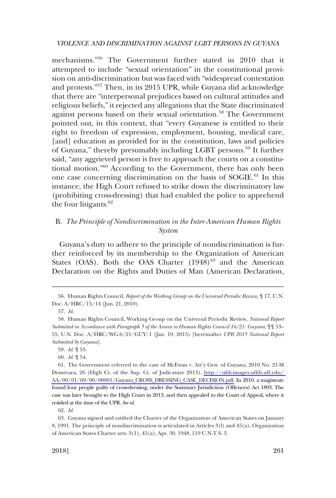<span id="page-24-0"></span>mechanisms."56 The Government further stated in 2010 that it attempted to include "sexual orientation" in the constitutional provision on anti-discrimination but was faced with "widespread contestation and protests."57 Then, in its 2015 UPR, while Guyana did acknowledge that there are "interpersonal prejudices based on cultural attitudes and religious beliefs," it rejected any allegations that the State discriminated against persons based on their sexual orientation.<sup>58</sup> The Government pointed out, in this context, that "every Guyanese is entitled to their right to freedom of expression, employment, housing, medical care, [and] education as provided for in the constitution, laws and policies of Guyana," thereby presumably including LGBT persons.59 It further said, "any aggrieved person is free to approach the courts on a constitutional motion."60 According to the Government, there has only been one case concerning discrimination on the basis of SOGIE.<sup>61</sup> In this instance, the High Court refused to strike down the discriminatory law (prohibiting cross-dressing) that had enabled the police to apprehend the four litigants. $62$ 

# B. *The Principle of Nondiscrimination in the Inter-American Human Rights System*

Guyana's duty to adhere to the principle of nondiscrimination is further reinforced by its membership to the Organization of American States (OAS). Both the OAS Charter  $(1948)^{63}$  and the American Declaration on the Rights and Duties of Man (American Declaration,

<sup>56.</sup> Human Rights Council, *Report of the Working Group on the Universal Periodic Review*, ¶ 17, U.N. Doc. A/HRC/15/14 (Jun. 21, 2010).

<sup>57.</sup> *Id*.

<sup>58.</sup> Human Rights Council, Working Group on the Universal Periodic Review, *National Report Submitted in Accordance with Paragraph 5 of the Annex to Human Rights Council 16/21: Guyana*, ¶¶ 53– 55, U.N. Doc. A/HRC/WG.6/21/GUY/1 (Jan. 19, 2015) [hereinafter *UPR 2015 National Report Submitted by Guyana*].

<sup>59.</sup> *Id*. ¶ 53.

<sup>60.</sup> *Id*. ¶ 54.

<sup>61.</sup> The Government referred to the case of McEwan v. Att'y Gen. of Guyana, 2010 No. 21-M Demerara, 26 (High Ct. of the Sup. Ct. of Judicature 2013), [http://ufdcimages.uflib.ufl.edu/](http://ufdcimages.uflib.ufl.edu/AA/00/01/69/00/00001/Guyana_CROSS_DRESSING_CASE_DECISION.pdf)  [AA/00/01/69/00/00001/Guyana\\_CROSS\\_DRESSING\\_CASE\\_DECISION.pdf.](http://ufdcimages.uflib.ufl.edu/AA/00/01/69/00/00001/Guyana_CROSS_DRESSING_CASE_DECISION.pdf) In 2010, a magistrate found four people guilty of cross-dressing, under the Summary Jurisdiction (Offences) Act 1893. The case was later brought to the High Court in 2013, and then appealed to the Court of Appeal, where it resided at the time of the UPR. *See id*.

<sup>62.</sup> *Id*.

<sup>63.</sup> Guyana signed and ratified the Charter of the Organization of American States on January 8, 1991. The principle of nondiscrimination is articulated in Articles 3(l) and 45(a). Organization of American States Charter arts. 3(1), 45(a), Apr. 30, 1948, 119 U.N.T.S. 3.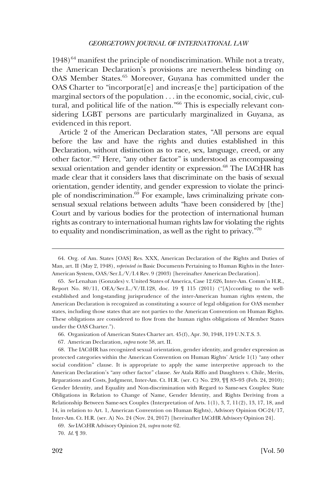$1948$ <sup>64</sup> manifest the principle of nondiscrimination. While not a treaty, the American Declaration's provisions are nevertheless binding on OAS Member States.65 Moreover, Guyana has committed under the OAS Charter to "incorporat[e] and increas[e the] participation of the marginal sectors of the population . . . in the economic, social, civic, cultural, and political life of the nation."66 This is especially relevant considering LGBT persons are particularly marginalized in Guyana, as evidenced in this report.

Article 2 of the American Declaration states, "All persons are equal before the law and have the rights and duties established in this Declaration, without distinction as to race, sex, language, creed, or any other factor."67 Here, "any other factor" is understood as encompassing sexual orientation and gender identity or expression.<sup>68</sup> The IACtHR has made clear that it considers laws that discriminate on the basis of sexual orientation, gender identity, and gender expression to violate the principle of nondiscrimination.<sup>69</sup> For example, laws criminalizing private consensual sexual relations between adults "have been considered by [the] Court and by various bodies for the protection of international human rights as contrary to international human rights law for violating the rights to equality and nondiscrimination, as well as the right to privacy."70

67. American Declaration, *supra* note 58, art. II.

<sup>64.</sup> Org. of Am. States [OAS] Res. XXX, American Declaration of the Rights and Duties of Man, art. II (May 2, 1948), *reprinted in* Basic Documents Pertaining to Human Rights in the Inter-American System, OAS/Ser.L/V/I.4 Rev. 9 (2003) [hereinafter American Declaration].

<sup>65.</sup> *See* Lenahan (Gonzales) v. United States of America, Case 12.626, Inter-Am. Comm'n H.R., Report No.  $80/11$ , OEA/Ser.L./V/II.128, doc. 19  $\parallel$  115 (2011) ("[A]ccording to the wellestablished and long-standing jurisprudence of the inter-American human rights system, the American Declaration is recognized as constituting a source of legal obligation for OAS member states, including those states that are not parties to the American Convention on Human Rights. These obligations are considered to flow from the human rights obligations of Member States under the OAS Charter.").

<sup>66.</sup> Organization of American States Charter art. 45(f), Apr. 30, 1948, 119 U.N.T.S. 3.

<sup>68.</sup> The IACtHR has recognized sexual orientation, gender identity, and gender expression as protected categories within the American Convention on Human Rights' Article 1(1) "any other social condition" clause. It is appropriate to apply the same interpretive approach to the American Declaration's "any other factor" clause. *See* Atala Riffo and Daughters v. Chile, Merits, Reparations and Costs, Judgment, Inter-Am. Ct. H.R. (ser. C) No. 239, ¶¶ 83–93 (Feb. 24, 2010); Gender Identity, and Equality and Non-discrimination with Regard to Same-sex Couples: State Obligations in Relation to Change of Name, Gender Identity, and Rights Deriving from a Relationship Between Same-sex Couples (Interpretation of Arts. 1(1), 3, 7, 11(2), 13, 17, 18, and 14, in relation to Art. 1, American Convention on Human Rights), Advisory Opinion OC-24/17, Inter-Am. Ct. H.R. (ser. A) No. 24 (Nov. 24, 2017) [hereinafter IACtHR Advisory Opinion 24].

<sup>69.</sup> *See* IACtHR Advisory Opinion 24, *supra* note 62.

<sup>70.</sup> *Id*. ¶ 39.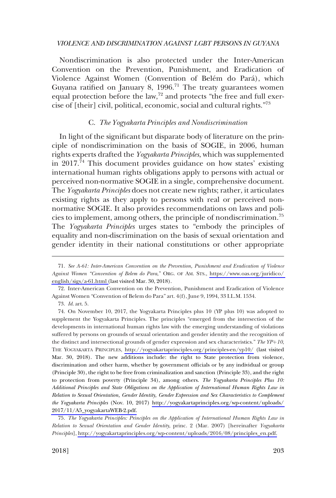<span id="page-26-0"></span>Nondiscrimination is also protected under the Inter-American Convention on the Prevention, Punishment, and Eradication of Violence Against Women (Convention of Belém do Pará), which Guyana ratified on January 8,  $1996$ .<sup>71</sup> The treaty guarantees women equal protection before the law,<sup>72</sup> and protects "the free and full exercise of [their] civil, political, economic, social and cultural rights."73

#### C. *The Yogyakarta Principles and Nondiscrimination*

In light of the significant but disparate body of literature on the principle of nondiscrimination on the basis of SOGIE, in 2006, human rights experts drafted the *Yogyakarta Principles*, which was supplemented in  $2017.^{74}$  This document provides guidance on how states' existing international human rights obligations apply to persons with actual or perceived non-normative SOGIE in a single, comprehensive document. The *Yogyakarta Principles* does not create new rights; rather, it articulates existing rights as they apply to persons with real or perceived nonnormative SOGIE. It also provides recommendations on laws and policies to implement, among others, the principle of nondiscrimination.<sup>75</sup> The *Yogyakarta Principles* urges states to "embody the principles of equality and non-discrimination on the basis of sexual orientation and gender identity in their national constitutions or other appropriate

72. Inter-American Convention on the Prevention, Punishment and Eradication of Violence Against Women "Convention of Belem do Para" art. 4(f), June 9, 1994, 33 I.L.M. 1534.

*The Yogyakarta Principles: Principles on the Application of International Human Rights Law in*  75. *Relation to Sexual Orientation and Gender Identity*, princ. 2 (Mar. 2007) [hereinafter *Yogyakarta Principles*], [http://yogyakartaprinciples.org/wp-content/uploads/2016/08/principles\\_en.pdf.](http://yogyakartaprinciples.org/wp-content/uploads/2016/08/principles_en.pdf)

*See A-61: Inter-American Convention on the Prevention, Punishment and Eradication of Violence*  71. *Against Women "Convention of Belem do Para*," ORG. OF AM. STS., [https://www.oas.org/juridico/](https://www.oas.org/juridico/english/sigs/a-61.html)  [english/sigs/a-61.html \(](https://www.oas.org/juridico/english/sigs/a-61.html)last visited Mar. 30, 2018).

<sup>73.</sup> *Id*. art. 5.

On November 10, 2017, the Yogyakarta Principles plus 10 (YP plus 10) was adopted to 74. supplement the Yogyakarta Principles. The principles "emerged from the intersection of the developments in international human rights law with the emerging understanding of violations suffered by persons on grounds of sexual orientation and gender identity and the recognition of the distinct and intersectional grounds of gender expression and sex characteristics." *The YP*þ*10*, THE YOGYAKARTA PRINCIPLES, <http://yogyakartaprinciples.org/principles-en/yp10/> (last visited Mar. 30, 2018). The new additions include: the right to State protection from violence, discrimination and other harm, whether by government officials or by any individual or group (Principle 30), the right to be free from criminalization and sanction (Principle 33), and the right to protection from poverty (Principle 34), among others. *The Yogyakarta Principles Plus 10: Additional Principles and State Obligations on the Application of International Human Rights Law in Relation to Sexual Orientation, Gender Identity, Gender Expression and Sex Characteristics to Complement the Yogyakarta Principles* (Nov. 10, 2017) [http://yogyakartaprinciples.org/wp-content/uploads/](http://yogyakartaprinciples.org/wp-content/uploads/2017/11/A5_yogyakartaWEB-2.pdf)  [2017/11/A5\\_yogyakartaWEB-2.pdf.](http://yogyakartaprinciples.org/wp-content/uploads/2017/11/A5_yogyakartaWEB-2.pdf)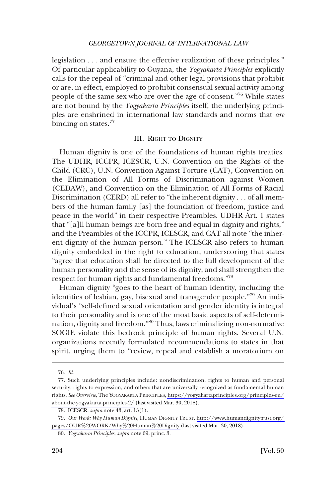<span id="page-27-0"></span>legislation . . . and ensure the effective realization of these principles." Of particular applicability to Guyana, the *Yogyakarta Principles* explicitly calls for the repeal of "criminal and other legal provisions that prohibit or are, in effect, employed to prohibit consensual sexual activity among people of the same sex who are over the age of consent."76 While states are not bound by the *Yogyakarta Principles* itself, the underlying principles are enshrined in international law standards and norms that *are*  binding on states.<sup>77</sup>

## III. RIGHT TO DIGNITY

Human dignity is one of the foundations of human rights treaties. The UDHR, ICCPR, ICESCR, U.N. Convention on the Rights of the Child (CRC), U.N. Convention Against Torture (CAT), Convention on the Elimination of All Forms of Discrimination against Women (CEDAW), and Convention on the Elimination of All Forms of Racial Discrimination (CERD) all refer to "the inherent dignity . . . of all members of the human family [as] the foundation of freedom, justice and peace in the world" in their respective Preambles. UDHR Art. 1 states that "[a]ll human beings are born free and equal in dignity and rights," and the Preambles of the ICCPR, ICESCR, and CAT all note "the inherent dignity of the human person." The ICESCR also refers to human dignity embedded in the right to education, underscoring that states "agree that education shall be directed to the full development of the human personality and the sense of its dignity, and shall strengthen the respect for human rights and fundamental freedoms."<sup>78</sup>

Human dignity "goes to the heart of human identity, including the identities of lesbian, gay, bisexual and transgender people."<sup>79</sup> An individual's "self-defined sexual orientation and gender identity is integral to their personality and is one of the most basic aspects of self-determination, dignity and freedom."80 Thus, laws criminalizing non-normative SOGIE violate this bedrock principle of human rights. Several U.N. organizations recently formulated recommendations to states in that spirit, urging them to "review, repeal and establish a moratorium on

<sup>76.</sup> *Id*.

<sup>77.</sup> Such underlying principles include: nondiscrimination, rights to human and personal security, rights to expression, and others that are universally recognized as fundamental human rights. *See Overview*, The YOGYAKARTA PRINCIPLES, [https://yogyakartaprinciples.org/principles-en/](https://yogyakartaprinciples.org/principles-en/about-the-yogyakarta-principles-2/) [about-the-yogyakarta-principles-2/](https://yogyakartaprinciples.org/principles-en/about-the-yogyakarta-principles-2/) (last visited Mar. 30, 2018).

<sup>78.</sup> ICESCR, *supra* note 43, art. 13(1).

*Our Work: Why Human Dignity*, HUMAN DIGNITY TRUST, [http://www.humandignitytrust.org/](http://www.humandignitytrust.org/pages/OUR%20WORK/Why%20Human%20Dignity)  79. [pages/OUR%20WORK/Why%20Human%20Dignity](http://www.humandignitytrust.org/pages/OUR%20WORK/Why%20Human%20Dignity) (last visited Mar. 30, 2018).

<sup>80.</sup> *Yogyakarta Principles*, *supra* note 69, princ. 3.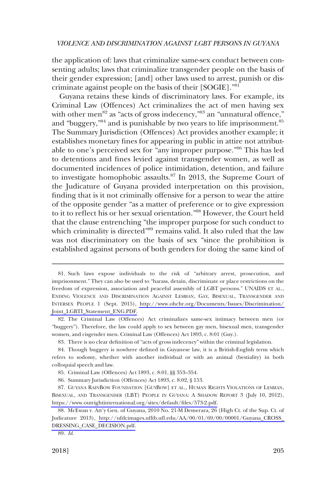the application of: laws that criminalize same-sex conduct between consenting adults; laws that criminalize transgender people on the basis of their gender expression; [and] other laws used to arrest, punish or discriminate against people on the basis of their [SOGIE]."<sup>81</sup>

Guyana retains these kinds of discriminatory laws. For example, its Criminal Law (Offences) Act criminalizes the act of men having sex with other men<sup>82</sup> as "acts of gross indecency,"83 an "unnatural offence," and "buggery,"<sup>84</sup> and is punishable by two years to life imprisonment.<sup>85</sup> The Summary Jurisdiction (Offences) Act provides another example; it establishes monetary fines for appearing in public in attire not attributable to one's perceived sex for "any improper purpose."86 This has led to detentions and fines levied against transgender women, as well as documented incidences of police intimidation, detention, and failure to investigate homophobic assaults.<sup>87</sup> In 2013, the Supreme Court of the Judicature of Guyana provided interpretation on this provision, finding that is it not criminally offensive for a person to wear the attire of the opposite gender "as a matter of preference or to give expression to it to reflect his or her sexual orientation."<sup>88</sup> However, the Court held that the clause entrenching "the improper purpose for such conduct to which criminality is directed<sup>"89</sup> remains valid. It also ruled that the law was not discriminatory on the basis of sex "since the prohibition is established against persons of both genders for doing the same kind of

Such laws expose individuals to the risk of "arbitrary arrest, prosecution, and 81. imprisonment." They can also be used to "harass, detain, discriminate or place restrictions on the freedom of expression, association and peaceful assembly of LGBT persons." UNAIDS ET AL., ENDING VIOLENCE AND DISCRIMINATION AGAINST LESBIAN, GAY, BISEXUAL, TRANSGENDER AND INTERSEX PEOPLE 1 (Sept. 2015), [http://www.ohchr.org/Documents/Issues/Discrimination/](http://www.ohchr.org/Documents/Issues/Discrimination/Joint_LGBTI_Statement_ENG.PDF)  [Joint\\_LGBTI\\_Statement\\_ENG.PDF.](http://www.ohchr.org/Documents/Issues/Discrimination/Joint_LGBTI_Statement_ENG.PDF)

<sup>82.</sup> The Criminal Law (Offences) Act criminalizes same-sex intimacy between men (or "buggery"). Therefore, the law could apply to sex between gay men, bisexual men, transgender women, and cisgender men. Criminal Law (Offences) Act 1893, c. 8:01 (Guy.).

<sup>83.</sup> There is no clear definition of "acts of gross indecency" within the criminal legislation.

<sup>84.</sup> Though buggery is nowhere defined in Guyanese law, it is a British-English term which refers to sodomy, whether with another individual or with an animal (bestiality) in both colloquial speech and law.

<sup>85.</sup> Criminal Law (Offences) Act 1893, c. 8:01, §§ 353–354.

<sup>86.</sup> Summary Jurisdiction (Offences) Act 1893, c. 8:02, § 153.

<sup>87.</sup> GUYANA RAINBOW FOUNDATION [GUYBOW] ET AL., HUMAN RIGHTS VIOLATIONS OF LESBIAN, BISEXUAL, AND TRANSGENDER (LBT) PEOPLE IN GUYANA: A SHADOW REPORT 3 (July 10, 2012), [https://www.outrightinternational.org/sites/default/files/573-2.pdf.](https://www.outrightinternational.org/sites/default/files/573-2.pdf)

<sup>88.</sup> McEwan v. Att'y Gen. of Guyana, 2010 No. 21-M Demerara, 26 (High Ct. of the Sup. Ct. of Judicature 2013), [http://ufdcimages.uflib.ufl.edu/AA/00/01/69/00/00001/Guyana\\_CROSS\\_](http://ufdcimages.uflib.ufl.edu/AA/00/01/69/00/00001/Guyana_CROSS_DRESSING_CASE_DECISION.pdf)  [DRESSING\\_CASE\\_DECISION.pdf.](http://ufdcimages.uflib.ufl.edu/AA/00/01/69/00/00001/Guyana_CROSS_DRESSING_CASE_DECISION.pdf)

<sup>89.</sup> *Id*.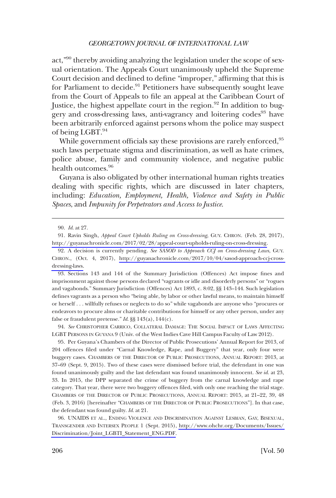act,"90 thereby avoiding analyzing the legislation under the scope of sexual orientation. The Appeals Court unanimously upheld the Supreme Court decision and declined to define "improper," affirming that this is for Parliament to decide.<sup>91</sup> Petitioners have subsequently sought leave from the Court of Appeals to file an appeal at the Caribbean Court of Justice, the highest appellate court in the region.<sup>92</sup> In addition to buggery and cross-dressing laws, anti-vagrancy and loitering codes<sup>93</sup> have been arbitrarily enforced against persons whom the police may suspect of being LGBT.<sup>94</sup>

While government officials say these provisions are rarely enforced, <sup>95</sup> such laws perpetuate stigma and discrimination, as well as hate crimes, police abuse, family and community violence, and negative public health outcomes.<sup>96</sup>

Guyana is also obligated by other international human rights treaties dealing with specific rights, which are discussed in later chapters, including: *Education, Employment, Health, Violence and Safety in Public Spaces*, and *Impunity for Perpetrators and Access to Justice*.

91. Ravin Singh, *Appeal Court Upholds Ruling on Cross-dressing*, GUY. CHRON. (Feb. 28, 2017), [http://guyanachronicle.com/2017/02/28/appeal-court-upholds-ruling-on-cross-dressing.](http://guyanachronicle.com/2017/02/28/appeal-court-upholds-ruling-on-cross-dressing)

93. Sections 143 and 144 of the Summary Jurisdiction (Offences) Act impose fines and imprisonment against those persons declared "vagrants or idle and disorderly persons" or "rogues and vagabonds." Summary Jurisdiction (Offences) Act 1893, c. 8:02, §§ 143–144. Such legislation defines vagrants as a person who "being able, by labor or other lawful means, to maintain himself or herself . . . willfully refuses or neglects to do so" while vagabonds are anyone who "procures or endeavors to procure alms or charitable contributions for himself or any other person, under any false or fraudulent pretense." *Id*. §§ 143(a), 144(c).

94. *See* CHRISTOPHER CARRICO, COLLATERAL DAMAGE: THE SOCIAL IMPACT OF LAWS AFFECTING LGBT PERSONS IN GUYANA 9 (Univ. of the West Indies Cave Hill Campus Faculty of Law 2012).

95. Per Guyana's Chambers of the Director of Public Prosecutions' Annual Report for 2013, of 204 offences filed under "Carnal Knowledge, Rape, and Buggery" that year, only four were buggery cases. CHAMBERS OF THE DIRECTOR OF PUBLIC PROSECUTIONS, ANNUAL REPORT: 2013, at 37–69 (Sept. 9, 2015). Two of these cases were dismissed before trial, the defendant in one was found unanimously guilty and the last defendant was found unanimously innocent. *See id*. at 23, 33. In 2015, the DPP separated the crime of buggery from the carnal knowledge and rape category. That year, there were two buggery offences filed, with only one reaching the trial stage. CHAMBERS OF THE DIRECTOR OF PUBLIC PROSECUTIONS, ANNUAL REPORT: 2015, at 21–22, 39, 48 (Feb. 3, 2016) [hereinafter "CHAMBERS OF THE DIRECTOR OF PUBLIC PROSECUTIONS"]. In that case, the defendant was found guilty. *Id*. at 21.

UNAIDS ET AL., ENDING VIOLENCE AND DISCRIMINATION AGAINST LESBIAN, GAY, BISEXUAL, 96. TRANSGENDER AND INTERSEX PEOPLE 1 (Sept. 2015), [http://www.ohchr.org/Documents/Issues/](http://www.ohchr.org/Documents/Issues/Discrimination/Joint_LGBTI_Statement_ENG.PDF)  [Discrimination/Joint\\_LGBTI\\_Statement\\_ENG.PDF.](http://www.ohchr.org/Documents/Issues/Discrimination/Joint_LGBTI_Statement_ENG.PDF)

<sup>90.</sup> *Id*. at 27.

A decision is currently pending. *See SASOD to Approach CCJ on Cross-dressing Laws*, GUY. 92. CHRON., (Oct. 4, 2017), [http://guyanachronicle.com/2017/10/04/sasod-approach-ccj-cross](http://guyanachronicle.com/2017/10/04/sasod-approach-ccj-cross-dressing-laws)[dressing-laws.](http://guyanachronicle.com/2017/10/04/sasod-approach-ccj-cross-dressing-laws)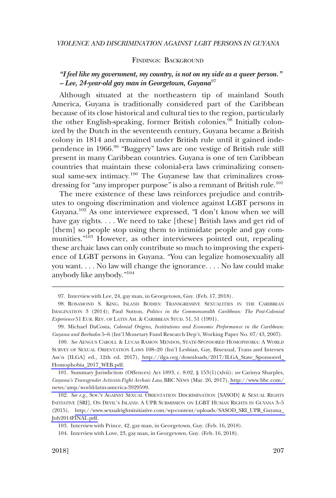#### FINDINGS: BACKGROUND

# <span id="page-30-0"></span>*"I feel like my government, my country, is not on my side as a queer person." – Lee, 24-year-old gay man in Georgetown, Guyana*<sup>97</sup>

Although situated at the northeastern tip of mainland South America, Guyana is traditionally considered part of the Caribbean because of its close historical and cultural ties to the region, particularly the other English-speaking, former British colonies.<sup>98</sup> Initially colonized by the Dutch in the seventeenth century, Guyana became a British colony in 1814 and remained under British rule until it gained independence in 1966.99 "Buggery" laws are one vestige of British rule still present in many Caribbean countries. Guyana is one of ten Caribbean countries that maintain these colonial-era laws criminalizing consensual same-sex intimacy.<sup>100</sup> The Guyanese law that criminalizes crossdressing for "any improper purpose" is also a remnant of British rule.<sup>101</sup>

The mere existence of these laws reinforces prejudice and contributes to ongoing discrimination and violence against LGBT persons in Guyana.102 As one interviewee expressed, "I don't know when we will have gay rights. . . . We need to take [these] British laws and get rid of [them] so people stop using them to intimidate people and gay communities."<sup>103</sup> However, as other interviewees pointed out, repealing these archaic laws can only contribute so much to improving the experience of LGBT persons in Guyana. "You can legalize homosexuality all you want. . . . No law will change the ignorance. . . . No law could make anybody like anybody."<sup>104</sup>

<sup>97.</sup> Interview with Lee, 24, gay man, in Georgetown, Guy. (Feb. 17, 2018).

<sup>98.</sup> ROSAMOND S. KING, ISLAND BODIES: TRANSGRESSIVE SEXUALITIES IN THE CARIBBEAN IMAGINATION 3 (2014); Paul Sutton, *Politics in the Commonwealth Caribbean: The Post-Colonial Experience* 51 EUR. REV. OF LATIN AM. & CARIBBEAN STUD. 51, 51 (1991).

<sup>99.</sup> Michael DaCosta, *Colonial Origins, Institutions and Economic Performance in the Caribbean: Guyana and Barbados* 5–6 (Int'l Monetary Fund Research Dep't, Working Paper No. 07/43, 2007).

<sup>100.</sup> See AENGUS CAROLL & LUCAS RAMON MENDOS, STATE-SPONSORED HOMOPHOBIA: A WORLD SURVEY OF SEXUAL ORIENTATION LAWS 108–20 (Int'l Lesbian, Gay, Bixexual, Trans and Intersex Ass'n [ILGA] ed., 12th ed. 2017), [http://ilga.org/downloads/2017/ILGA\\_State\\_Sponsored\\_](http://ilga.org/downloads/2017/ILGA_State_Sponsored_Homophobia_2017_WEB.pdf)  [Homophobia\\_2017\\_WEB.pdf.](http://ilga.org/downloads/2017/ILGA_State_Sponsored_Homophobia_2017_WEB.pdf)

<sup>101.</sup> Summary Jurisdiction (Offences) Act 1893, c. 8:02, § 153(1)(xlvii); *see* Carinya Sharples, *Guyana's Transgender Activists Fight Archaic Law*, BBC NEWS (Mar. 26, 2017), [http://www.bbc.com/](http://www.bbc.com/news/amp/world-latin-america-3929599)  [news/amp/world-latin-america-3929599](http://www.bbc.com/news/amp/world-latin-america-3929599).

<sup>102.</sup> See e.g., SOC'Y AGAINST SEXUAL ORIENTATION DISCRIMINATION [SASOD] & SEXUAL RIGHTS INITIATIVE [SRI], ON DEVIL'S ISLAND: A UPR SUBMISSION ON LGBT HUMAN RIGHTS IN GUYANA 3–5 (2015), [http://www.sexualrightsinitiative.com/wp-content/uploads/SASOD\\_SRI\\_UPR\\_Guyana\\_](http://www.sexualrightsinitiative.com/wp-content/uploads/SASOD_SRI_UPR_Guyana_July2014FINAL.pdf)  [July2014FINAL.pdf.](http://www.sexualrightsinitiative.com/wp-content/uploads/SASOD_SRI_UPR_Guyana_July2014FINAL.pdf)

<sup>103.</sup> Interview with Prince, 42, gay man, in Georgetown, Guy. (Feb. 16, 2018).

<sup>104.</sup> Interview with Love, 23, gay man, in Georgetown, Guy. (Feb. 16, 2018).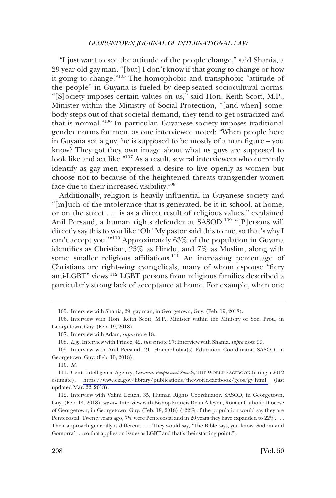"I just want to see the attitude of the people change," said Shania, a 29-year-old gay man, "[but] I don't know if that going to change or how it going to change."105 The homophobic and transphobic "attitude of the people" in Guyana is fueled by deep-seated sociocultural norms. "[S]ociety imposes certain values on us," said Hon. Keith Scott, M.P., Minister within the Ministry of Social Protection, "[and when] somebody steps out of that societal demand, they tend to get ostracized and that is normal."106 In particular, Guyanese society imposes traditional gender norms for men, as one interviewee noted: "When people here in Guyana see a guy, he is supposed to be mostly of a man figure – you know? They got they own image about what us guys are supposed to look like and act like."107 As a result, several interviewees who currently identify as gay men expressed a desire to live openly as women but choose not to because of the heightened threats transgender women face due to their increased visibility.<sup>108</sup>

Additionally, religion is heavily influential in Guyanese society and "[m]uch of the intolerance that is generated, be it in school, at home, or on the street . . . is as a direct result of religious values," explained Anil Persaud, a human rights defender at SASOD.<sup>109</sup> "[P]ersons will directly say this to you like 'Oh! My pastor said this to me, so that's why I can't accept you.'"110 Approximately 63% of the population in Guyana identifies as Christian, 25% as Hindu, and 7% as Muslim, along with some smaller religious affiliations.<sup>111</sup> An increasing percentage of Christians are right-wing evangelicals, many of whom espouse "fiery anti-LGBT" views.112 LGBT persons from religious families described a particularly strong lack of acceptance at home. For example, when one

<sup>105.</sup> Interview with Shania, 29, gay man, in Georgetown, Guy. (Feb. 19, 2018).

<sup>106.</sup> Interview with Hon. Keith Scott, M.P., Minister within the Ministry of Soc. Prot., in Georgetown, Guy. (Feb. 19, 2018).

<sup>107.</sup> Interview with Adam, *supra* note 18.

<sup>108.</sup> *E.g*., Interview with Prince, 42, *supra* note 97; Interview with Shania, *supra* note 99.

<sup>109.</sup> Interview with Anil Persaud, 21, Homophobia(s) Education Coordinator, SASOD, in Georgetown, Guy. (Feb. 15, 2018).

<sup>110.</sup> *Id*.

Cent. Intelligence Agency, *Guyana: People and Society*, THE WORLD FACTBOOK (citing a 2012 111. estimate), https://www.cia.gov/library/publications/the-world-factbook/geos/gy.html updated Mar. 22, 2018).

<sup>112.</sup> Interview with Valini Leitch, 35, Human Rights Coordinator, SASOD, in Georgetown, Guy. (Feb. 14, 2018); *see also* Interview with Bishop Francis Dean Alleyne, Roman Catholic Diocese of Georgetown, in Georgetown, Guy. (Feb. 18, 2018) ("22% of the population would say they are Pentecostal. Twenty years ago, 7% were Pentecostal and in 20 years they have expanded to  $22\%$ .... Their approach generally is different. . . . They would say, 'The Bible says, you know, Sodom and Gomorra' . . . so that applies on issues as LGBT and that's their starting point.").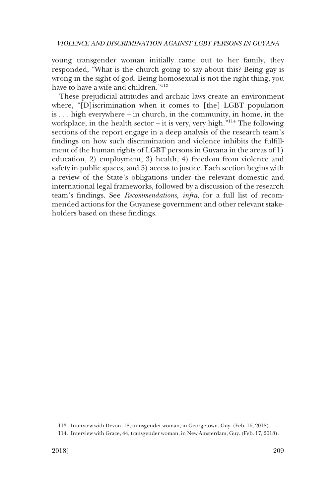young transgender woman initially came out to her family, they responded, "What is the church going to say about this? Being gay is wrong in the sight of god. Being homosexual is not the right thing, you have to have a wife and children."<sup>113</sup>

These prejudicial attitudes and archaic laws create an environment where, "[D]iscrimination when it comes to [the] LGBT population is . . . high everywhere – in church, in the community, in home, in the workplace, in the health sector – it is very, very high. $^{\cdot 114}$  The following sections of the report engage in a deep analysis of the research team's findings on how such discrimination and violence inhibits the fulfillment of the human rights of LGBT persons in Guyana in the areas of 1) education, 2) employment, 3) health, 4) freedom from violence and safety in public spaces, and 5) access to justice. Each section begins with a review of the State's obligations under the relevant domestic and international legal frameworks, followed by a discussion of the research team's findings. See *Recommendations, infra*, for a full list of recommended actions for the Guyanese government and other relevant stakeholders based on these findings.

<sup>113.</sup> Interview with Devon, 18, transgender woman, in Georgetown, Guy. (Feb. 16, 2018).

<sup>114.</sup> Interview with Grace, 44, transgender woman, in New Amsterdam, Guy. (Feb. 17, 2018).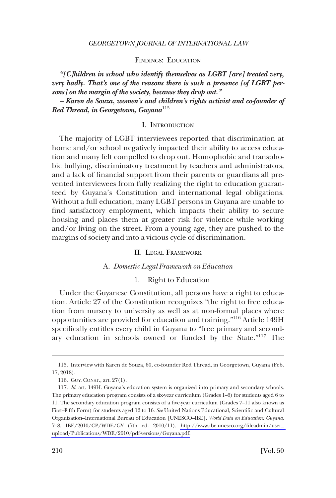FINDINGS: EDUCATION

<span id="page-33-0"></span>*"[C]hildren in school who identify themselves as LGBT [are] treated very, very badly. That's one of the reasons there is such a presence [of LGBT persons] on the margin of the society, because they drop out."* 

*– Karen de Souza, women's and children's rights activist and co-founder of Red Thread, in Georgetown, Guyana*<sup>115</sup>

#### I. INTRODUCTION

The majority of LGBT interviewees reported that discrimination at home and/or school negatively impacted their ability to access education and many felt compelled to drop out. Homophobic and transphobic bullying, discriminatory treatment by teachers and administrators, and a lack of financial support from their parents or guardians all prevented interviewees from fully realizing the right to education guaranteed by Guyana's Constitution and international legal obligations. Without a full education, many LGBT persons in Guyana are unable to find satisfactory employment, which impacts their ability to secure housing and places them at greater risk for violence while working and/or living on the street. From a young age, they are pushed to the margins of society and into a vicious cycle of discrimination.

#### II. LEGAL FRAMEWORK

# A. *Domestic Legal Framework on Education*

#### 1. Right to Education

Under the Guyanese Constitution, all persons have a right to education. Article 27 of the Constitution recognizes "the right to free education from nursery to university as well as at non-formal places where opportunities are provided for education and training."116 Article 149H specifically entitles every child in Guyana to "free primary and secondary education in schools owned or funded by the State."117 The

<sup>115.</sup> Interview with Karen de Souza, 60, co-founder Red Thread, in Georgetown, Guyana (Feb. 17, 2018).

<sup>116.</sup> GUY. CONST., art. 27(1).

<sup>117.</sup> *Id.* art. 149H. Guyana's education system is organized into primary and secondary schools. The primary education program consists of a six-year curriculum (Grades 1–6) for students aged 6 to 11. The secondary education program consists of a five-year curriculum (Grades 7–11 also known as First–Fifth Form) for students aged 12 to 16. *See* United Nations Educational, Scientific and Cultural Organization–International Bureau of Education [UNESCO–IBE], *World Data on Education: Guyana*, 7–8, IBE/2010/CP/WDE/GY (7th ed. 2010/11), [http://www.ibe.unesco.org/fileadmin/user\\_](http://www.ibe.unesco.org/fileadmin/user_upload/Publications/WDE/2010/pdf-versions/Guyana.pdf)  [upload/Publications/WDE/2010/pdf-versions/Guyana.pdf.](http://www.ibe.unesco.org/fileadmin/user_upload/Publications/WDE/2010/pdf-versions/Guyana.pdf)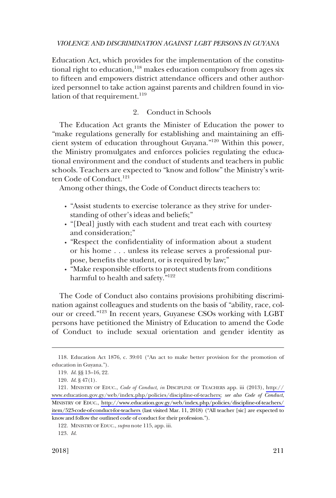<span id="page-34-0"></span>Education Act, which provides for the implementation of the constitutional right to education, $118$  makes education compulsory from ages six to fifteen and empowers district attendance officers and other authorized personnel to take action against parents and children found in violation of that requirement.<sup>119</sup>

# 2. Conduct in Schools

The Education Act grants the Minister of Education the power to "make regulations generally for establishing and maintaining an efficient system of education throughout Guyana."120 Within this power, the Ministry promulgates and enforces policies regulating the educational environment and the conduct of students and teachers in public schools. Teachers are expected to "know and follow" the Ministry's written Code of Conduct.<sup>121</sup>

Among other things, the Code of Conduct directs teachers to:

- � "Assist students to exercise tolerance as they strive for understanding of other's ideas and beliefs;"
- "[Deal] justly with each student and treat each with courtesy and consideration;"
- � "Respect the confidentiality of information about a student or his home . . . unless its release serves a professional purpose, benefits the student, or is required by law;"
- � "Make responsible efforts to protect students from conditions harmful to health and safety."<sup>122</sup>

The Code of Conduct also contains provisions prohibiting discrimination against colleagues and students on the basis of "ability, race, colour or creed."123 In recent years, Guyanese CSOs working with LGBT persons have petitioned the Ministry of Education to amend the Code of Conduct to include sexual orientation and gender identity as

<sup>118.</sup> Education Act 1876, c. 39:01 ("An act to make better provision for the promotion of education in Guyana.").

<sup>119.</sup> *Id*. §§ 13–16, 22.

<sup>120.</sup> *Id*. § 47(1).

<sup>121.</sup> MINISTRY OF EDUC., *Code of Conduct, in* DISCIPLINE OF TEACHERS app. iii (2013), http:// [www.education.gov.gy/web/index.php/policies/discipline-of-teachers;](http://www.education.gov.gy/web/index.php/policies/discipline-of-teachers) *see also Code of Conduct*, MINISTRY OF EDUC., [http://www.education.gov.gy/web/index.php/policies/discipline-of-teachers/](http://www.education.gov.gy/web/index.php/policies/discipline-of-teachers/item/523-code-of-conduct-for-teachers)  [item/523-code-of-conduct-for-teachers](http://www.education.gov.gy/web/index.php/policies/discipline-of-teachers/item/523-code-of-conduct-for-teachers) (last visited Mar. 11, 2018) ("All teacher [sic] are expected to know and follow the outlined code of conduct for their profession.").

<sup>122.</sup> MINISTRY OF EDUC., *supra* note 115, app. iii.

<sup>123.</sup> *Id*.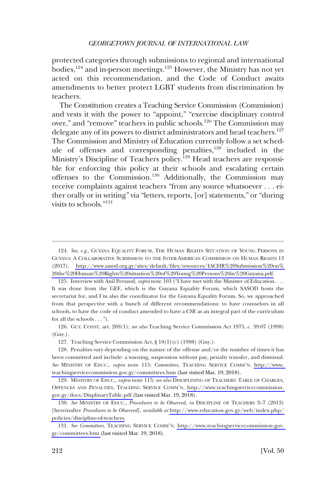protected categories through submissions to regional and international bodies,<sup>124</sup> and in-person meetings.<sup>125</sup> However, the Ministry has not yet acted on this recommendation, and the Code of Conduct awaits amendments to better protect LGBT students from discrimination by teachers.

The Constitution creates a Teaching Service Commission (Commission) and vests it with the power to "appoint," "exercise disciplinary control over," and "remove" teachers in public schools.126 The Commission may delegate any of its powers to district administrators and head teachers.<sup>127</sup> The Commission and Ministry of Education currently follow a set schedule of offenses and corresponding penalties, $128$  included in the Ministry's Discipline of Teachers policy.<sup>129</sup> Head teachers are responsible for enforcing this policy at their schools and escalating certain offenses to the Commission.130 Additionally, the Commission may receive complaints against teachers "from any source whatsoever . . . either orally or in writing" via "letters, reports, [or] statements," or "during visits to schools."131

126. GUY. CONST. art. 209(1); *see also* Teaching Service Commission Act 1975, c. 39:07 (1998) (Guy.).

127. Teaching Service Commission Act, § 10(1)(c) (1998) (Guy.).

<sup>124.</sup> See, e.g., GUYANA EQUALITY FORUM, THE HUMAN RIGHTS SITUATION OF YOUNG PERSONS IN GUYANA: A COLLABORATIVE SUBMISSION TO THE INTER-AMERICAN COMMISSION ON HUMAN RIGHTS 13 (2017), [http://www.sasod.org.gy/sites/default/files/resources/IACHR%20Submission%20on%](http://www.sasod.org.gy/sites/default/files/resources/IACHR%20Submission%20on%20the%20Human%20Rights%20situation%20of%20Young%20Persons%20in%20Guyana.pdf)  [20the%20Human%20Rights%20situation%20of%20Young%20Persons%20in%20Guyana.pdf.](http://www.sasod.org.gy/sites/default/files/resources/IACHR%20Submission%20on%20the%20Human%20Rights%20situation%20of%20Young%20Persons%20in%20Guyana.pdf)

<sup>125.</sup> Interview with Anil Persaud, *supra* note 103 ("I have met with the Minister of Education. . . . It was done from the GEF, which is the Guyana Equality Forum, which SASOD hosts the secretariat for, and I'm also the coordinator for the Guyana Equality Forum. So, we approached from that perspective with a bunch of different recommendations: to have counselors in all schools, to have the code of conduct amended to have a CSE as an integral part of the curriculum for all the schools . . . ").

<sup>128.</sup> Penalties vary depending on the nature of the offense and/or the number of times it has been committed and include: a warning, suspension without pay, penalty transfer, and dismissal. *See* MINISTRY OF EDUC., *supra* note 115; *Committees*, TEACHING SERVICE COMM'N, [http://www.](http://www.teachingservicecommission.gov.gy/committees.htm)  [teachingservicecommission.gov.gy/committees.htm](http://www.teachingservicecommission.gov.gy/committees.htm) (last visited Mar. 19, 2018).

<sup>129.</sup> MINISTRY OF EDUC., *supra* note 115; *see also* DISCIPLINING OF TEACHERS: TABLE OF CHARGES, OFFENCES AND PENALTIES, TEACHING SERVICE COMM'N, [http://www.teachingservicecommission.](http://www.teachingservicecommission.gov.gy/docs/DisplinaryTable.pdf)  [gov.gy/docs/DisplinaryTable.pdf](http://www.teachingservicecommission.gov.gy/docs/DisplinaryTable.pdf) (last visited Mar. 19, 2018).

<sup>130.</sup> See MINISTRY OF EDUC., *Procedures to be Observed, in* DISCIPLINE OF TEACHERS 3-7 (2013) [hereinafter *Procedures to be Observed*], *available at* [http://www.education.gov.gy/web/index.php/](http://www.education.gov.gy/web/index.php/policies/discipline-of-teachers)  [policies/discipline-of-teachers.](http://www.education.gov.gy/web/index.php/policies/discipline-of-teachers)

<sup>131.</sup> *See Committees*, TEACHING SERVICE COMM'N, [http://www.teachingservicecommission.gov.](http://www.teachingservicecommission.gov.gy/committees.htm)  [gy/committees.htm \(](http://www.teachingservicecommission.gov.gy/committees.htm)last visited Mar. 19, 2018).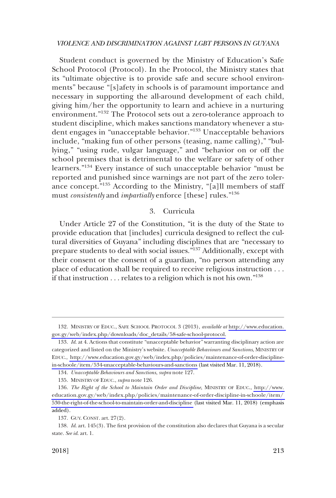Student conduct is governed by the Ministry of Education's Safe School Protocol (Protocol). In the Protocol, the Ministry states that its "ultimate objective is to provide safe and secure school environments" because "[s]afety in schools is of paramount importance and necessary in supporting the all-around development of each child, giving him/her the opportunity to learn and achieve in a nurturing environment."<sup>132</sup> The Protocol sets out a zero-tolerance approach to student discipline, which makes sanctions mandatory whenever a student engages in "unacceptable behavior."<sup>133</sup> Unacceptable behaviors include, "making fun of other persons (teasing, name calling)," "bullying," "using rude, vulgar language," and "behavior on or off the school premises that is detrimental to the welfare or safety of other learners."134 Every instance of such unacceptable behavior "must be reported and punished since warnings are not part of the zero tolerance concept."135 According to the Ministry, "[a]ll members of staff must *consistently* and *impartially* enforce [these] rules."<sup>136</sup>

## 3. Curricula

Under Article 27 of the Constitution, "it is the duty of the State to provide education that [includes] curricula designed to reflect the cultural diversities of Guyana" including disciplines that are "necessary to prepare students to deal with social issues."137 Additionally, except with their consent or the consent of a guardian, "no person attending any place of education shall be required to receive religious instruction . . . if that instruction  $\dots$  relates to a religion which is not his own."<sup>138</sup>

<sup>132.</sup> MINISTRY OF EDUC., SAFE SCHOOL PROTOCOL 3 (2013), *available at* http://www.education. [gov.gy/web/index.php/downloads/doc\\_details/58-safe-school-protocol.](http://www.education.gov.gy/web/index.php/downloads/doc_details/58-safe-school-protocol)

<sup>133.</sup> Id. at 4. Actions that constitute "unacceptable behavior" warranting disciplinary action are categorized and listed on the Ministry's website. *Unacceptable Behaviours and Sanctions*, MINISTRY OF EDUC., [http://www.education.gov.gy/web/index.php/policies/maintenance-of-order-discipline](http://www.education.gov.gy/web/index.php/policies/maintenance-of-order-discipline-in-schoole/item/534-unacceptable-behaviours-and-sanctions)[in-schoole/item/534-unacceptable-behaviours-and-sanctions](http://www.education.gov.gy/web/index.php/policies/maintenance-of-order-discipline-in-schoole/item/534-unacceptable-behaviours-and-sanctions) (last visited Mar. 11, 2018).

<sup>134.</sup> *Unacceptable Behaviours and Sanctions*, *supra* note 127.

<sup>135.</sup> MINISTRY OF EDUC., *supra* note 126.

*The Right of the School to Maintain Order and Discipline*, MINISTRY OF EDUC., [http://www.](http://www.education.gov.gy/web/index.php/policies/maintenance-of-order-discipline-in-schoole/item/530-the-right-of-the-school-to-maintain-order-and-discipline)  136. [education.gov.gy/web/index.php/policies/maintenance-of-order-discipline-in-schoole/item/](http://www.education.gov.gy/web/index.php/policies/maintenance-of-order-discipline-in-schoole/item/530-the-right-of-the-school-to-maintain-order-and-discipline)  [530-the-right-of-the-school-to-maintain-order-and-discipline](http://www.education.gov.gy/web/index.php/policies/maintenance-of-order-discipline-in-schoole/item/530-the-right-of-the-school-to-maintain-order-and-discipline) (last visited Mar. 11, 2018) (emphasis added).

<sup>137.</sup> GUY. CONST. art. 27(2).

<sup>138.</sup> *Id*. art. 145(3). The first provision of the constitution also declares that Guyana is a secular state. *See id*. art. 1.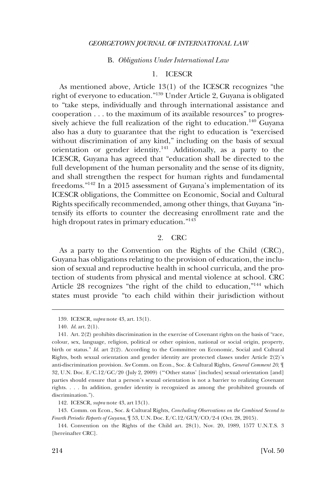#### B. *Obligations Under International Law*

## 1. ICESCR

As mentioned above, Article 13(1) of the ICESCR recognizes "the right of everyone to education."139 Under Article 2, Guyana is obligated to "take steps, individually and through international assistance and cooperation . . . to the maximum of its available resources" to progressively achieve the full realization of the right to education.<sup>140</sup> Guyana also has a duty to guarantee that the right to education is "exercised without discrimination of any kind," including on the basis of sexual orientation or gender identity.141 Additionally, as a party to the ICESCR, Guyana has agreed that "education shall be directed to the full development of the human personality and the sense of its dignity, and shall strengthen the respect for human rights and fundamental freedoms."142 In a 2015 assessment of Guyana's implementation of its ICESCR obligations, the Committee on Economic, Social and Cultural Rights specifically recommended, among other things, that Guyana "intensify its efforts to counter the decreasing enrollment rate and the high dropout rates in primary education."143

### 2. CRC

As a party to the Convention on the Rights of the Child (CRC), Guyana has obligations relating to the provision of education, the inclusion of sexual and reproductive health in school curricula, and the protection of students from physical and mental violence at school. CRC Article 28 recognizes "the right of the child to education,"<sup>144</sup> which states must provide "to each child within their jurisdiction without

<sup>139.</sup> ICESCR, *supra* note 43, art. 13(1).

<sup>140.</sup> *Id*. art. 2(1).

<sup>141.</sup> Art. 2(2) prohibits discrimination in the exercise of Covenant rights on the basis of "race, colour, sex, language, religion, political or other opinion, national or social origin, property, birth or status." *Id.* art 2(2). According to the Committee on Economic, Social and Cultural Rights, both sexual orientation and gender identity are protected classes under Article 2(2)'s anti-discrimination provision. *See* Comm. on Econ., Soc. & Cultural Rights, *General Comment 20*, ¶ 32, U.N. Doc. E/C.12/GC/20 (July 2, 2009) ("'Other status' [includes] sexual orientation [and] parties should ensure that a person's sexual orientation is not a barrier to realizing Covenant rights. . . . In addition, gender identity is recognized as among the prohibited grounds of discrimination.").

<sup>142.</sup> ICESCR, *supra* note 43, art 13(1).

<sup>143.</sup> Comm. on Econ., Soc. & Cultural Rights, *Concluding Observations on the Combined Second to Fourth Periodic Reports of Guyana*, ¶ 53, U.N. Doc. E/C.12/GUY/CO/2-4 (Oct. 28, 2015).

<sup>144.</sup> Convention on the Rights of the Child art. 28(1), Nov. 20, 1989, 1577 U.N.T.S. 3 [hereinafter CRC].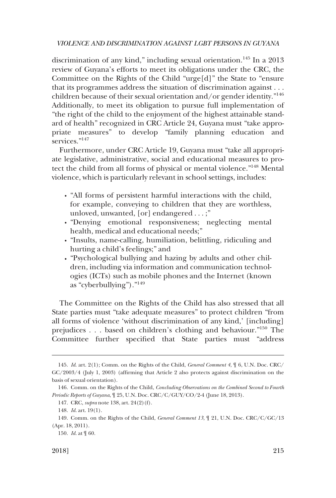discrimination of any kind," including sexual orientation.145 In a 2013 review of Guyana's efforts to meet its obligations under the CRC, the Committee on the Rights of the Child "urge[d]" the State to "ensure that its programmes address the situation of discrimination against . . . children because of their sexual orientation and/or gender identity."146 Additionally, to meet its obligation to pursue full implementation of "the right of the child to the enjoyment of the highest attainable standard of health" recognized in CRC Article 24, Guyana must "take appropriate measures" to develop "family planning education and services."<sup>147</sup>

Furthermore, under CRC Article 19, Guyana must "take all appropriate legislative, administrative, social and educational measures to protect the child from all forms of physical or mental violence."148 Mental violence, which is particularly relevant in school settings, includes:

- � "All forms of persistent harmful interactions with the child, for example, conveying to children that they are worthless, unloved, unwanted, [or] endangered . . . ;"
- � "Denying emotional responsiveness; neglecting mental health, medical and educational needs;"
- � "Insults, name-calling, humiliation, belittling, ridiculing and hurting a child's feelings;" and
- � "Psychological bullying and hazing by adults and other children, including via information and communication technologies (ICTs) such as mobile phones and the Internet (known as "cyberbullying")."<sup>149</sup>

The Committee on the Rights of the Child has also stressed that all State parties must "take adequate measures" to protect children "from all forms of violence 'without discrimination of any kind,' [including] prejudices . . . based on children's clothing and behaviour."150 The Committee further specified that State parties must "address

<sup>145.</sup> *Id*. art. 2(1); Comm. on the Rights of the Child, *General Comment 4*, ¶ 6, U.N. Doc. CRC/ GC/2003/4 (July 1, 2003) (affirming that Article 2 also protects against discrimination on the basis of sexual orientation).

<sup>146.</sup> Comm. on the Rights of the Child, *Concluding Observations on the Combined Second to Fourth Periodic Reports of Guyana*, ¶ 25, U.N. Doc. CRC/C/GUY/CO/2-4 (June 18, 2013).

<sup>147.</sup> CRC, *supra* note 138, art. 24(2)(f).

<sup>148.</sup> *Id*. art. 19(1).

<sup>149.</sup> Comm. on the Rights of the Child, *General Comment 13*, ¶ 21, U.N. Doc. CRC/C/GC/13 (Apr. 18, 2011).

<sup>150.</sup> *Id*. at ¶ 60.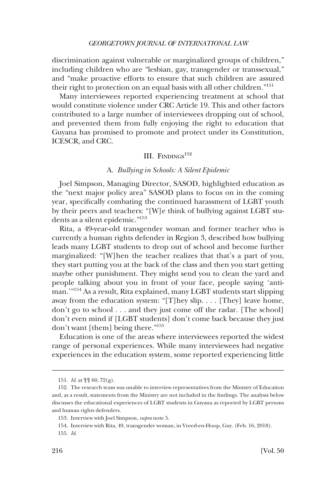discrimination against vulnerable or marginalized groups of children," including children who are "lesbian, gay, transgender or transsexual," and "make proactive efforts to ensure that such children are assured their right to protection on an equal basis with all other children."151

Many interviewees reported experiencing treatment at school that would constitute violence under CRC Article 19. This and other factors contributed to a large number of interviewees dropping out of school, and prevented them from fully enjoying the right to education that Guyana has promised to promote and protect under its Constitution, ICESCR, and CRC.

# III. FINDINGS<sup>152</sup>

## A. *Bullying in Schools: A Silent Epidemic*

Joel Simpson, Managing Director, SASOD, highlighted education as the "next major policy area" SASOD plans to focus on in the coming year, specifically combating the continued harassment of LGBT youth by their peers and teachers: "[W]e think of bullying against LGBT students as a silent epidemic."153

Rita, a 49-year-old transgender woman and former teacher who is currently a human rights defender in Region 3, described how bullying leads many LGBT students to drop out of school and become further marginalized: "[W]hen the teacher realizes that that's a part of you, they start putting you at the back of the class and then you start getting maybe other punishment. They might send you to clean the yard and people talking about you in front of your face, people saying 'antiman.'"154 As a result, Rita explained, many LGBT students start slipping away from the education system: "[T]hey slip. . . . [They] leave home, don't go to school . . . and they just come off the radar. [The school] don't even mind if [LGBT students] don't come back because they just don't want [them] being there."155

Education is one of the areas where interviewees reported the widest range of personal experiences. While many interviewees had negative experiences in the education system, some reported experiencing little

<sup>151.</sup> *Id*. at ¶¶ 60, 72(g).

<sup>152.</sup> The research team was unable to interview representatives from the Ministry of Education and, as a result, statements from the Ministry are not included in the findings. The analysis below discusses the educational experiences of LGBT students in Guyana as reported by LGBT persons and human rights defenders.

<sup>153.</sup> Interview with Joel Simpson, *supra* note 5.

<sup>154.</sup> Interview with Rita, 49, transgender woman, in Vreed-en-Hoop, Guy. (Feb. 16, 2018).

<sup>155.</sup> *Id*.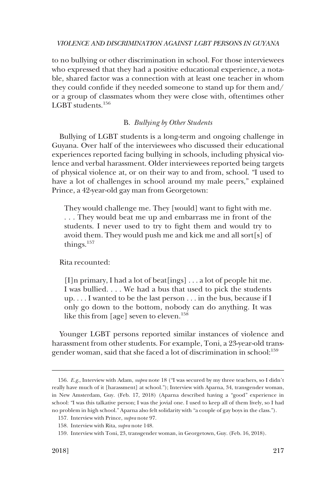to no bullying or other discrimination in school. For those interviewees who expressed that they had a positive educational experience, a notable, shared factor was a connection with at least one teacher in whom they could confide if they needed someone to stand up for them and/ or a group of classmates whom they were close with, oftentimes other LGBT students.156

### B. *Bullying by Other Students*

Bullying of LGBT students is a long-term and ongoing challenge in Guyana. Over half of the interviewees who discussed their educational experiences reported facing bullying in schools, including physical violence and verbal harassment. Older interviewees reported being targets of physical violence at, or on their way to and from, school. "I used to have a lot of challenges in school around my male peers," explained Prince, a 42-year-old gay man from Georgetown:

They would challenge me. They [would] want to fight with me. . . . They would beat me up and embarrass me in front of the students. I never used to try to fight them and would try to avoid them. They would push me and kick me and all sort[s] of things. $157$ 

#### Rita recounted:

[I]n primary, I had a lot of beat[ings] . . . a lot of people hit me. I was bullied. . . . We had a bus that used to pick the students up. . . . I wanted to be the last person . . . in the bus, because if I only go down to the bottom, nobody can do anything. It was like this from [age] seven to eleven.<sup>158</sup>

Younger LGBT persons reported similar instances of violence and harassment from other students. For example, Toni, a 23-year-old transgender woman, said that she faced a lot of discrimination in school:<sup>159</sup>

<sup>156.</sup> *E.g*., Interview with Adam, *supra* note 18 ("I was secured by my three teachers, so I didn't really have much of it [harassment] at school."); Interview with Aparna, 34, transgender woman, in New Amsterdam, Guy. (Feb. 17, 2018) (Aparna described having a "good" experience in school: "I was this talkative person; I was the jovial one. I used to keep all of them lively, so I had no problem in high school." Aparna also felt solidarity with "a couple of gay boys in the class.").

<sup>157.</sup> Interview with Prince, *supra* note 97.

<sup>158.</sup> Interview with Rita, *supra* note 148.

<sup>159.</sup> Interview with Toni, 23, transgender woman, in Georgetown, Guy. (Feb. 16, 2018).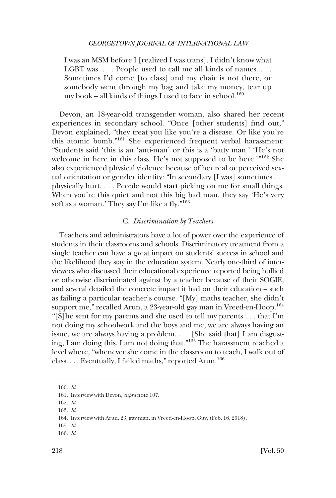I was an MSM before I [realized I was trans]. I didn't know what LGBT was. . . . People used to call me all kinds of names. . . . Sometimes I'd come [to class] and my chair is not there, or somebody went through my bag and take my money, tear up my book – all kinds of things I used to face in school.<sup>160</sup>

Devon, an 18-year-old transgender woman, also shared her recent experiences in secondary school. "Once [other students] find out," Devon explained, "they treat you like you're a disease. Or like you're this atomic bomb."161 She experienced frequent verbal harassment: "Students said 'this is an 'anti-man' or this is a 'batty man.' 'He's not welcome in here in this class. He's not supposed to be here.'"162 She also experienced physical violence because of her real or perceived sexual orientation or gender identity: "In secondary [I was] sometimes . . . physically hurt. . . . People would start picking on me for small things. When you're this quiet and not this big bad man, they say 'He's very soft as a woman.' They say I'm like a fly."<sup>163</sup>

# C. *Discrimination by Teachers*

Teachers and administrators have a lot of power over the experience of students in their classrooms and schools. Discriminatory treatment from a single teacher can have a great impact on students' success in school and the likelihood they stay in the education system. Nearly one-third of interviewees who discussed their educational experience reported being bullied or otherwise discriminated against by a teacher because of their SOGIE, and several detailed the concrete impact it had on their education – such as failing a particular teacher's course. "[My] maths teacher, she didn't support me," recalled Arun, a 23-year-old gay man in Vreed-en-Hoop.<sup>164</sup> "[S]he sent for my parents and she used to tell my parents . . . that I'm not doing my schoolwork and the boys and me, we are always having an issue, we are always having a problem. . . . [She said that] I am disgusting, I am doing this, I am not doing that."165 The harassment reached a level where, "whenever she come in the classroom to teach, I walk out of class. . . . Eventually, I failed maths," reported Arun.<sup>166</sup>

<sup>160.</sup> *Id*.

<sup>161.</sup> Interview with Devon, *supra* note 107.

<sup>162.</sup> *Id*.

<sup>163.</sup> *Id*.

<sup>164.</sup> Interview with Arun, 23, gay man, in Vreed-en-Hoop, Guy. (Feb. 16, 2018).

<sup>165.</sup> *Id*.

<sup>166.</sup> *Id*.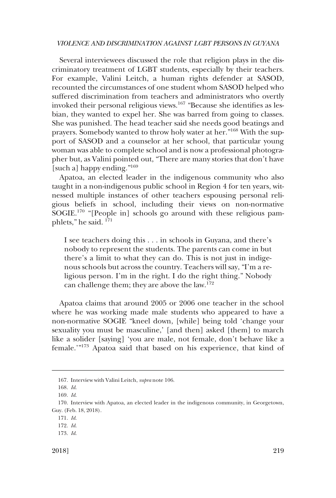Several interviewees discussed the role that religion plays in the discriminatory treatment of LGBT students, especially by their teachers. For example, Valini Leitch, a human rights defender at SASOD, recounted the circumstances of one student whom SASOD helped who suffered discrimination from teachers and administrators who overtly invoked their personal religious views.167 "Because she identifies as lesbian, they wanted to expel her. She was barred from going to classes. She was punished. The head teacher said she needs good beatings and prayers. Somebody wanted to throw holy water at her."168 With the support of SASOD and a counselor at her school, that particular young woman was able to complete school and is now a professional photographer but, as Valini pointed out, "There are many stories that don't have [such a] happy ending."<sup>169</sup>

Apatoa, an elected leader in the indigenous community who also taught in a non-indigenous public school in Region 4 for ten years, witnessed multiple instances of other teachers espousing personal religious beliefs in school, including their views on non-normative SOGIE.170 "[People in] schools go around with these religious pamphlets," he said. 171

I see teachers doing this . . . in schools in Guyana, and there's nobody to represent the students. The parents can come in but there's a limit to what they can do. This is not just in indigenous schools but across the country. Teachers will say, "I'm a religious person. I'm in the right. I do the right thing." Nobody can challenge them; they are above the law.<sup>172</sup>

Apatoa claims that around 2005 or 2006 one teacher in the school where he was working made male students who appeared to have a non-normative SOGIE "kneel down, [while] being told 'change your sexuality you must be masculine,' [and then] asked [them] to march like a solider [saying] 'you are male, not female, don't behave like a female.'"173 Apatoa said that based on his experience, that kind of

<sup>167.</sup> Interview with Valini Leitch, *supra* note 106.

<sup>168.</sup> *Id*.

<sup>169.</sup> *Id*.

<sup>170.</sup> Interview with Apatoa, an elected leader in the indigenous community, in Georgetown, Guy. (Feb. 18, 2018).

<sup>171.</sup> *Id*.

<sup>172.</sup> *Id*.

<sup>173.</sup> *Id*.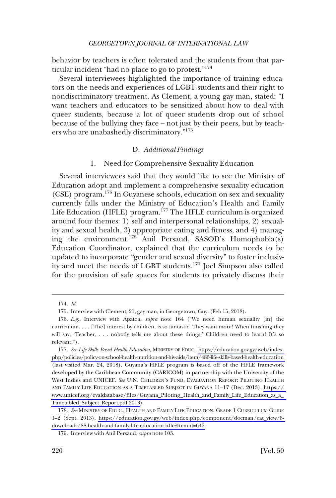behavior by teachers is often tolerated and the students from that particular incident "had no place to go to protest."<sup>174</sup>

Several interviewees highlighted the importance of training educators on the needs and experiences of LGBT students and their right to nondiscriminatory treatment. As Clement, a young gay man, stated: "I want teachers and educators to be sensitized about how to deal with queer students, because a lot of queer students drop out of school because of the bullying they face – not just by their peers, but by teachers who are unabashedly discriminatory."<sup>175</sup>

#### D. *Additional Findings*

### 1. Need for Comprehensive Sexuality Education

Several interviewees said that they would like to see the Ministry of Education adopt and implement a comprehensive sexuality education (CSE) program.176 In Guyanese schools, education on sex and sexuality currently falls under the Ministry of Education's Health and Family Life Education (HFLE) program.<sup>177</sup> The HFLE curriculum is organized around four themes: 1) self and interpersonal relationships, 2) sexuality and sexual health, 3) appropriate eating and fitness, and 4) managing the environment.178 Anil Persaud, SASOD's Homophobia(s) Education Coordinator, explained that the curriculum needs to be updated to incorporate "gender and sexual diversity" to foster inclusivity and meet the needs of LGBT students.179 Joel Simpson also called for the provision of safe spaces for students to privately discuss their

<sup>174.</sup> *Id*.

<sup>175.</sup> Interview with Clement, 21, gay man, in Georgetown, Guy. (Feb 15, 2018).

<sup>176.</sup> *E.g*., Interview with Apatoa, *supra* note 164 ("We need human sexuality [in] the curriculum. . . . [The] interest by children, is so fantastic. They want more! When finishing they will say, 'Teacher, . . . nobody tells me about these things.' Children need to learn! It's so relevant!").

<sup>177.</sup> See Life Skills Based Health Education, MINISTRY OF EDUC., https://education.gov.gy/web/index. [php/policies/policy-on-school-health-nutrition-and-hiv-aids/item/486-life-skills-based-health-education](https://education.gov.gy/web/index.php/policies/policy-on-school-health-nutrition-and-hiv-aids/item/486-life-skills-based-health-education)  (last visited Mar. 24, 2018). Guyana's HFLE program is based off of the HFLE framework developed by the Caribbean Community (CARICOM) in partnership with the University of the West Indies and UNICEF. *See* U.N. CHILDREN'S FUND, EVALUATION REPORT: PILOTING HEALTH AND FAMILY LIFE EDUCATION AS A TIMETABLED SUBJECT IN GUYANA 11–17 (Dec. 2013), [https://](https://www.unicef.org/evaldatabase/files/Guyana_Piloting_Health_and_Family_Life_Education_as_a_Timetabled_Subject_Report.pdf.2013)  [www.unicef.org/evaldatabase/files/Guyana\\_Piloting\\_Health\\_and\\_Family\\_Life\\_Education\\_as\\_a\\_](https://www.unicef.org/evaldatabase/files/Guyana_Piloting_Health_and_Family_Life_Education_as_a_Timetabled_Subject_Report.pdf.2013)  [Timetabled\\_Subject\\_Report.pdf.2013\)](https://www.unicef.org/evaldatabase/files/Guyana_Piloting_Health_and_Family_Life_Education_as_a_Timetabled_Subject_Report.pdf.2013).

<sup>178.</sup> See MINISTRY OF EDUC., HEALTH AND FAMILY LIFE EDUCATION: GRADE 1 CURRICULUM GUIDE 1–2 (Sept. 2013), [https://education.gov.gy/web/index.php/component/docman/cat\\_view/8](https://education.gov.gy/web/index.php/component/docman/cat_view/8-downloads/88-health-and-family-life-education-hfle?Itemid=642)  [downloads/88-health-and-family-life-education-hfle?Itemid=642.](https://education.gov.gy/web/index.php/component/docman/cat_view/8-downloads/88-health-and-family-life-education-hfle?Itemid=642)

<sup>179.</sup> Interview with Anil Persaud, *supra* note 103.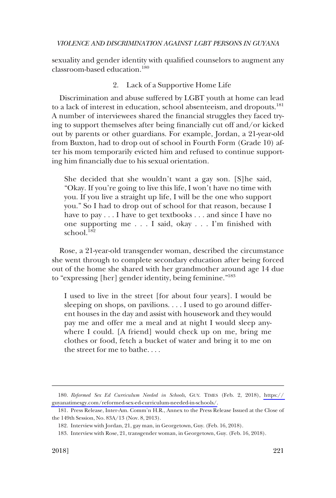sexuality and gender identity with qualified counselors to augment any classroom-based education.180

## 2. Lack of a Supportive Home Life

Discrimination and abuse suffered by LGBT youth at home can lead to a lack of interest in education, school absenteeism, and dropouts.<sup>181</sup> A number of interviewees shared the financial struggles they faced trying to support themselves after being financially cut off and/or kicked out by parents or other guardians. For example, Jordan, a 21-year-old from Buxton, had to drop out of school in Fourth Form (Grade 10) after his mom temporarily evicted him and refused to continue supporting him financially due to his sexual orientation.

She decided that she wouldn't want a gay son. [S]he said, "Okay. If you're going to live this life, I won't have no time with you. If you live a straight up life, I will be the one who support you." So I had to drop out of school for that reason, because I have to pay  $\dots$  I have to get textbooks  $\dots$  and since I have no one supporting me . . . I said, okay . . . I'm finished with school.<sup>182</sup>

Rose, a 21-year-old transgender woman, described the circumstance she went through to complete secondary education after being forced out of the home she shared with her grandmother around age 14 due to "expressing [her] gender identity, being feminine."183

I used to live in the street [for about four years]. I would be sleeping on shops, on pavilions. . . . I used to go around different houses in the day and assist with housework and they would pay me and offer me a meal and at night I would sleep anywhere I could. [A friend] would check up on me, bring me clothes or food, fetch a bucket of water and bring it to me on the street for me to bathe. . . .

*Reformed Sex Ed Curriculum Needed in Schools*, GUY. TIMES (Feb. 2, 2018), [https://](https://guyanatimesgy.com/reformed-sex-ed-curriculum-needed-in-schools/)  180. [guyanatimesgy.com/reformed-sex-ed-curriculum-needed-in-schools/.](https://guyanatimesgy.com/reformed-sex-ed-curriculum-needed-in-schools/)

<sup>181.</sup> Press Release, Inter-Am. Comm'n H.R., Annex to the Press Release Issued at the Close of the 149th Session, No. 83A/13 (Nov. 8, 2013).

<sup>182.</sup> Interview with Jordan, 21, gay man, in Georgetown, Guy. (Feb. 16, 2018).

<sup>183.</sup> Interview with Rose, 21, transgender woman, in Georgetown, Guy. (Feb. 16, 2018).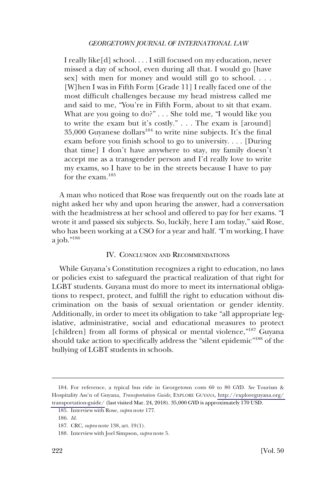I really like[d] school. . . . I still focused on my education, never missed a day of school, even during all that. I would go [have sex] with men for money and would still go to school. . . . [W]hen I was in Fifth Form [Grade 11] I really faced one of the most difficult challenges because my head mistress called me and said to me, "You're in Fifth Form, about to sit that exam. What are you going to do?" . . . She told me, "I would like you to write the exam but it's costly." . . . The exam is [around] 35,000 Guyanese dollars<sup>184</sup> to write nine subjects. It's the final exam before you finish school to go to university. . . . [During that time] I don't have anywhere to stay, my family doesn't accept me as a transgender person and I'd really love to write my exams, so I have to be in the streets because I have to pay for the exam.<sup>185</sup>

A man who noticed that Rose was frequently out on the roads late at night asked her why and upon hearing the answer, had a conversation with the headmistress at her school and offered to pay for her exams. "I wrote it and passed six subjects. So, luckily, here I am today," said Rose, who has been working at a CSO for a year and half. "I'm working, I have a job."186

## IV. CONCLUSION AND RECOMMENDATIONS

While Guyana's Constitution recognizes a right to education, no laws or policies exist to safeguard the practical realization of that right for LGBT students. Guyana must do more to meet its international obligations to respect, protect, and fulfill the right to education without discrimination on the basis of sexual orientation or gender identity. Additionally, in order to meet its obligation to take "all appropriate legislative, administrative, social and educational measures to protect [children] from all forms of physical or mental violence,"<sup>187</sup> Guyana should take action to specifically address the "silent epidemic"188 of the bullying of LGBT students in schools.

<sup>184.</sup> For reference, a typical bus ride in Georgetown costs 60 to 80 GYD. See Tourism & Hospitality Ass'n of Guyana, *Transportation Guide*, EXPLORE GUYANA, [http://exploreguyana.org/](http://exploreguyana.org/transportation-guide/)  [transportation-guide/](http://exploreguyana.org/transportation-guide/) (last visited Mar. 24, 2018). 35,000 GYD is approximately 170 USD.

<sup>185.</sup> Interview with Rose, *supra* note 177.

<sup>186.</sup> *Id*.

<sup>187.</sup> CRC, *supra* note 138, art. 19(1).

<sup>188.</sup> Interview with Joel Simpson, *supra* note 5.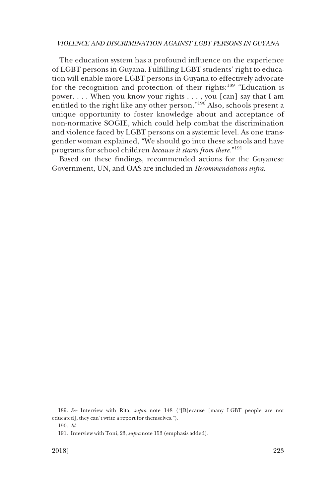The education system has a profound influence on the experience of LGBT persons in Guyana. Fulfilling LGBT students' right to education will enable more LGBT persons in Guyana to effectively advocate for the recognition and protection of their rights:<sup>189</sup> "Education is power. . . . When you know your rights . . . , you [can] say that I am entitled to the right like any other person."190 Also, schools present a unique opportunity to foster knowledge about and acceptance of non-normative SOGIE, which could help combat the discrimination and violence faced by LGBT persons on a systemic level. As one transgender woman explained, "We should go into these schools and have programs for school children *because it starts from there*."<sup>191</sup>

Based on these findings, recommended actions for the Guyanese Government, UN, and OAS are included in *Recommendations infra*.

<sup>189.</sup> *See* Interview with Rita, *supra* note 148 ("[B]ecause [many LGBT people are not educated], they can't write a report for themselves.").

<sup>190.</sup> *Id*.

<sup>191.</sup> Interview with Toni, 23, *supra* note 153 (emphasis added).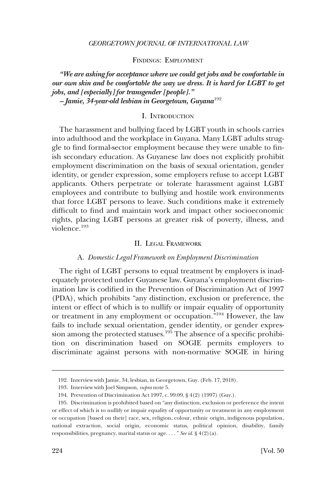#### FINDINGS: EMPLOYMENT

*"We are asking for acceptance where we could get jobs and be comfortable in our own skin and be comfortable the way we dress. It is hard for LGBT to get jobs, and [especially] for transgender [people]." – Jamie, 34-year-old lesbian in Georgetown, Guyana*<sup>192</sup>

## I. INTRODUCTION

The harassment and bullying faced by LGBT youth in schools carries into adulthood and the workplace in Guyana. Many LGBT adults struggle to find formal-sector employment because they were unable to finish secondary education. As Guyanese law does not explicitly prohibit employment discrimination on the basis of sexual orientation, gender identity, or gender expression, some employers refuse to accept LGBT applicants. Others perpetrate or tolerate harassment against LGBT employees and contribute to bullying and hostile work environments that force LGBT persons to leave. Such conditions make it extremely difficult to find and maintain work and impact other socioeconomic rights, placing LGBT persons at greater risk of poverty, illness, and violence<sup>193</sup>

#### II. LEGAL FRAMEWORK

#### A. *Domestic Legal Framework on Employment Discrimination*

The right of LGBT persons to equal treatment by employers is inadequately protected under Guyanese law. Guyana's employment discrimination law is codified in the Prevention of Discrimination Act of 1997 (PDA), which prohibits "any distinction, exclusion or preference, the intent or effect of which is to nullify or impair equality of opportunity or treatment in any employment or occupation."194 However, the law fails to include sexual orientation, gender identity, or gender expression among the protected statuses.<sup>195</sup> The absence of a specific prohibition on discrimination based on SOGIE permits employers to discriminate against persons with non-normative SOGIE in hiring

<sup>192.</sup> Interview with Jamie, 34, lesbian, in Georgetown, Guy. (Feb. 17, 2018).

<sup>193.</sup> Interview with Joel Simpson, *supra* note 5.

<sup>194.</sup> Prevention of Discrimination Act 1997, c. 99:09, § 4(2) (1997) (Guy.).

<sup>195.</sup> Discrimination is prohibited based on "any distinction, exclusion or preference the intent or effect of which is to nullify or impair equality of opportunity or treatment in any employment or occupation [based on their] race, sex, religion, colour, ethnic origin, indigenous population, national extraction, social origin, economic status, political opinion, disability, family responsibilities, pregnancy, marital status or age. . . . " *See id*. § 4(2)(a).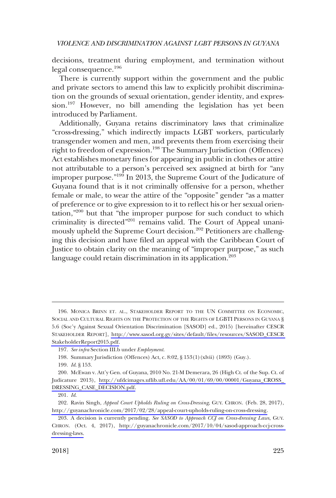decisions, treatment during employment, and termination without legal consequence.<sup>196</sup>

There is currently support within the government and the public and private sectors to amend this law to explicitly prohibit discrimination on the grounds of sexual orientation, gender identity, and expression.197 However, no bill amending the legislation has yet been introduced by Parliament.

Additionally, Guyana retains discriminatory laws that criminalize "cross-dressing," which indirectly impacts LGBT workers, particularly transgender women and men, and prevents them from exercising their right to freedom of expression.<sup>198</sup> The Summary Jurisdiction (Offences) Act establishes monetary fines for appearing in public in clothes or attire not attributable to a person's perceived sex assigned at birth for "any improper purpose."199 In 2013, the Supreme Court of the Judicature of Guyana found that is it not criminally offensive for a person, whether female or male, to wear the attire of the "opposite" gender "as a matter of preference or to give expression to it to reflect his or her sexual orientation,"200 but that "the improper purpose for such conduct to which criminality is directed"<sup>201</sup> remains valid. The Court of Appeal unanimously upheld the Supreme Court decision.<sup>202</sup> Petitioners are challenging this decision and have filed an appeal with the Caribbean Court of Justice to obtain clarity on the meaning of "improper purpose," as such language could retain discrimination in its application.<sup>203</sup>

<sup>196.</sup> MONICA BRINN ET. AL., STAKEHOLDER REPORT TO THE UN COMMITTEE ON ECONOMIC, SOCIAL AND CULTURAL RIGHTS ON THE PROTECTION OF THE RIGHTS OF LGBTI PERSONS IN GUYANA § 5.6 (Soc'y Against Sexual Orientation Discrimination [SASOD] ed., 2015) [hereinafter CESCR STAKEHOLDER REPORT], [http://www.sasod.org.gy/sites/default/files/resources/SASOD\\_CESCR](http://www.sasod.org.gy/sites/default/files/resources/SASOD_CESCRStakeholderReport2015.pdf)  [StakeholderReport2015.pdf.](http://www.sasod.org.gy/sites/default/files/resources/SASOD_CESCRStakeholderReport2015.pdf)

<sup>197.</sup> *See infra* Section III.b under *Employment*.

<sup>198.</sup> Summary Jurisdiction (Offences) Act, c. 8:02, § 153(1)(xlvii) (1893) (Guy.).

<sup>199.</sup> *Id*. § 153.

<sup>200.</sup> McEwan v. Att'y Gen. of Guyana, 2010 No. 21-M Demerara, 26 (High Ct. of the Sup. Ct. of Judicature 2013), [http://ufdcimages.uflib.ufl.edu/AA/00/01/69/00/00001/Guyana\\_CROSS\\_](http://ufdcimages.uflib.ufl.edu/AA/00/01/69/00/00001/Guyana_CROSS_DRESSING_CASE_DECISION.pdf)  [DRESSING\\_CASE\\_DECISION.pdf.](http://ufdcimages.uflib.ufl.edu/AA/00/01/69/00/00001/Guyana_CROSS_DRESSING_CASE_DECISION.pdf)

<sup>201.</sup> *Id*.

<sup>202.</sup> Ravin Singh, *Appeal Court Upholds Ruling on Cross-Dressing*, GUY. CHRON. (Feb. 28, 2017), [http://guyanachronicle.com/2017/02/28/appeal-court-upholds-ruling-on-cross-dressing.](http://guyanachronicle.com/2017/02/28/appeal-court-upholds-ruling-on-cross-dressing)

<sup>203.</sup> A decision is currently pending. *See SASOD to Approach CCJ on Cross-dressing Laws*, GUY. CHRON. (Oct. 4, 2017), [http://guyanachronicle.com/2017/10/04/sasod-approach-ccj-cross](http://guyanachronicle.com/2017/10/04/sasod-approach-ccj-cross-dressing-laws)[dressing-laws.](http://guyanachronicle.com/2017/10/04/sasod-approach-ccj-cross-dressing-laws)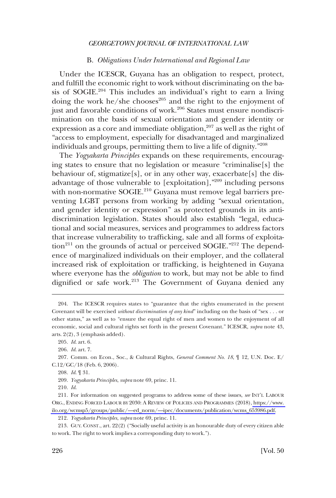### B. *Obligations Under International and Regional Law*

Under the ICESCR, Guyana has an obligation to respect, protect, and fulfill the economic right to work without discriminating on the basis of SOGIE.<sup>204</sup> This includes an individual's right to earn a living doing the work he/she chooses $^{205}$  and the right to the enjoyment of just and favorable conditions of work.<sup>206</sup> States must ensure nondiscrimination on the basis of sexual orientation and gender identity or expression as a core and immediate obligation, $207$  as well as the right of "access to employment, especially for disadvantaged and marginalized individuals and groups, permitting them to live a life of dignity."<sup>208</sup>

The *Yogyakarta Principles* expands on these requirements, encouraging states to ensure that no legislation or measure "criminalise[s] the behaviour of, stigmatize<sup>[s]</sup>, or in any other way, exacerbate<sup>[s]</sup> the disadvantage of those vulnerable to [exploitation],"209 including persons with non-normative SOGIE.<sup>210</sup> Guyana must remove legal barriers preventing LGBT persons from working by adding "sexual orientation, and gender identity or expression" as protected grounds in its antidiscrimination legislation. States should also establish "legal, educational and social measures, services and programmes to address factors that increase vulnerability to trafficking, sale and all forms of exploita- $\mu$ <sup>211</sup> on the grounds of actual or perceived SOGIE."<sup>212</sup> The dependence of marginalized individuals on their employer, and the collateral increased risk of exploitation or trafficking, is heightened in Guyana where everyone has the *obligation* to work, but may not be able to find dignified or safe work.<sup>213</sup> The Government of Guyana denied any

<sup>204.</sup> The ICESCR requires states to "guarantee that the rights enumerated in the present Covenant will be exercised *without discrimination of any kind*" including on the basis of "sex . . . or other status," as well as to "ensure the equal right of men and women to the enjoyment of all economic, social and cultural rights set forth in the present Covenant." ICESCR, *supra* note 43, arts. 2(2), 3 (emphasis added).

<sup>205.</sup> *Id*. art. 6.

<sup>206.</sup> *Id*. art. 7.

<sup>207.</sup> Comm. on Econ., Soc., & Cultural Rights, *General Comment No. 18*, ¶ 12, U.N. Doc. E/ C.12/GC/18 (Feb. 6, 2006).

<sup>208.</sup> *Id*. ¶ 31.

<sup>209.</sup> *Yogyakarta Principles*, *supra* note 69, princ. 11.

<sup>210.</sup> *Id*.

<sup>211.</sup> For information on suggested programs to address some of these issues, *see* INT'L LABOUR ORG., ENDING FORCED LABOUR BY 2030: A REVIEW OF POLICIES AND PROGRAMMES (2018), [https://www.](https://www.ilo.org/wcmsp5/groups/public/---ed_norm/---ipec/documents/publication/wcms_653986.pdf)  [ilo.org/wcmsp5/groups/public/—ed\\_norm/—ipec/documents/publication/wcms\\_653986.pdf.](https://www.ilo.org/wcmsp5/groups/public/---ed_norm/---ipec/documents/publication/wcms_653986.pdf)

<sup>212.</sup> *Yogyakarta Principles*, *supra* note 69, princ. 11.

<sup>213.</sup> GUY. CONST., art. 22(2) ("Socially useful activity is an honourable duty of every citizen able to work. The right to work implies a corresponding duty to work.").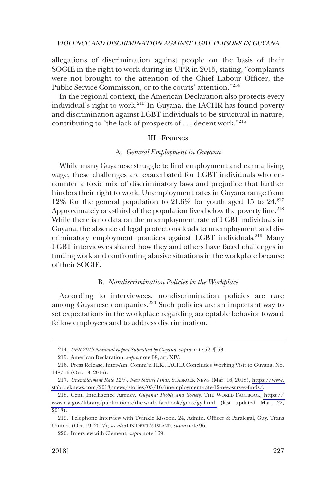allegations of discrimination against people on the basis of their SOGIE in the right to work during its UPR in 2015, stating, "complaints were not brought to the attention of the Chief Labour Officer, the Public Service Commission, or to the courts' attention."<sup>214</sup>

In the regional context, the American Declaration also protects every individual's right to work.215 In Guyana, the IACHR has found poverty and discrimination against LGBT individuals to be structural in nature, contributing to "the lack of prospects of  $\dots$  decent work."<sup>216</sup>

### III. FINDINGS

#### A. *General Employment in Guyana*

While many Guyanese struggle to find employment and earn a living wage, these challenges are exacerbated for LGBT individuals who encounter a toxic mix of discriminatory laws and prejudice that further hinders their right to work. Unemployment rates in Guyana range from 12% for the general population to  $21.6\%$  for youth aged 15 to  $24.^{217}$ Approximately one-third of the population lives below the poverty line.<sup>218</sup> While there is no data on the unemployment rate of LGBT individuals in Guyana, the absence of legal protections leads to unemployment and discriminatory employment practices against LGBT individuals.<sup>219</sup> Many LGBT interviewees shared how they and others have faced challenges in finding work and confronting abusive situations in the workplace because of their SOGIE.

#### B. *Nondiscrimination Policies in the Workplace*

According to interviewees, nondiscrimination policies are rare among Guyanese companies.<sup>220</sup> Such policies are an important way to set expectations in the workplace regarding acceptable behavior toward fellow employees and to address discrimination.

<sup>214.</sup> *UPR 2015 National Report Submitted by Guyana*, *supra* note 52, ¶ 53.

<sup>215.</sup> American Declaration, *supra* note 58, art. XIV.

<sup>216.</sup> Press Release, Inter-Am. Comm'n H.R., IACHR Concludes Working Visit to Guyana, No. 148/16 (Oct. 13, 2016).

*Unemployment Rate 12%, New Survey Finds*, STABROEK NEWS (Mar. 16, 2018), [https://www.](https://www.stabroeknews.com/2018/news/stories/03/16/unemployment-rate-12-new-survey-finds/)  217. [stabroeknews.com/2018/news/stories/03/16/unemployment-rate-12-new-survey-finds/](https://www.stabroeknews.com/2018/news/stories/03/16/unemployment-rate-12-new-survey-finds/).

Cent. Intelligence Agency, *Guyana: People and Society*, THE WORLD FACTBOOK, [https://](https://www.cia.gov/library/publications/the-world-factbook/geos/gy.html)  218. [www.cia.gov/library/publications/the-world-factbook/geos/gy.html](https://www.cia.gov/library/publications/the-world-factbook/geos/gy.html) (last updated Mar. 22, 2018).

<sup>219.</sup> Telephone Interview with Twinkle Kissoon, 24, Admin. Officer & Paralegal, Guy. Trans United. (Oct. 19, 2017); *see also* ON DEVIL'S ISLAND, *supra* note 96.

<sup>220.</sup> Interview with Clement, *supra* note 169.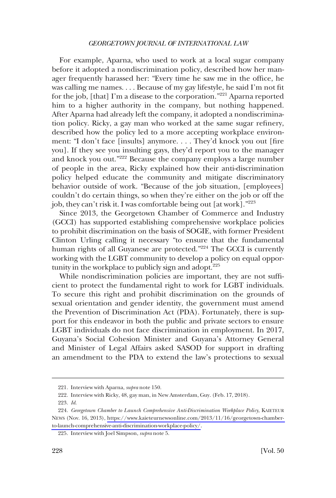For example, Aparna, who used to work at a local sugar company before it adopted a nondiscrimination policy, described how her manager frequently harassed her: "Every time he saw me in the office, he was calling me names. . . . Because of my gay lifestyle, he said I'm not fit for the job, [that] I'm a disease to the corporation."221 Aparna reported him to a higher authority in the company, but nothing happened. After Aparna had already left the company, it adopted a nondiscrimination policy. Ricky, a gay man who worked at the same sugar refinery, described how the policy led to a more accepting workplace environment: "I don't face [insults] anymore. . . . They'd knock you out [fire you]. If they see you insulting gays, they'd report you to the manager and knock you out."222 Because the company employs a large number of people in the area, Ricky explained how their anti-discrimination policy helped educate the community and mitigate discriminatory behavior outside of work. "Because of the job situation, [employees] couldn't do certain things, so when they're either on the job or off the job, they can't risk it. I was comfortable being out [at work]."<sup>223</sup>

Since 2013, the Georgetown Chamber of Commerce and Industry (GCCI) has supported establishing comprehensive workplace policies to prohibit discrimination on the basis of SOGIE, with former President Clinton Urling calling it necessary "to ensure that the fundamental human rights of all Guyanese are protected."<sup>224</sup> The GCCI is currently working with the LGBT community to develop a policy on equal opportunity in the workplace to publicly sign and adopt. $225$ 

While nondiscrimination policies are important, they are not sufficient to protect the fundamental right to work for LGBT individuals. To secure this right and prohibit discrimination on the grounds of sexual orientation and gender identity, the government must amend the Prevention of Discrimination Act (PDA). Fortunately, there is support for this endeavor in both the public and private sectors to ensure LGBT individuals do not face discrimination in employment. In 2017, Guyana's Social Cohesion Minister and Guyana's Attorney General and Minister of Legal Affairs asked SASOD for support in drafting an amendment to the PDA to extend the law's protections to sexual

<sup>221.</sup> Interview with Aparna, *supra* note 150.

<sup>222.</sup> Interview with Ricky, 48, gay man, in New Amsterdam, Guy. (Feb. 17, 2018).

<sup>223.</sup> *Id*.

*Georgetown Chamber to Launch Comprehensive Anti-Discrimination Workplace Policy*, KAIETEUR 224. NEWS (Nov. 16, 2013), [https://www.kaieteurnewsonline.com/2013/11/16/georgetown-chamber](https://www.kaieteurnewsonline.com/2013/11/16/georgetown-chamber-to-launch-comprehensive-anti-discrimination-workplace-policy/)[to-launch-comprehensive-anti-discrimination-workplace-policy/.](https://www.kaieteurnewsonline.com/2013/11/16/georgetown-chamber-to-launch-comprehensive-anti-discrimination-workplace-policy/)

<sup>225.</sup> Interview with Joel Simpson, *supra* note 5.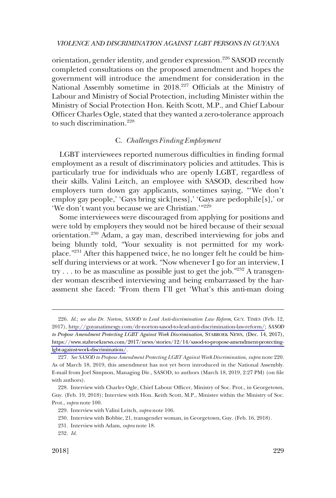orientation, gender identity, and gender expression.<sup>226</sup> SASOD recently completed consultations on the proposed amendment and hopes the government will introduce the amendment for consideration in the National Assembly sometime in 2018.227 Officials at the Ministry of Labour and Ministry of Social Protection, including Minister within the Ministry of Social Protection Hon. Keith Scott, M.P., and Chief Labour Officer Charles Ogle, stated that they wanted a zero-tolerance approach to such discrimination.228

### C. *Challenges Finding Employment*

LGBT interviewees reported numerous difficulties in finding formal employment as a result of discriminatory policies and attitudes. This is particularly true for individuals who are openly LGBT, regardless of their skills. Valini Leitch, an employee with SASOD, described how employers turn down gay applicants, sometimes saying, "'We don't employ gay people,' 'Gays bring sick[ness],' 'Gays are pedophile[s],' or 'We don't want you because we are Christian.'"<sup>229</sup>

Some interviewees were discouraged from applying for positions and were told by employers they would not be hired because of their sexual orientation.230 Adam, a gay man, described interviewing for jobs and being bluntly told, "Your sexuality is not permitted for my workplace."231 After this happened twice, he no longer felt he could be himself during interviews or at work. "Now whenever I go for an interview, I try . . . to be as masculine as possible just to get the job."232 A transgender woman described interviewing and being embarrassed by the harassment she faced: "From them I'll get 'What's this anti-man doing

*Id*.; *see also Dr. Norton, SASOD to Lead Anti-discrimination Law Reform*, GUY. TIMES (Feb. 12, 226. 2017), [http://guyanatimesgy.com/dr-norton-sasod-to-lead-anti-discrimination-law-reform/](http://guyanatimesgy.com/dr-norton-sasod-to-lead-anti-discrimination-law-reform); *SASOD to Propose Amendment Protecting LGBT Against Work Discrimination*, STABROEK NEWS, (Dec. 14, 2017), [https://www.stabroeknews.com/2017/news/stories/12/14/sasod-to-propose-amendment-protecting](https://www.stabroeknews.com/2017/news/stories/12/14/sasod-to-propose-amendment-protecting-lgbt-against-work-discrimination/)[lgbt-against-work-discrimination/.](https://www.stabroeknews.com/2017/news/stories/12/14/sasod-to-propose-amendment-protecting-lgbt-against-work-discrimination/)

<sup>227.</sup> *See SASOD to Propose Amendment Protecting LGBT Against Work Discrimination*, *supra* note 220. As of March 18, 2019, this amendment has not yet been introduced in the National Assembly. E-mail from Joel Simpson, Managing Dir., SASOD, to authors (March 18, 2019, 2:27 PM) (on file with authors).

<sup>228.</sup> Interview with Charles Ogle, Chief Labour Officer, Ministry of Soc. Prot., in Georgetown, Guy. (Feb. 19, 2018); Interview with Hon. Keith Scott, M.P., Minister within the Ministry of Soc. Prot., *supra* note 100.

<sup>229.</sup> Interview with Valini Leitch, *supra* note 106.

<sup>230.</sup> Interview with Bobbie, 21, transgender woman, in Georgetown, Guy. (Feb. 16, 2018).

<sup>231.</sup> Interview with Adam, *supra* note 18.

<sup>232.</sup> *Id*.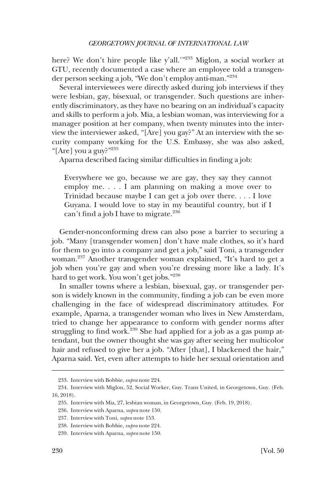here? We don't hire people like y'all.'"<sup>233</sup> Miglon, a social worker at GTU, recently documented a case where an employee told a transgender person seeking a job, "We don't employ anti-man."<sup>234</sup>

Several interviewees were directly asked during job interviews if they were lesbian, gay, bisexual, or transgender. Such questions are inherently discriminatory, as they have no bearing on an individual's capacity and skills to perform a job. Mia, a lesbian woman, was interviewing for a manager position at her company, when twenty minutes into the interview the interviewer asked, "[Are] you gay?" At an interview with the security company working for the U.S. Embassy, she was also asked, "[Are] you a guy?"235

Aparna described facing similar difficulties in finding a job:

Everywhere we go, because we are gay, they say they cannot employ me. . . . I am planning on making a move over to Trinidad because maybe I can get a job over there. . . . I love Guyana. I would love to stay in my beautiful country, but if I can't find a job I have to migrate. $236$ 

Gender-nonconforming dress can also pose a barrier to securing a job. "Many [transgender women] don't have male clothes, so it's hard for them to go into a company and get a job," said Toni, a transgender woman.237 Another transgender woman explained, "It's hard to get a job when you're gay and when you're dressing more like a lady. It's hard to get work. You won't get jobs."<sup>238</sup>

In smaller towns where a lesbian, bisexual, gay, or transgender person is widely known in the community, finding a job can be even more challenging in the face of widespread discriminatory attitudes. For example, Aparna, a transgender woman who lives in New Amsterdam, tried to change her appearance to conform with gender norms after struggling to find work.<sup>239</sup> She had applied for a job as a gas pump attendant, but the owner thought she was gay after seeing her multicolor hair and refused to give her a job. "After [that], I blackened the hair," Aparna said. Yet, even after attempts to hide her sexual orientation and

<sup>233.</sup> Interview with Bobbie, *supra* note 224.

<sup>234.</sup> Interview with Miglon, 52, Social Worker, Guy. Trans United, in Georgetown, Guy. (Feb. 16, 2018).

<sup>235.</sup> Interview with Mia, 27, lesbian woman, in Georgetown, Guy. (Feb. 19, 2018).

<sup>236.</sup> Interview with Aparna, *supra* note 150.

<sup>237.</sup> Interview with Toni, *supra* note 153.

<sup>238.</sup> Interview with Bobbie, *supra* note 224.

<sup>239.</sup> Interview with Aparna, *supra* note 150.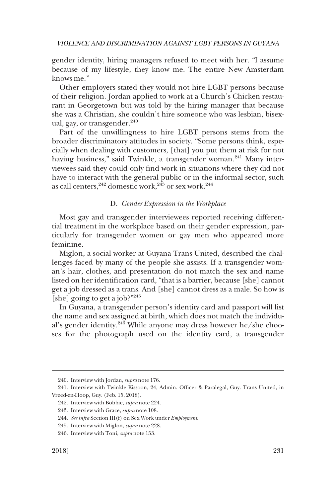gender identity, hiring managers refused to meet with her. "I assume because of my lifestyle, they know me. The entire New Amsterdam knows me."

Other employers stated they would not hire LGBT persons because of their religion. Jordan applied to work at a Church's Chicken restaurant in Georgetown but was told by the hiring manager that because she was a Christian, she couldn't hire someone who was lesbian, bisexual, gay, or transgender. $240$ 

Part of the unwillingness to hire LGBT persons stems from the broader discriminatory attitudes in society. "Some persons think, especially when dealing with customers, [that] you put them at risk for not having business," said Twinkle, a transgender woman.<sup>241</sup> Many interviewees said they could only find work in situations where they did not have to interact with the general public or in the informal sector, such as call centers,  $242$  domestic work,  $243$  or sex work.<sup>244</sup>

## D. *Gender Expression in the Workplace*

Most gay and transgender interviewees reported receiving differential treatment in the workplace based on their gender expression, particularly for transgender women or gay men who appeared more feminine.

Miglon, a social worker at Guyana Trans United, described the challenges faced by many of the people she assists. If a transgender woman's hair, clothes, and presentation do not match the sex and name listed on her identification card, "that is a barrier, because [she] cannot get a job dressed as a trans. And [she] cannot dress as a male. So how is [she] going to get a job?"<sup>245</sup>

In Guyana, a transgender person's identity card and passport will list the name and sex assigned at birth, which does not match the individual's gender identity.<sup>246</sup> While anyone may dress however he/she chooses for the photograph used on the identity card, a transgender

<sup>240.</sup> Interview with Jordan, *supra* note 176.

<sup>241.</sup> Interview with Twinkle Kissoon, 24, Admin. Officer & Paralegal, Guy. Trans United, in Vreed-en-Hoop, Guy. (Feb. 15, 2018).

<sup>242.</sup> Interview with Bobbie, *supra* note 224.

<sup>243.</sup> Interview with Grace, *supra* note 108.

<sup>244.</sup> *See infra* Section III(f) on Sex Work under *Employment*.

<sup>245.</sup> Interview with Miglon, *supra* note 228.

<sup>246.</sup> Interview with Toni, *supra* note 153.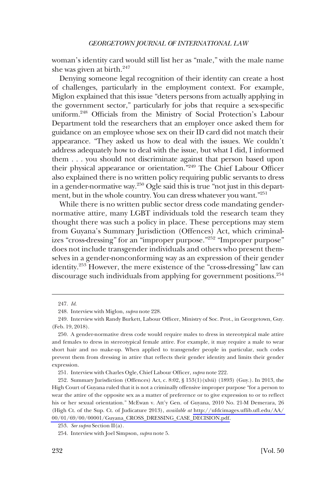woman's identity card would still list her as "male," with the male name she was given at birth. $247$ 

Denying someone legal recognition of their identity can create a host of challenges, particularly in the employment context. For example, Miglon explained that this issue "deters persons from actually applying in the government sector," particularly for jobs that require a sex-specific uniform.248 Officials from the Ministry of Social Protection's Labour Department told the researchers that an employer once asked them for guidance on an employee whose sex on their ID card did not match their appearance. "They asked us how to deal with the issues. We couldn't address adequately how to deal with the issue, but what I did, I informed them . . . you should not discriminate against that person based upon their physical appearance or orientation."249 The Chief Labour Officer also explained there is no written policy requiring public servants to dress in a gender-normative way.250 Ogle said this is true "not just in this department, but in the whole country. You can dress whatever you want."<sup>251</sup>

While there is no written public sector dress code mandating gendernormative attire, many LGBT individuals told the research team they thought there was such a policy in place. These perceptions may stem from Guyana's Summary Jurisdiction (Offences) Act, which criminalizes "cross-dressing" for an "improper purpose."252 "Improper purpose" does not include transgender individuals and others who present themselves in a gender-nonconforming way as an expression of their gender identity.253 However, the mere existence of the "cross-dressing" law can discourage such individuals from applying for government positions.<sup>254</sup>

<sup>247.</sup> *Id*.

<sup>248.</sup> Interview with Miglon, *supra* note 228.

<sup>249.</sup> Interview with Randy Burkett, Labour Officer, Ministry of Soc. Prot., in Georgetown, Guy. (Feb. 19, 2018).

<sup>250.</sup> A gender-normative dress code would require males to dress in stereotypical male attire and females to dress in stereotypical female attire. For example, it may require a male to wear short hair and no make-up. When applied to transgender people in particular, such codes prevent them from dressing in attire that reflects their gender identity and limits their gender expression.

<sup>251.</sup> Interview with Charles Ogle, Chief Labour Officer, *supra* note 222.

<sup>252.</sup> Summary Jurisdiction (Offences) Act, c. 8:02, § 153(1)(xlvii) (1893) (Guy.). In 2013, the High Court of Guyana ruled that it is not a criminally offensive improper purpose "for a person to wear the attire of the opposite sex as a matter of preference or to give expression to or to reflect his or her sexual orientation." McEwan v. Att'y Gen. of Guyana, 2010 No. 21-M Demerara, 26 (High Ct. of the Sup. Ct. of Judicature 2013), *available at* [http://ufdcimages.uflib.ufl.edu/AA/](http://ufdcimages.uflib.ufl.edu/AA/00/01/69/00/00001/Guyana_CROSS_DRESSING_CASE_DECISION.pdf)  [00/01/69/00/00001/Guyana\\_CROSS\\_DRESSING\\_CASE\\_DECISION.pdf.](http://ufdcimages.uflib.ufl.edu/AA/00/01/69/00/00001/Guyana_CROSS_DRESSING_CASE_DECISION.pdf)

<sup>253.</sup> *See supra* Section II(a).

<sup>254.</sup> Interview with Joel Simpson, *supra* note 5.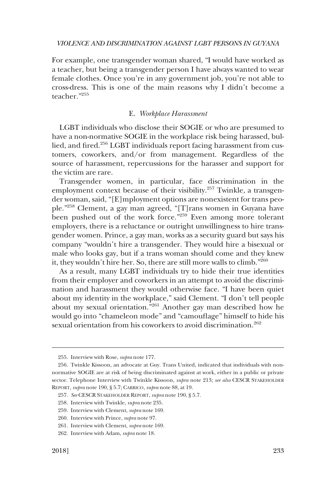For example, one transgender woman shared, "I would have worked as a teacher, but being a transgender person I have always wanted to wear female clothes. Once you're in any government job, you're not able to cross-dress. This is one of the main reasons why I didn't become a teacher."255

#### E. *Workplace Harassment*

LGBT individuals who disclose their SOGIE or who are presumed to have a non-normative SOGIE in the workplace risk being harassed, bullied, and fired.<sup>256</sup> LGBT individuals report facing harassment from customers, coworkers, and/or from management. Regardless of the source of harassment, repercussions for the harasser and support for the victim are rare.

Transgender women, in particular, face discrimination in the employment context because of their visibility.<sup>257</sup> Twinkle, a transgender woman, said, "[E]mployment options are nonexistent for trans people."258 Clement, a gay man agreed, "[T]rans women in Guyana have been pushed out of the work force."259 Even among more tolerant employers, there is a reluctance or outright unwillingness to hire transgender women. Prince, a gay man, works as a security guard but says his company "wouldn't hire a transgender. They would hire a bisexual or male who looks gay, but if a trans woman should come and they knew it, they wouldn't hire her. So, there are still more walls to climb."<sup>260</sup>

As a result, many LGBT individuals try to hide their true identities from their employer and coworkers in an attempt to avoid the discrimination and harassment they would otherwise face. "I have been quiet about my identity in the workplace," said Clement. "I don't tell people about my sexual orientation."261 Another gay man described how he would go into "chameleon mode" and "camouflage" himself to hide his sexual orientation from his coworkers to avoid discrimination.<sup>262</sup>

<sup>255.</sup> Interview with Rose, *supra* note 177.

<sup>256.</sup> Twinkle Kissoon, an advocate at Guy. Trans United, indicated that individuals with nonnormative SOGIE are at risk of being discriminated against at work, either in a public or private sector. Telephone Interview with Twinkle Kissoon, *supra* note 213; *see also* CESCR STAKEHOLDER REPORT, *supra* note 190, § 5.7; CARRICO, *supra* note 88, at 19.

<sup>257.</sup> *See* CESCR STAKEHOLDER REPORT, *supra* note 190, § 5.7.

<sup>258.</sup> Interview with Twinkle, *supra* note 235.

<sup>259.</sup> Interview with Clement, *supra* note 169.

<sup>260.</sup> Interview with Prince, *supra* note 97.

<sup>261.</sup> Interview with Clement, *supra* note 169.

<sup>262.</sup> Interview with Adam, *supra* note 18.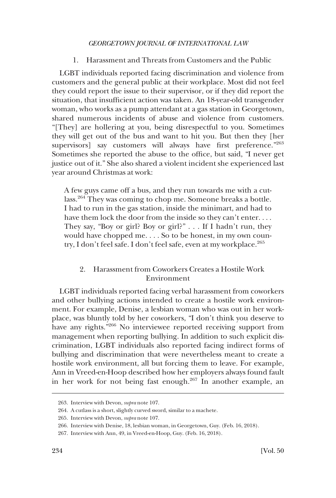1. Harassment and Threats from Customers and the Public

LGBT individuals reported facing discrimination and violence from customers and the general public at their workplace. Most did not feel they could report the issue to their supervisor, or if they did report the situation, that insufficient action was taken. An 18-year-old transgender woman, who works as a pump attendant at a gas station in Georgetown, shared numerous incidents of abuse and violence from customers. "[They] are hollering at you, being disrespectful to you. Sometimes they will get out of the bus and want to hit you. But then they [her supervisors] say customers will always have first preference."263 Sometimes she reported the abuse to the office, but said, "I never get justice out of it." She also shared a violent incident she experienced last year around Christmas at work:

A few guys came off a bus, and they run towards me with a cutlass.264 They was coming to chop me. Someone breaks a bottle. I had to run in the gas station, inside the minimart, and had to have them lock the door from the inside so they can't enter. . . . They say, "Boy or girl? Boy or girl?" . . . If I hadn't run, they would have chopped me. . . . So to be honest, in my own country, I don't feel safe. I don't feel safe, even at my workplace.<sup>265</sup>

# 2. Harassment from Coworkers Creates a Hostile Work Environment

LGBT individuals reported facing verbal harassment from coworkers and other bullying actions intended to create a hostile work environment. For example, Denise, a lesbian woman who was out in her workplace, was bluntly told by her coworkers, "I don't think you deserve to have any rights."<sup>266</sup> No interviewee reported receiving support from management when reporting bullying. In addition to such explicit discrimination, LGBT individuals also reported facing indirect forms of bullying and discrimination that were nevertheless meant to create a hostile work environment, all but forcing them to leave. For example, Ann in Vreed-en-Hoop described how her employers always found fault in her work for not being fast enough.267 In another example, an

<sup>263.</sup> Interview with Devon, *supra* note 107.

<sup>264.</sup> A cutlass is a short, slightly curved sword, similar to a machete.

<sup>265.</sup> Interview with Devon, *supra* note 107.

<sup>266.</sup> Interview with Denise, 18, lesbian woman, in Georgetown, Guy. (Feb. 16, 2018).

<sup>267.</sup> Interview with Ann, 49, in Vreed-en-Hoop, Guy. (Feb. 16, 2018).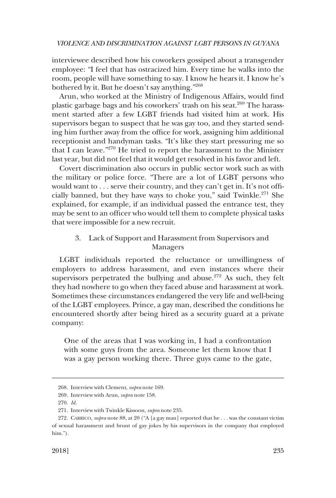interviewee described how his coworkers gossiped about a transgender employee: "I feel that has ostracized him. Every time he walks into the room, people will have something to say. I know he hears it. I know he's bothered by it. But he doesn't say anything."<sup>268</sup>

Arun, who worked at the Ministry of Indigenous Affairs, would find plastic garbage bags and his coworkers' trash on his seat.<sup>269</sup> The harassment started after a few LGBT friends had visited him at work. His supervisors began to suspect that he was gay too, and they started sending him further away from the office for work, assigning him additional receptionist and handyman tasks. "It's like they start pressuring me so that I can leave."270 He tried to report the harassment to the Minister last year, but did not feel that it would get resolved in his favor and left.

Covert discrimination also occurs in public sector work such as with the military or police force. "There are a lot of LGBT persons who would want to . . . serve their country, and they can't get in. It's not officially banned, but they have ways to choke you," said Twinkle.<sup>271</sup> She explained, for example, if an individual passed the entrance test, they may be sent to an officer who would tell them to complete physical tasks that were impossible for a new recruit.

## 3. Lack of Support and Harassment from Supervisors and Managers

LGBT individuals reported the reluctance or unwillingness of employers to address harassment, and even instances where their supervisors perpetrated the bullying and abuse.<sup>272</sup> As such, they felt they had nowhere to go when they faced abuse and harassment at work. Sometimes these circumstances endangered the very life and well-being of the LGBT employees. Prince, a gay man, described the conditions he encountered shortly after being hired as a security guard at a private company:

One of the areas that I was working in, I had a confrontation with some guys from the area. Someone let them know that I was a gay person working there. Three guys came to the gate,

<sup>268.</sup> Interview with Clement, *supra* note 169.

<sup>269.</sup> Interview with Arun, *supra* note 158.

<sup>270.</sup> *Id*.

<sup>271.</sup> Interview with Twinkle Kissoon, *supra* note 235.

<sup>272.</sup> CARRICO, *supra* note 88, at 20 ("A [a gay man] reported that he . . . was the constant victim of sexual harassment and brunt of gay jokes by his supervisors in the company that employed him.").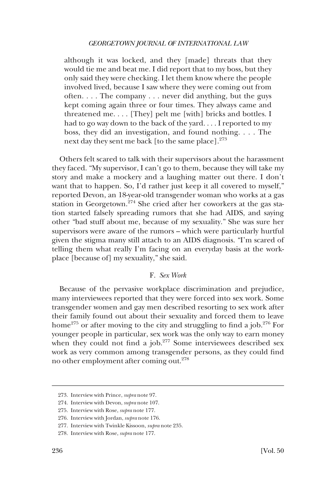although it was locked, and they [made] threats that they would tie me and beat me. I did report that to my boss, but they only said they were checking. I let them know where the people involved lived, because I saw where they were coming out from often. . . . The company . . . never did anything, but the guys kept coming again three or four times. They always came and threatened me. . . . [They] pelt me [with] bricks and bottles. I had to go way down to the back of the yard. . . . I reported to my boss, they did an investigation, and found nothing. . . . The next day they sent me back [to the same place].<sup>273</sup>

Others felt scared to talk with their supervisors about the harassment they faced. "My supervisor, I can't go to them, because they will take my story and make a mockery and a laughing matter out there. I don't want that to happen. So, I'd rather just keep it all covered to myself," reported Devon, an 18-year-old transgender woman who works at a gas station in Georgetown.<sup>274</sup> She cried after her coworkers at the gas station started falsely spreading rumors that she had AIDS, and saying other "bad stuff about me, because of my sexuality." She was sure her supervisors were aware of the rumors – which were particularly hurtful given the stigma many still attach to an AIDS diagnosis. "I'm scared of telling them what really I'm facing on an everyday basis at the workplace [because of] my sexuality," she said.

## F. *Sex Work*

Because of the pervasive workplace discrimination and prejudice, many interviewees reported that they were forced into sex work. Some transgender women and gay men described resorting to sex work after their family found out about their sexuality and forced them to leave home<sup>275</sup> or after moving to the city and struggling to find a job.<sup>276</sup> For younger people in particular, sex work was the only way to earn money when they could not find a job.<sup>277</sup> Some interviewees described sex work as very common among transgender persons, as they could find no other employment after coming out.278

<sup>273.</sup> Interview with Prince, *supra* note 97.

<sup>274.</sup> Interview with Devon, *supra* note 107.

<sup>275.</sup> Interview with Rose, *supra* note 177.

<sup>276.</sup> Interview with Jordan, *supra* note 176.

<sup>277.</sup> Interview with Twinkle Kissoon, *supra* note 235.

<sup>278.</sup> Interview with Rose, *supra* note 177.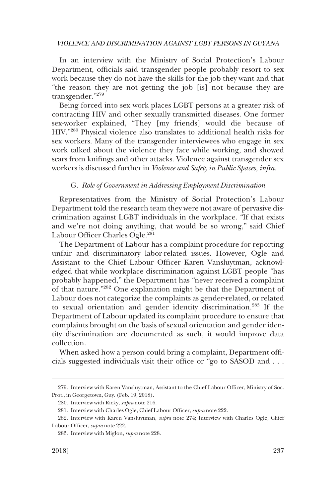In an interview with the Ministry of Social Protection's Labour Department, officials said transgender people probably resort to sex work because they do not have the skills for the job they want and that "the reason they are not getting the job [is] not because they are transgender."279

Being forced into sex work places LGBT persons at a greater risk of contracting HIV and other sexually transmitted diseases. One former sex-worker explained, "They [my friends] would die because of HIV."280 Physical violence also translates to additional health risks for sex workers. Many of the transgender interviewees who engage in sex work talked about the violence they face while working, and showed scars from knifings and other attacks. Violence against transgender sex workers is discussed further in *Violence and Safety in Public Spaces, infra*.

### G. *Role of Government in Addressing Employment Discrimination*

Representatives from the Ministry of Social Protection's Labour Department told the research team they were not aware of pervasive discrimination against LGBT individuals in the workplace. "If that exists and we're not doing anything, that would be so wrong," said Chief Labour Officer Charles Ogle.<sup>281</sup>

The Department of Labour has a complaint procedure for reporting unfair and discriminatory labor-related issues. However, Ogle and Assistant to the Chief Labour Officer Karen Vansluytman, acknowledged that while workplace discrimination against LGBT people "has probably happened," the Department has "never received a complaint of that nature."282 One explanation might be that the Department of Labour does not categorize the complaints as gender-related, or related to sexual orientation and gender identity discrimination.283 If the Department of Labour updated its complaint procedure to ensure that complaints brought on the basis of sexual orientation and gender identity discrimination are documented as such, it would improve data collection.

When asked how a person could bring a complaint, Department officials suggested individuals visit their office or "go to SASOD and . . .

<sup>279.</sup> Interview with Karen Vansluytman, Assistant to the Chief Labour Officer, Ministry of Soc. Prot., in Georgetown, Guy. (Feb. 19, 2018).

<sup>280.</sup> Interview with Ricky, *supra* note 216.

<sup>281.</sup> Interview with Charles Ogle, Chief Labour Officer, *supra* note 222.

<sup>282.</sup> Interview with Karen Vansluytman, *supra* note 274; Interview with Charles Ogle, Chief Labour Officer, *supra* note 222.

<sup>283.</sup> Interview with Miglon, *supra* note 228.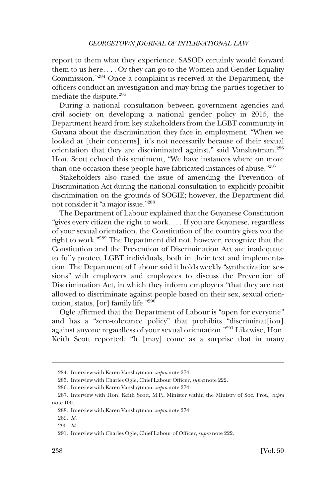report to them what they experience. SASOD certainly would forward them to us here. . . . Or they can go to the Women and Gender Equality Commission."284 Once a complaint is received at the Department, the officers conduct an investigation and may bring the parties together to mediate the dispute.285

During a national consultation between government agencies and civil society on developing a national gender policy in 2015, the Department heard from key stakeholders from the LGBT community in Guyana about the discrimination they face in employment. "When we looked at [their concerns], it's not necessarily because of their sexual orientation that they are discriminated against," said Vansluytman.<sup>286</sup> Hon. Scott echoed this sentiment, "We have instances where on more than one occasion these people have fabricated instances of abuse."287

Stakeholders also raised the issue of amending the Prevention of Discrimination Act during the national consultation to explicitly prohibit discrimination on the grounds of SOGIE; however, the Department did not consider it "a major issue."288

The Department of Labour explained that the Guyanese Constitution "gives every citizen the right to work. . . . If you are Guyanese, regardless of your sexual orientation, the Constitution of the country gives you the right to work."289 The Department did not, however, recognize that the Constitution and the Prevention of Discrimination Act are inadequate to fully protect LGBT individuals, both in their text and implementation. The Department of Labour said it holds weekly "synthetization sessions" with employers and employees to discuss the Prevention of Discrimination Act, in which they inform employers "that they are not allowed to discriminate against people based on their sex, sexual orientation, status, [or] family life."290

Ogle affirmed that the Department of Labour is "open for everyone" and has a "zero-tolerance policy" that prohibits "discriminat[ion] against anyone regardless of your sexual orientation."291 Likewise, Hon. Keith Scott reported, "It [may] come as a surprise that in many

<sup>284.</sup> Interview with Karen Vansluytman, *supra* note 274.

<sup>285.</sup> Interview with Charles Ogle, Chief Labour Officer, *supra* note 222.

<sup>286.</sup> Interview with Karen Vansluytman, *supra* note 274.

<sup>287.</sup> Interview with Hon. Keith Scott, M.P., Minister within the Ministry of Soc. Prot., *supra*  note 100.

<sup>288.</sup> Interview with Karen Vansluytman, *supra* note 274.

<sup>289.</sup> *Id*.

<sup>290.</sup> *Id*.

<sup>291.</sup> Interview with Charles Ogle, Chief Labour of Officer, *supra* note 222.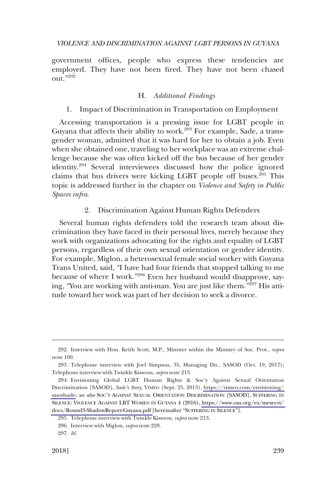government offices, people who express these tendencies are employed. They have not been fired. They have not been chased out."292

## H. *Additional Findings*

## 1. Impact of Discrimination in Transportation on Employment

Accessing transportation is a pressing issue for LGBT people in Guyana that affects their ability to work.<sup>293</sup> For example, Sade, a transgender woman, admitted that it was hard for her to obtain a job. Even when she obtained one, traveling to her workplace was an extreme challenge because she was often kicked off the bus because of her gender identity.<sup>294</sup> Several interviewees discussed how the police ignored claims that bus drivers were kicking LGBT people off buses.295 This topic is addressed further in the chapter on *Violence and Safety in Public Spaces infra*.

## 2. Discrimination Against Human Rights Defenders

Several human rights defenders told the research team about discrimination they have faced in their personal lives, merely because they work with organizations advocating for the rights and equality of LGBT persons, regardless of their own sexual orientation or gender identity. For example, Miglon, a heterosexual female social worker with Guyana Trans United, said, "I have had four friends that stopped talking to me because of where I work."296 Even her husband would disapprove, saying, "You are working with anti-man. You are just like them."297 His attitude toward her work was part of her decision to seek a divorce.

<sup>292.</sup> Interview with Hon. Keith Scott, M.P., Minister within the Ministry of Soc. Prot., *supra*  note 100.

<sup>293.</sup> Telephone interview with Joel Simpson, 35, Managing Dir., SASOD (Oct. 19, 2017); Telephone interview with Twinkle Kissoon, *supra* note 213.

Envisioning Global LGBT Human Rights & Soc'y Against Sexual Orientation 294. Discrimination [SASOD], *Sade's Story*, VIMEO (Sept. 25, 2013), [https://vimeo.com/envisioning/](https://vimeo.com/envisioning/sasodsade)  [sasodsade](https://vimeo.com/envisioning/sasodsade); *see also* SOC'Y AGAINST SEXUAL ORIENTATION DISCRIMINATION [SASOD], SUFFERING IN SILENCE: VIOLENCE AGAINST LBT WOMEN IN GUYANA 4 (2016), [https://www.oas.org/es/mesecvi/](https://www.oas.org/es/mesecvi/docs/Round3-ShadowReport-Guyana.pdf)  [docs/Round3-ShadowReport-Guyana.pdf \[](https://www.oas.org/es/mesecvi/docs/Round3-ShadowReport-Guyana.pdf)hereinafter "SUFFERING IN SILENCE"].

<sup>295.</sup> Telephone interview with Twinkle Kissoon, *supra* note 213.

<sup>296.</sup> Interview with Miglon, *supra* note 228.

<sup>297.</sup> *Id*.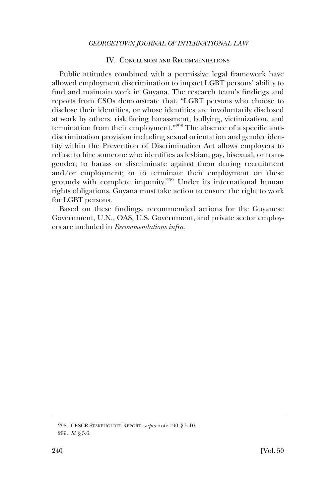#### IV. CONCLUSION AND RECOMMENDATIONS

Public attitudes combined with a permissive legal framework have allowed employment discrimination to impact LGBT persons' ability to find and maintain work in Guyana. The research team's findings and reports from CSOs demonstrate that, "LGBT persons who choose to disclose their identities, or whose identities are involuntarily disclosed at work by others, risk facing harassment, bullying, victimization, and termination from their employment."298 The absence of a specific antidiscrimination provision including sexual orientation and gender identity within the Prevention of Discrimination Act allows employers to refuse to hire someone who identifies as lesbian, gay, bisexual, or transgender; to harass or discriminate against them during recruitment and/or employment; or to terminate their employment on these grounds with complete impunity.<sup>299</sup> Under its international human rights obligations, Guyana must take action to ensure the right to work for LGBT persons.

Based on these findings, recommended actions for the Guyanese Government, U.N., OAS, U.S. Government, and private sector employers are included in *Recommendations infra*.

<sup>298.</sup> CESCR STAKEHOLDER REPORT, *supra* note 190, § 5.10. 299. *Id*. § 5.6.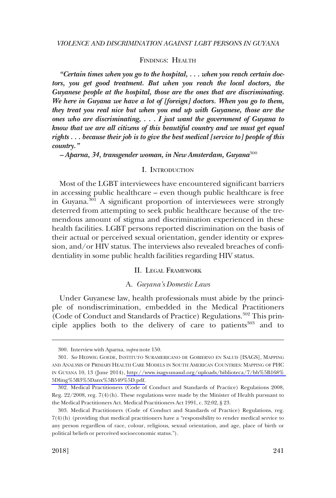#### FINDINGS: HEALTH

*"Certain times when you go to the hospital, . . . when you reach certain doctors, you get good treatment. But when you reach the local doctors, the Guyanese people at the hospital, those are the ones that are discriminating. We here in Guyana we have a lot of [foreign] doctors. When you go to them, they treat you real nice but when you end up with Guyanese, those are the ones who are discriminating, . . . I just want the government of Guyana to know that we are all citizens of this beautiful country and we must get equal rights . . . because their job is to give the best medical [service to] people of this country."* 

*– Aparna, 34, transgender woman, in New Amsterdam, Guyana*<sup>300</sup>

### I. INTRODUCTION

Most of the LGBT interviewees have encountered significant barriers in accessing public healthcare – even though public healthcare is free in Guyana.<sup>301</sup> A significant proportion of interviewees were strongly deterred from attempting to seek public healthcare because of the tremendous amount of stigma and discrimination experienced in these health facilities. LGBT persons reported discrimination on the basis of their actual or perceived sexual orientation, gender identity or expression, and/or HIV status. The interviews also revealed breaches of confidentiality in some public health facilities regarding HIV status.

### II. LEGAL FRAMEWORK

#### A. *Guyana's Domestic Laws*

Under Guyanese law, health professionals must abide by the principle of nondiscrimination, embedded in the Medical Practitioners (Code of Conduct and Standards of Practice) Regulations.<sup>302</sup> This principle applies both to the delivery of care to patients<sup>303</sup> and to

<sup>300.</sup> Interview with Aparna, *supra* note 150.

*See* HEDWIG GOEDE, INSTITUTO SURAMERICANO DE GOBIERNO EN SALUD [ISAGS], MAPPING 301. AND ANALYSIS OF PRIMARY HEALTH CARE MODELS IN SOUTH AMERICAN COUNTRIES: MAPPING OF PHC IN GUYANA 10, 13 (June 2014), [http://www.isags-unasul.org/uploads/biblioteca/7/bb%5B168%](http://www.isags-unasul.org/uploads/biblioteca/7/bb%5B168%5Dling%5B3%5Danx%5B549%5D.pdf)  [5Dling%5B3%5Danx%5B549%5D.pdf.](http://www.isags-unasul.org/uploads/biblioteca/7/bb%5B168%5Dling%5B3%5Danx%5B549%5D.pdf)

<sup>302.</sup> Medical Practitioners (Code of Conduct and Standards of Practice) Regulations 2008, Reg. 22/2008, reg. 7(4)(h). These regulations were made by the Minister of Health pursuant to the Medical Practitioners Act. Medical Practitioners Act 1991, c. 32:02, § 23.

<sup>303.</sup> Medical Practitioners (Code of Conduct and Standards of Practice) Regulations, reg. 7(4)(h) (providing that medical practitioners have a "responsibility to render medical service to any person regardless of race, colour, religious, sexual orientation, and age, place of birth or political beliefs or perceived socioeconomic status.").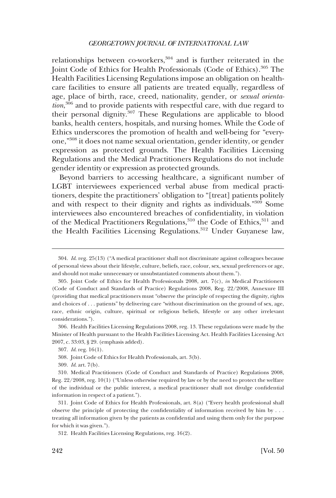relationships between co-workers, $304$  and is further reiterated in the Joint Code of Ethics for Health Professionals (Code of Ethics).<sup>305</sup> The Health Facilities Licensing Regulations impose an obligation on healthcare facilities to ensure all patients are treated equally, regardless of age, place of birth, race, creed, nationality, gender, or *sexual orientation*, 306 and to provide patients with respectful care, with due regard to their personal dignity.307 These Regulations are applicable to blood banks, health centers, hospitals, and nursing homes. While the Code of Ethics underscores the promotion of health and well-being for "everyone,"308 it does not name sexual orientation, gender identity, or gender expression as protected grounds. The Health Facilities Licensing Regulations and the Medical Practitioners Regulations do not include gender identity or expression as protected grounds.

Beyond barriers to accessing healthcare, a significant number of LGBT interviewees experienced verbal abuse from medical practitioners, despite the practitioners' obligation to "[treat] patients politely and with respect to their dignity and rights as individuals."309 Some interviewees also encountered breaches of confidentiality, in violation of the Medical Practitioners Regulations,<sup>310</sup> the Code of Ethics,<sup>311</sup> and the Health Facilities Licensing Regulations.<sup>312</sup> Under Guyanese law,

306. Health Facilities Licensing Regulations 2008, reg. 13. These regulations were made by the Minister of Health pursuant to the Health Facilities Licensing Act. Health Facilities Licensing Act 2007, c. 33:03, § 29. (emphasis added).

<sup>304.</sup> *Id*. reg. 25(13) ("A medical practitioner shall not discriminate against colleagues because of personal views about their lifestyle, culture, beliefs, race, colour, sex, sexual preferences or age, and should not make unnecessary or unsubstantiated comments about them.").

<sup>305.</sup> Joint Code of Ethics for Health Professionals 2008, art. 7(c), *in* Medical Practitioners (Code of Conduct and Standards of Practice) Regulations 2008, Reg. 22/2008, Annexure III (providing that medical practitioners must "observe the principle of respecting the dignity, rights and choices of . . . patients" by delivering care "without discrimination on the ground of sex, age, race, ethnic origin, culture, spiritual or religious beliefs, lifestyle or any other irrelevant considerations.").

<sup>307.</sup> *Id*. reg. 16(1).

<sup>308.</sup> Joint Code of Ethics for Health Professionals, art. 3(b).

<sup>309.</sup> *Id*. art. 7(b).

<sup>310.</sup> Medical Practitioners (Code of Conduct and Standards of Practice) Regulations 2008, Reg. 22/2008, reg. 10(1) ("Unless otherwise required by law or by the need to protect the welfare of the individual or the public interest, a medical practitioner shall not divulge confidential information in respect of a patient.").

<sup>311.</sup> Joint Code of Ethics for Health Professionals, art. 8(a) ("Every health professional shall observe the principle of protecting the confidentiality of information received by him by . . . treating all information given by the patients as confidential and using them only for the purpose for which it was given.").

<sup>312.</sup> Health Facilities Licensing Regulations, reg. 16(2).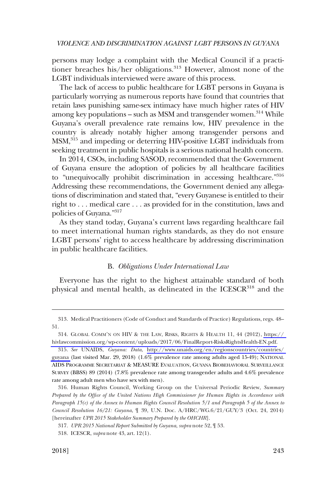persons may lodge a complaint with the Medical Council if a practitioner breaches his/her obligations.<sup>313</sup> However, almost none of the LGBT individuals interviewed were aware of this process.

The lack of access to public healthcare for LGBT persons in Guyana is particularly worrying as numerous reports have found that countries that retain laws punishing same-sex intimacy have much higher rates of HIV among key populations – such as MSM and transgender women.<sup>314</sup> While Guyana's overall prevalence rate remains low, HIV prevalence in the country is already notably higher among transgender persons and MSM,<sup>315</sup> and impeding or deterring HIV-positive LGBT individuals from seeking treatment in public hospitals is a serious national health concern.

In 2014, CSOs, including SASOD, recommended that the Government of Guyana ensure the adoption of policies by all healthcare facilities to "unequivocally prohibit discrimination in accessing healthcare."<sup>316</sup> Addressing these recommendations, the Government denied any allegations of discrimination and stated that, "every Guyanese is entitled to their right to . . . medical care . . . as provided for in the constitution, laws and policies of Guyana."317

As they stand today, Guyana's current laws regarding healthcare fail to meet international human rights standards, as they do not ensure LGBT persons' right to access healthcare by addressing discrimination in public healthcare facilities.

#### B. *Obligations Under International Law*

Everyone has the right to the highest attainable standard of both physical and mental health, as delineated in the ICESCR<sup>318</sup> and the

<sup>313.</sup> Medical Practitioners (Code of Conduct and Standards of Practice) Regulations, regs. 48– 51.

<sup>314.</sup> GLOBAL COMM'N ON HIV & THE LAW, RISKS, RIGHTS & HEALTH 11, 44 (2012), https:// [hivlawcommission.org/wp-content/uploads/2017/06/FinalReport-RisksRightsHealth-EN.pdf.](https://hivlawcommission.org/wp-content/uploads/2017/06/FinalReport-RisksRightsHealth-EN.pdf)

*See* UNAIDS, *Guyana: Data*, [http://www.unaids.org/en/regionscountries/countries/](http://www.unaids.org/en/regionscountries/countries/guyana)  315. [guyana](http://www.unaids.org/en/regionscountries/countries/guyana) (last visited Mar. 29, 2018) (1.6% prevalence rate among adults aged 15-49); NATIONAL AIDS PROGRAMME SECRETARIAT & MEASURE EVALUATION, GUYANA BIOBEHAVIORAL SURVEILLANCE SURVEY (BBSS) 89 (2014) (7.8% prevalence rate among transgender adults and 4.6% prevalence rate among adult men who have sex with men).

<sup>316.</sup> Human Rights Council, Working Group on the Universal Periodic Review, *Summary Prepared by the Office of the United Nations High Commissioner for Human Rights in Accordance with Paragraph 15(c) of the Annex to Human Rights Council Resolution 5/1 and Paragraph 5 of the Annex to Council Resolution 16/21: Guyana*, ¶ 39, U.N. Doc. A/HRC/WG.6/21/GUY/3 (Oct. 24, 2014) [hereinafter *UPR 2015 Stakeholder Summary Prepared by the OHCHR*].

<sup>317.</sup> *UPR 2015 National Report Submitted by Guyana*, *supra* note 52, ¶ 53.

<sup>318.</sup> ICESCR, *supra* note 43, art. 12(1).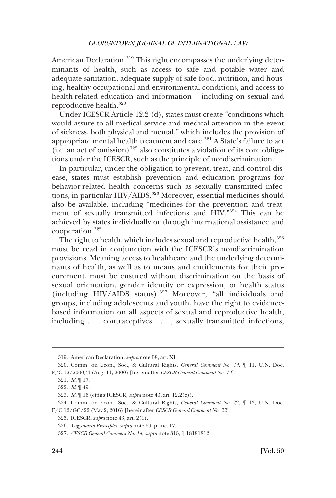American Declaration.<sup>319</sup> This right encompasses the underlying determinants of health, such as access to safe and potable water and adequate sanitation, adequate supply of safe food, nutrition, and housing, healthy occupational and environmental conditions, and access to health-related education and information – including on sexual and reproductive health.320

Under ICESCR Article 12.2 (d), states must create "conditions which would assure to all medical service and medical attention in the event of sickness, both physical and mental," which includes the provision of appropriate mental health treatment and care.<sup>321</sup> A State's failure to act  $(i.e. an act of omission)$ <sup>322</sup> also constitutes a violation of its core obligations under the ICESCR, such as the principle of nondiscrimination.

In particular, under the obligation to prevent, treat, and control disease, states must establish prevention and education programs for behavior-related health concerns such as sexually transmitted infections, in particular HIV/AIDS.<sup>323</sup> Moreover, essential medicines should also be available, including "medicines for the prevention and treatment of sexually transmitted infections and HIV."324 This can be achieved by states individually or through international assistance and cooperation.<sup>325</sup>

The right to health, which includes sexual and reproductive health,<sup>326</sup> must be read in conjunction with the ICESCR's nondiscrimination provisions. Meaning access to healthcare and the underlying determinants of health, as well as to means and entitlements for their procurement, must be ensured without discrimination on the basis of sexual orientation, gender identity or expression, or health status (including HIV/AIDS status).327 Moreover, "all individuals and groups, including adolescents and youth, have the right to evidencebased information on all aspects of sexual and reproductive health, including . . . contraceptives . . . , sexually transmitted infections,

<sup>319.</sup> American Declaration, *supra* note 58, art. XI.

<sup>320.</sup> Comm. on Econ., Soc., & Cultural Rights, *General Comment No. 14*, ¶ 11, U.N. Doc. E/C.12/2000/4 (Aug. 11, 2000) [hereinafter *CESCR General Comment No. 14*].

<sup>321.</sup> *Id*. ¶ 17.

<sup>322.</sup> *Id*. ¶ 49.

<sup>323.</sup> *Id*. ¶ 16 (citing ICESCR, *supra* note 43, art. 12.2(c)).

<sup>324.</sup> Comm. on Econ., Soc., & Cultural Rights, *General Comment No*. 22, ¶ 13, U.N. Doc. E/C.12/GC/22 (May 2, 2016) [hereinafter *CESCR General Comment No. 22*].

<sup>325.</sup> ICESCR, *supra* note 43, art. 2(1).

<sup>326.</sup> *Yogyakarta Principles*, *supra* note 69, princ. 17.

<sup>327.</sup> *CESCR General Comment No. 14*, *supra* note 315, ¶ 18181812.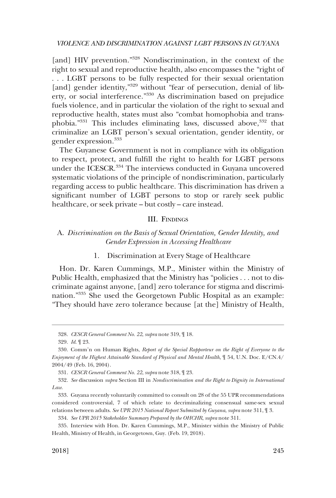[and] HIV prevention."<sup>328</sup> Nondiscrimination, in the context of the right to sexual and reproductive health, also encompasses the "right of . . . LGBT persons to be fully respected for their sexual orientation [and] gender identity,"<sup>329</sup> without "fear of persecution, denial of liberty, or social interference."330 As discrimination based on prejudice fuels violence, and in particular the violation of the right to sexual and reproductive health, states must also "combat homophobia and transphobia. $1331}$  This includes eliminating laws, discussed above,  $332$  that criminalize an LGBT person's sexual orientation, gender identity, or gender expression.333

The Guyanese Government is not in compliance with its obligation to respect, protect, and fulfill the right to health for LGBT persons under the ICESCR.<sup>334</sup> The interviews conducted in Guyana uncovered systematic violations of the principle of nondiscrimination, particularly regarding access to public healthcare. This discrimination has driven a significant number of LGBT persons to stop or rarely seek public healthcare, or seek private – but costly – care instead.

### III. FINDINGS

## A. *Discrimination on the Basis of Sexual Orientation, Gender Identity, and Gender Expression in Accessing Healthcare*

### 1. Discrimination at Every Stage of Healthcare

Hon. Dr. Karen Cummings, M.P., Minister within the Ministry of Public Health, emphasized that the Ministry has "policies . . . not to discriminate against anyone, [and] zero tolerance for stigma and discrimination."335 She used the Georgetown Public Hospital as an example: "They should have zero tolerance because [at the] Ministry of Health,

<sup>328.</sup> *CESCR General Comment No. 22*, *supra* note 319, ¶ 18.

<sup>329.</sup> *Id*. ¶ 23.

<sup>330.</sup> Comm'n on Human Rights, *Report of the Special Rapporteur on the Right of Everyone to the Enjoyment of the Highest Attainable Standard of Physical and Mental Health*, ¶ 54, U.N. Doc. E/CN.4/ 2004/49 (Feb. 16, 2004).

<sup>331.</sup> *CESCR General Comment No. 22*, *supra* note 318, ¶ 23.

<sup>332.</sup> *See* discussion *supra* Section III in *Nondiscrimination and the Right to Dignity in International Law*.

<sup>333.</sup> Guyana recently voluntarily committed to consult on 28 of the 55 UPR recommendations considered controversial, 7 of which relate to decriminalizing consensual same-sex sexual relations between adults. *See UPR 2015 National Report Submitted by Guyana*, *supra* note 311, ¶ 3.

<sup>334.</sup> *See UPR 2015 Stakeholder Summary Prepared by the OHCHR*, *supra* note 311.

<sup>335.</sup> Interview with Hon. Dr. Karen Cummings, M.P., Minister within the Ministry of Public Health, Ministry of Health, in Georgetown, Guy. (Feb. 19, 2018).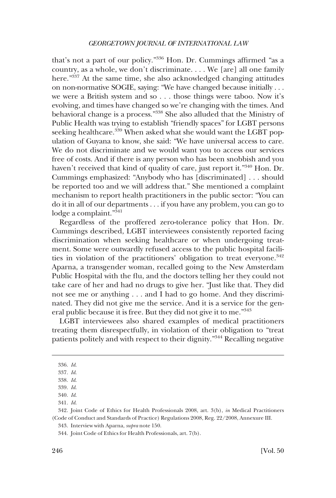that's not a part of our policy."336 Hon. Dr. Cummings affirmed "as a country, as a whole, we don't discriminate. . . . We [are] all one family here."337 At the same time, she also acknowledged changing attitudes on non-normative SOGIE, saying: "We have changed because initially . . . we were a British system and so . . . those things were taboo. Now it's evolving, and times have changed so we're changing with the times. And behavioral change is a process."338 She also alluded that the Ministry of Public Health was trying to establish "friendly spaces" for LGBT persons seeking healthcare.<sup>339</sup> When asked what she would want the LGBT population of Guyana to know, she said: "We have universal access to care. We do not discriminate and we would want you to access our services free of costs. And if there is any person who has been snobbish and you haven't received that kind of quality of care, just report it."<sup>340</sup> Hon. Dr. Cummings emphasized: "Anybody who has [discriminated] . . . should be reported too and we will address that." She mentioned a complaint mechanism to report health practitioners in the public sector: "You can do it in all of our departments . . . if you have any problem, you can go to lodge a complaint."341

Regardless of the proffered zero-tolerance policy that Hon. Dr. Cummings described, LGBT interviewees consistently reported facing discrimination when seeking healthcare or when undergoing treatment. Some were outwardly refused access to the public hospital facilities in violation of the practitioners' obligation to treat everyone.<sup>342</sup> Aparna, a transgender woman, recalled going to the New Amsterdam Public Hospital with the flu, and the doctors telling her they could not take care of her and had no drugs to give her. "Just like that. They did not see me or anything . . . and I had to go home. And they discriminated. They did not give me the service. And it is a service for the general public because it is free. But they did not give it to me."343

LGBT interviewees also shared examples of medical practitioners treating them disrespectfully, in violation of their obligation to "treat patients politely and with respect to their dignity."344 Recalling negative

<sup>336.</sup> *Id*.

<sup>337.</sup> *Id*.

<sup>338.</sup> *Id*.

<sup>339.</sup> *Id*. 340. *Id*.

<sup>341.</sup> *Id*.

<sup>342.</sup> Joint Code of Ethics for Health Professionals 2008, art. 3(b), *in* Medical Practitioners (Code of Conduct and Standards of Practice) Regulations 2008, Reg. 22/2008, Annexure III.

<sup>343.</sup> Interview with Aparna, *supra* note 150.

<sup>344.</sup> Joint Code of Ethics for Health Professionals, art. 7(b).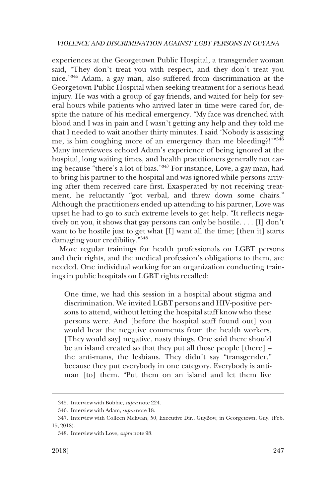experiences at the Georgetown Public Hospital, a transgender woman said, "They don't treat you with respect, and they don't treat you nice."345 Adam, a gay man, also suffered from discrimination at the Georgetown Public Hospital when seeking treatment for a serious head injury. He was with a group of gay friends, and waited for help for several hours while patients who arrived later in time were cared for, despite the nature of his medical emergency. "My face was drenched with blood and I was in pain and I wasn't getting any help and they told me that I needed to wait another thirty minutes. I said 'Nobody is assisting me, is him coughing more of an emergency than me bleeding?!"<sup>346</sup> Many interviewees echoed Adam's experience of being ignored at the hospital, long waiting times, and health practitioners generally not caring because "there's a lot of bias."347 For instance, Love, a gay man, had to bring his partner to the hospital and was ignored while persons arriving after them received care first. Exasperated by not receiving treatment, he reluctantly "got verbal, and threw down some chairs." Although the practitioners ended up attending to his partner, Love was upset he had to go to such extreme levels to get help. "It reflects negatively on you, it shows that gay persons can only be hostile. . . . [I] don't want to be hostile just to get what [I] want all the time; [then it] starts damaging your credibility."<sup>348</sup>

More regular trainings for health professionals on LGBT persons and their rights, and the medical profession's obligations to them, are needed. One individual working for an organization conducting trainings in public hospitals on LGBT rights recalled:

One time, we had this session in a hospital about stigma and discrimination. We invited LGBT persons and HIV-positive persons to attend, without letting the hospital staff know who these persons were. And [before the hospital staff found out] you would hear the negative comments from the health workers. [They would say] negative, nasty things. One said there should be an island created so that they put all those people [there] – the anti-mans, the lesbians. They didn't say "transgender," because they put everybody in one category. Everybody is antiman [to] them. "Put them on an island and let them live

<sup>345.</sup> Interview with Bobbie, *supra* note 224.

<sup>346.</sup> Interview with Adam, *supra* note 18.

<sup>347.</sup> Interview with Colleen McEwan, 50, Executive Dir., GuyBow, in Georgetown, Guy. (Feb. 15, 2018).

<sup>348.</sup> Interview with Love, *supra* note 98.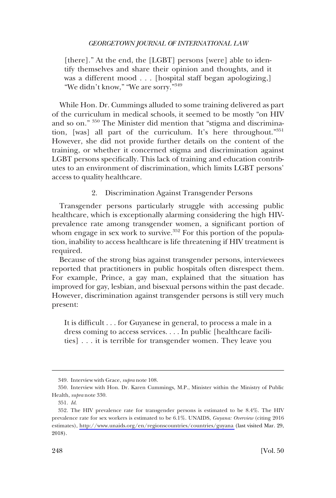[there]." At the end, the [LGBT] persons [were] able to identify themselves and share their opinion and thoughts, and it was a different mood . . . [hospital staff began apologizing,] "We didn't know," "We are sorry."<sup>349</sup>

While Hon. Dr. Cummings alluded to some training delivered as part of the curriculum in medical schools, it seemed to be mostly "on HIV and so on." 350 The Minister did mention that "stigma and discrimination, [was] all part of the curriculum. It's here throughout."<sup>351</sup> However, she did not provide further details on the content of the training, or whether it concerned stigma and discrimination against LGBT persons specifically. This lack of training and education contributes to an environment of discrimination, which limits LGBT persons' access to quality healthcare.

## 2. Discrimination Against Transgender Persons

Transgender persons particularly struggle with accessing public healthcare, which is exceptionally alarming considering the high HIVprevalence rate among transgender women, a significant portion of whom engage in sex work to survive. $352$  For this portion of the population, inability to access healthcare is life threatening if HIV treatment is required.

Because of the strong bias against transgender persons, interviewees reported that practitioners in public hospitals often disrespect them. For example, Prince, a gay man, explained that the situation has improved for gay, lesbian, and bisexual persons within the past decade. However, discrimination against transgender persons is still very much present:

It is difficult . . . for Guyanese in general, to process a male in a dress coming to access services. . . . In public [healthcare facilities] . . . it is terrible for transgender women. They leave you

<sup>349.</sup> Interview with Grace, *supra* note 108.

<sup>350.</sup> Interview with Hon. Dr. Karen Cummings, M.P., Minister within the Ministry of Public Health, *supra* note 330.

<sup>351.</sup> *Id*.

<sup>352.</sup> The HIV prevalence rate for transgender persons is estimated to be 8.4%. The HIV prevalence rate for sex workers is estimated to be 6.1%. UNAIDS, *Guyana: Overview* (citing 2016 estimates), <http://www.unaids.org/en/regionscountries/countries/guyana>(last visited Mar. 29, 2018).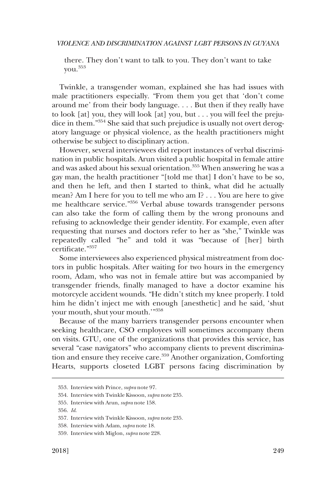there. They don't want to talk to you. They don't want to take you.<sup>353</sup>

Twinkle, a transgender woman, explained she has had issues with male practitioners especially. "From them you get that 'don't come around me' from their body language. . . . But then if they really have to look [at] you, they will look [at] you, but . . . you will feel the prejudice in them."354 She said that such prejudice is usually not overt derogatory language or physical violence, as the health practitioners might otherwise be subject to disciplinary action.

However, several interviewees did report instances of verbal discrimination in public hospitals. Arun visited a public hospital in female attire and was asked about his sexual orientation.355 When answering he was a gay man, the health practitioner "[told me that] I don't have to be so, and then he left, and then I started to think, what did he actually mean? Am I here for you to tell me who am I? . . . You are here to give me healthcare service."356 Verbal abuse towards transgender persons can also take the form of calling them by the wrong pronouns and refusing to acknowledge their gender identity. For example, even after requesting that nurses and doctors refer to her as "she," Twinkle was repeatedly called "he" and told it was "because of [her] birth certificate."357

Some interviewees also experienced physical mistreatment from doctors in public hospitals. After waiting for two hours in the emergency room, Adam, who was not in female attire but was accompanied by transgender friends, finally managed to have a doctor examine his motorcycle accident wounds. "He didn't stitch my knee properly. I told him he didn't inject me with enough [anesthetic] and he said, 'shut your mouth, shut your mouth.'"358

Because of the many barriers transgender persons encounter when seeking healthcare, CSO employees will sometimes accompany them on visits. GTU, one of the organizations that provides this service, has several "case navigators" who accompany clients to prevent discrimination and ensure they receive care.<sup>359</sup> Another organization, Comforting Hearts, supports closeted LGBT persons facing discrimination by

<sup>353.</sup> Interview with Prince, *supra* note 97.

<sup>354.</sup> Interview with Twinkle Kissoon, *supra* note 235.

<sup>355.</sup> Interview with Arun, *supra* note 158.

<sup>356.</sup> *Id*.

<sup>357.</sup> Interview with Twinkle Kissoon, *supra* note 235.

<sup>358.</sup> Interview with Adam, *supra* note 18.

<sup>359.</sup> Interview with Miglon, *supra* note 228.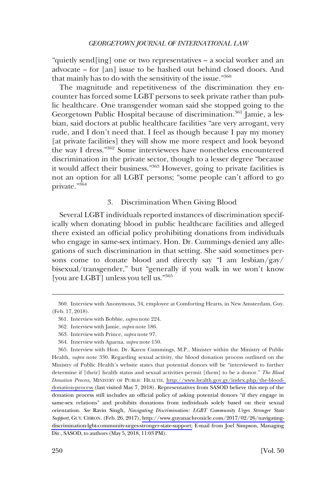"quietly send[ing] one or two representatives – a social worker and an advocate – for [an] issue to be hashed out behind closed doors. And that mainly has to do with the sensitivity of the issue."360

The magnitude and repetitiveness of the discrimination they encounter has forced some LGBT persons to seek private rather than public healthcare. One transgender woman said she stopped going to the Georgetown Public Hospital because of discrimination.<sup>361</sup> Jamie, a lesbian, said doctors at public healthcare facilities "are very arrogant, very rude, and I don't need that. I feel as though because I pay my money [at private facilities] they will show me more respect and look beyond the way I dress."362 Some interviewees have nonetheless encountered discrimination in the private sector, though to a lesser degree "because it would affect their business."363 However, going to private facilities is not an option for all LGBT persons; "some people can't afford to go private."364

#### 3. Discrimination When Giving Blood

Several LGBT individuals reported instances of discrimination specifically when donating blood in public healthcare facilities and alleged there existed an official policy prohibiting donations from individuals who engage in same-sex intimacy. Hon. Dr. Cummings denied any allegations of such discrimination in that setting. She said sometimes persons come to donate blood and directly say "I am lesbian/gay/ bisexual/transgender," but "generally if you walk in we won't know [you are LGBT] unless you tell us."365

<sup>360.</sup> Interview with Anonymous, 34, employee at Comforting Hearts, in New Amsterdam, Guy. (Feb. 17, 2018).

<sup>361.</sup> Interview with Bobbie, *supra* note 224.

<sup>362.</sup> Interview with Jamie, *supra* note 186.

<sup>363.</sup> Interview with Prince, *supra* note 97.

<sup>364.</sup> Interview with Aparna, *supra* note 150.

<sup>365.</sup> Interview with Hon. Dr. Karen Cummings, M.P., Minister within the Ministry of Public Health, *supra* note 330. Regarding sexual activity, the blood donation process outlined on the Ministry of Public Health's website states that potential donors will be "interviewed to further determine if [their] health status and sexual activities permit [them] to be a donor." *The Blood Donation Process*, MINISTRY OF PUBLIC HEALTH, [http://www.health.gov.gy/index.php/the-blood](http://www.health.gov.gy/index.php/the-blood-donation-process)[donation-process](http://www.health.gov.gy/index.php/the-blood-donation-process) (last visited May 7, 2018). Representatives from SASOD believe this step of the donation process still includes an official policy of asking potential donors "if they engage in same-sex relations" and prohibits donations from individuals solely based on their sexual orientation. *See* Ravin Singh, *Navigating Discrimination: LGBT Community Urges Stronger State Support*, GUY. CHRON. (Feb. 26, 2017), [http://www.guyanachronicle.com/2017/02/26/navigating](http://www.guyanachronicle.com/2017/02/26/navigating-discrimination-lgbt-community-urges-stronger-state-support)[discrimination-lgbt-community-urges-stronger-state-support;](http://www.guyanachronicle.com/2017/02/26/navigating-discrimination-lgbt-community-urges-stronger-state-support) E-mail from Joel Simpson, Managing Dir., SASOD, to authors (May 5, 2018, 11:03 PM).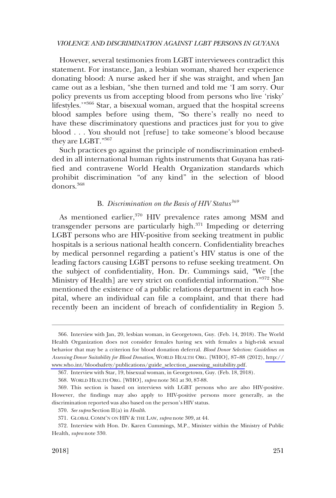However, several testimonies from LGBT interviewees contradict this statement. For instance, Jan, a lesbian woman, shared her experience donating blood: A nurse asked her if she was straight, and when Jan came out as a lesbian, "she then turned and told me 'I am sorry. Our policy prevents us from accepting blood from persons who live 'risky' lifestyles.'"<sup>366</sup> Star, a bisexual woman, argued that the hospital screens blood samples before using them, "So there's really no need to have these discriminatory questions and practices just for you to give blood . . . You should not [refuse] to take someone's blood because they are LGBT."367

Such practices go against the principle of nondiscrimination embedded in all international human rights instruments that Guyana has ratified and contravene World Health Organization standards which prohibit discrimination "of any kind" in the selection of blood donors.368

# B. *Discrimination on the Basis of HIV Status<sup>369</sup>*

As mentioned earlier,<sup>370</sup> HIV prevalence rates among MSM and transgender persons are particularly high.371 Impeding or deterring LGBT persons who are HIV-positive from seeking treatment in public hospitals is a serious national health concern. Confidentiality breaches by medical personnel regarding a patient's HIV status is one of the leading factors causing LGBT persons to refuse seeking treatment. On the subject of confidentiality, Hon. Dr. Cummings said, "We [the Ministry of Health] are very strict on confidential information."372 She mentioned the existence of a public relations department in each hospital, where an individual can file a complaint, and that there had recently been an incident of breach of confidentiality in Region 5.

<sup>366.</sup> Interview with Jan, 20, lesbian woman, in Georgetown, Guy. (Feb. 14, 2018). The World Health Organization does not consider females having sex with females a high-risk sexual behavior that may be a criterion for blood donation deferral. *Blood Donor Selection: Guidelines on Assessing Donor Suitability for Blood Donation*, WORLD HEALTH ORG. [WHO], 87–88 (2012), [http://](http://www.who.int/bloodsafety/publications/guide_selection_assessing_suitability.pdf)  [www.who.int/bloodsafety/publications/guide\\_selection\\_assessing\\_suitability.pdf](http://www.who.int/bloodsafety/publications/guide_selection_assessing_suitability.pdf).

<sup>367.</sup> Interview with Star, 19, bisexual woman, in Georgetown, Guy. (Feb. 18, 2018).

<sup>368.</sup> WORLD HEALTH ORG. [WHO], *supra* note 361 at 30, 87-88.

<sup>369.</sup> This section is based on interviews with LGBT persons who are also HIV-positive. However, the findings may also apply to HIV-positive persons more generally, as the discrimination reported was also based on the person's HIV status.

<sup>370.</sup> *See supra* Section II(a) in *Health*.

<sup>371.</sup> GLOBAL COMM'N ON HIV & THE LAW, *supra* note 309, at 44.

<sup>372.</sup> Interview with Hon. Dr. Karen Cummings, M.P., Minister within the Ministry of Public Health, *supra* note 330.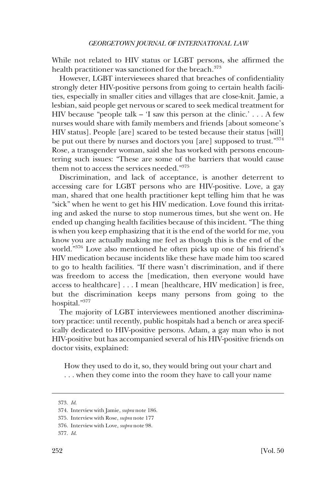While not related to HIV status or LGBT persons, she affirmed the health practitioner was sanctioned for the breach.<sup>373</sup>

However, LGBT interviewees shared that breaches of confidentiality strongly deter HIV-positive persons from going to certain health facilities, especially in smaller cities and villages that are close-knit. Jamie, a lesbian, said people get nervous or scared to seek medical treatment for HIV because "people talk  $-$  'I saw this person at the clinic.' . . . A few nurses would share with family members and friends [about someone's HIV status]. People [are] scared to be tested because their status [will] be put out there by nurses and doctors you [are] supposed to trust."374 Rose, a transgender woman, said she has worked with persons encountering such issues: "These are some of the barriers that would cause them not to access the services needed."375

Discrimination, and lack of acceptance, is another deterrent to accessing care for LGBT persons who are HIV-positive. Love, a gay man, shared that one health practitioner kept telling him that he was "sick" when he went to get his HIV medication. Love found this irritating and asked the nurse to stop numerous times, but she went on. He ended up changing health facilities because of this incident. "The thing is when you keep emphasizing that it is the end of the world for me, you know you are actually making me feel as though this is the end of the world."376 Love also mentioned he often picks up one of his friend's HIV medication because incidents like these have made him too scared to go to health facilities. "If there wasn't discrimination, and if there was freedom to access the [medication, then everyone would have access to healthcare] . . . I mean [healthcare, HIV medication] is free, but the discrimination keeps many persons from going to the hospital."377

The majority of LGBT interviewees mentioned another discriminatory practice: until recently, public hospitals had a bench or area specifically dedicated to HIV-positive persons. Adam, a gay man who is not HIV-positive but has accompanied several of his HIV-positive friends on doctor visits, explained:

How they used to do it, so, they would bring out your chart and . . . when they come into the room they have to call your name

<sup>373.</sup> *Id*.

<sup>374.</sup> Interview with Jamie, *supra* note 186.

<sup>375.</sup> Interview with Rose, *supra* note 177

<sup>376.</sup> Interview with Love, *supra* note 98.

<sup>377.</sup> *Id*.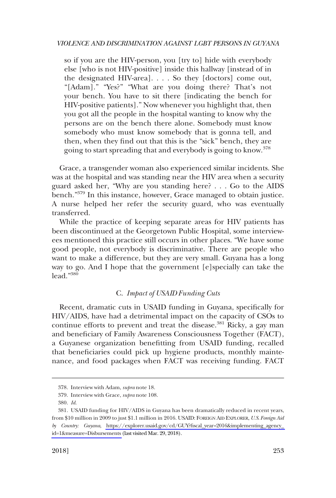so if you are the HIV-person, you [try to] hide with everybody else [who is not HIV-positive] inside this hallway [instead of in the designated HIV-area]. . . . So they [doctors] come out, "[Adam]." "Yes?" "What are you doing there? That's not your bench. You have to sit there [indicating the bench for HIV-positive patients]." Now whenever you highlight that, then you got all the people in the hospital wanting to know why the persons are on the bench there alone. Somebody must know somebody who must know somebody that is gonna tell, and then, when they find out that this is the "sick" bench, they are going to start spreading that and everybody is going to know.<sup>378</sup>

Grace, a transgender woman also experienced similar incidents. She was at the hospital and was standing near the HIV area when a security guard asked her, "Why are you standing here? . . . Go to the AIDS bench."<sup>379</sup> In this instance, however, Grace managed to obtain justice. A nurse helped her refer the security guard, who was eventually transferred.

While the practice of keeping separate areas for HIV patients has been discontinued at the Georgetown Public Hospital, some interviewees mentioned this practice still occurs in other places. "We have some good people, not everybody is discriminative. There are people who want to make a difference, but they are very small. Guyana has a long way to go. And I hope that the government [e]specially can take the lead."<sup>380</sup>

# C. *Impact of USAID Funding Cuts*

Recent, dramatic cuts in USAID funding in Guyana, specifically for HIV/AIDS, have had a detrimental impact on the capacity of CSOs to continue efforts to prevent and treat the disease.<sup>381</sup> Ricky, a gay man and beneficiary of Family Awareness Consciousness Together (FACT), a Guyanese organization benefitting from USAID funding, recalled that beneficiaries could pick up hygiene products, monthly maintenance, and food packages when FACT was receiving funding. FACT

<sup>378.</sup> Interview with Adam, *supra* note 18.

<sup>379.</sup> Interview with Grace, *supra* note 108.

<sup>380.</sup> *Id*.

<sup>381.</sup> USAID funding for HIV/AIDS in Guyana has been dramatically reduced in recent years, from \$10 million in 2009 to just \$1.1 million in 2016. USAID: FOREIGN AID EXPLORER, *U.S. Foreign Aid by Country: Guyana*, [https://explorer.usaid.gov/cd/GUY?fiscal\\_year=2016&implementing\\_agency\\_](https://explorer.usaid.gov/cd/GUY?fiscal_year=2016&implementing_agency_id=1&measure=Disbursements)  [id=1&measure=Disbursements](https://explorer.usaid.gov/cd/GUY?fiscal_year=2016&implementing_agency_id=1&measure=Disbursements) (last visited Mar. 29, 2018).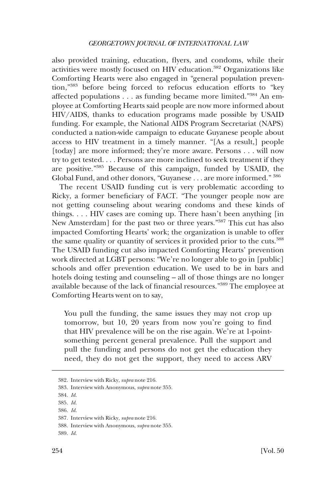also provided training, education, flyers, and condoms, while their activities were mostly focused on HIV education.382 Organizations like Comforting Hearts were also engaged in "general population prevention,"383 before being forced to refocus education efforts to "key affected populations . . . as funding became more limited."384 An employee at Comforting Hearts said people are now more informed about HIV/AIDS, thanks to education programs made possible by USAID funding. For example, the National AIDS Program Secretariat (NAPS) conducted a nation-wide campaign to educate Guyanese people about access to HIV treatment in a timely manner. "[As a result,] people [today] are more informed; they're more aware. Persons . . . will now try to get tested. . . . Persons are more inclined to seek treatment if they are positive."385 Because of this campaign, funded by USAID, the Global Fund, and other donors, "Guyanese . . . are more informed." <sup>386</sup>

The recent USAID funding cut is very problematic according to Ricky, a former beneficiary of FACT. "The younger people now are not getting counseling about wearing condoms and these kinds of things. . . . HIV cases are coming up. There hasn't been anything [in New Amsterdam] for the past two or three years."387 This cut has also impacted Comforting Hearts' work; the organization is unable to offer the same quality or quantity of services it provided prior to the cuts.<sup>388</sup> The USAID funding cut also impacted Comforting Hearts' prevention work directed at LGBT persons: "We're no longer able to go in [public] schools and offer prevention education. We used to be in bars and hotels doing testing and counseling – all of those things are no longer available because of the lack of financial resources."389 The employee at Comforting Hearts went on to say,

You pull the funding, the same issues they may not crop up tomorrow, but 10, 20 years from now you're going to find that HIV prevalence will be on the rise again. We're at 1-pointsomething percent general prevalence. Pull the support and pull the funding and persons do not get the education they need, they do not get the support, they need to access ARV

<sup>382.</sup> Interview with Ricky, *supra* note 216.

<sup>383.</sup> Interview with Anonymous, *supra* note 355.

<sup>384.</sup> *Id*.

<sup>385.</sup> *Id*.

<sup>386.</sup> *Id*.

<sup>387.</sup> Interview with Ricky, *supra* note 216.

<sup>388.</sup> Interview with Anonymous, *supra* note 355.

<sup>389.</sup> *Id*.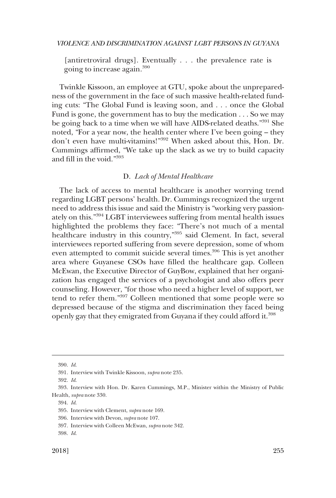[antiretroviral drugs]. Eventually . . . the prevalence rate is going to increase again.<sup>390</sup>

Twinkle Kissoon, an employee at GTU, spoke about the unpreparedness of the government in the face of such massive health-related funding cuts: "The Global Fund is leaving soon, and . . . once the Global Fund is gone, the government has to buy the medication . . . So we may be going back to a time when we will have AIDS-related deaths."391 She noted, "For a year now, the health center where I've been going – they don't even have multi-vitamins!"392 When asked about this, Hon. Dr. Cummings affirmed, "We take up the slack as we try to build capacity and fill in the void."393

### D. *Lack of Mental Healthcare*

The lack of access to mental healthcare is another worrying trend regarding LGBT persons' health. Dr. Cummings recognized the urgent need to address this issue and said the Ministry is "working very passionately on this."394 LGBT interviewees suffering from mental health issues highlighted the problems they face: "There's not much of a mental healthcare industry in this country,"395 said Clement. In fact, several interviewees reported suffering from severe depression, some of whom even attempted to commit suicide several times.<sup>396</sup> This is yet another area where Guyanese CSOs have filled the healthcare gap. Colleen McEwan, the Executive Director of GuyBow, explained that her organization has engaged the services of a psychologist and also offers peer counseling. However, "for those who need a higher level of support, we tend to refer them."397 Colleen mentioned that some people were so depressed because of the stigma and discrimination they faced being openly gay that they emigrated from Guyana if they could afford it.<sup>398</sup>

<sup>390.</sup> *Id*.

<sup>391.</sup> Interview with Twinkle Kissoon, *supra* note 235.

<sup>392.</sup> *Id*.

<sup>393.</sup> Interview with Hon. Dr. Karen Cummings, M.P., Minister within the Ministry of Public Health, *supra* note 330.

<sup>394.</sup> *Id*.

<sup>395.</sup> Interview with Clement, *supra* note 169.

<sup>396.</sup> Interview with Devon, *supra* note 107.

<sup>397.</sup> Interview with Colleen McEwan, *supra* note 342.

<sup>398.</sup> *Id*.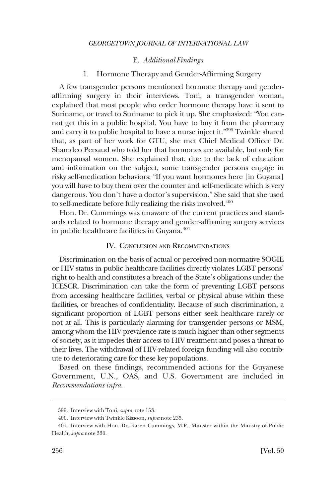## E. *Additional Findings*

# 1. Hormone Therapy and Gender-Affirming Surgery

A few transgender persons mentioned hormone therapy and genderaffirming surgery in their interviews. Toni, a transgender woman, explained that most people who order hormone therapy have it sent to Suriname, or travel to Suriname to pick it up. She emphasized: "You cannot get this in a public hospital. You have to buy it from the pharmacy and carry it to public hospital to have a nurse inject it."399 Twinkle shared that, as part of her work for GTU, she met Chief Medical Officer Dr. Shamdeo Persaud who told her that hormones are available, but only for menopausal women. She explained that, due to the lack of education and information on the subject, some transgender persons engage in risky self-medication behaviors: "If you want hormones here [in Guyana] you will have to buy them over the counter and self-medicate which is very dangerous. You don't have a doctor's supervision." She said that she used to self-medicate before fully realizing the risks involved.<sup>400</sup>

Hon. Dr. Cummings was unaware of the current practices and standards related to hormone therapy and gender-affirming surgery services in public healthcare facilities in Guyana. $401$ 

## IV. CONCLUSION AND RECOMMENDATIONS

Discrimination on the basis of actual or perceived non-normative SOGIE or HIV status in public healthcare facilities directly violates LGBT persons' right to health and constitutes a breach of the State's obligations under the ICESCR. Discrimination can take the form of preventing LGBT persons from accessing healthcare facilities, verbal or physical abuse within these facilities, or breaches of confidentiality. Because of such discrimination, a significant proportion of LGBT persons either seek healthcare rarely or not at all. This is particularly alarming for transgender persons or MSM, among whom the HIV-prevalence rate is much higher than other segments of society, as it impedes their access to HIV treatment and poses a threat to their lives. The withdrawal of HIV-related foreign funding will also contribute to deteriorating care for these key populations.

Based on these findings, recommended actions for the Guyanese Government, U.N., OAS, and U.S. Government are included in *Recommendations infra*.

<sup>399.</sup> Interview with Toni, *supra* note 153.

<sup>400.</sup> Interview with Twinkle Kissoon, *supra* note 235.

<sup>401.</sup> Interview with Hon. Dr. Karen Cummings, M.P., Minister within the Ministry of Public Health, *supra* note 330.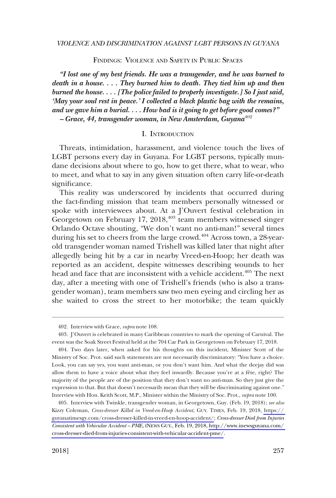FINDINGS: VIOLENCE AND SAFETY IN PUBLIC SPACES

*"I lost one of my best friends. He was a transgender, and he was burned to death in a house. . . . They burned him to death. They tied him up and then burned the house. . . . [The police failed to properly investigate.] So I just said, 'May your soul rest in peace.' I collected a black plastic bag with the remains, and we gave him a burial. . . . How bad is it going to get before good comes?" – Grace, 44, transgender woman, in New Amsterdam, Guyana*<sup>402</sup>

#### I. INTRODUCTION

Threats, intimidation, harassment, and violence touch the lives of LGBT persons every day in Guyana. For LGBT persons, typically mundane decisions about where to go, how to get there, what to wear, who to meet, and what to say in any given situation often carry life-or-death significance.

This reality was underscored by incidents that occurred during the fact-finding mission that team members personally witnessed or spoke with interviewees about. At a J'Ouvert festival celebration in Georgetown on February 17,  $2018$ ,  $403$  team members witnessed singer Orlando Octave shouting, "We don't want no anti-man!" several times during his set to cheers from the large crowd.<sup>404</sup> Across town, a 28-yearold transgender woman named Trishell was killed later that night after allegedly being hit by a car in nearby Vreed-en-Hoop; her death was reported as an accident, despite witnesses describing wounds to her head and face that are inconsistent with a vehicle accident.<sup>405</sup> The next day, after a meeting with one of Trishell's friends (who is also a transgender woman), team members saw two men eyeing and circling her as she waited to cross the street to her motorbike; the team quickly

<sup>402.</sup> Interview with Grace, *supra* note 108.

<sup>403.</sup> J'Ouvert is celebrated in many Caribbean countries to mark the opening of Carnival. The event was the Soak Street Festival held at the 704 Car Park in Georgetown on February 17, 2018.

<sup>404.</sup> Two days later, when asked for his thoughts on this incident, Minister Scott of the Ministry of Soc. Prot. said such statements are not necessarily discriminatory: "You have a choice. Look, you can say yes, you want anti-man, or you don't want him. And what the deejay did was allow them to have a voice about what they feel inwardly. Because you're at a fête, right? The majority of the people are of the position that they don't want no anti-man. So they just give the expression to that. But that doesn't necessarily mean that they will be discriminating against one." Interview with Hon. Keith Scott, M.P., Minister within the Ministry of Soc. Prot., *supra* note 100.

Interview with Twinkle, transgender woman, in Georgetown, Guy. (Feb. 19, 2018); *see also*  405. Kizzy Coleman, *Cross-dresser Killed in Vreed-en-Hoop Accident*, GUY. TIMES, Feb. 19, 2018, [https://](https://guyanatimesgy.com/cross-dresser-killed-in-vreed-en-hoop-accident/)  [guyanatimesgy.com/cross-dresser-killed-in-vreed-en-hoop-accident/;](https://guyanatimesgy.com/cross-dresser-killed-in-vreed-en-hoop-accident/) *Cross-dresser Died from Injuries Consistent with Vehicular Accident – PME*, INEWS GUY., Feb. 19, 2018, [http://www.inewsguyana.com/](http://www.inewsguyana.com/cross-dresser-died-from-injuries-consistent-with-vehicular-accident-pme/)  [cross-dresser-died-from-injuries-consistent-with-vehicular-accident-pme/.](http://www.inewsguyana.com/cross-dresser-died-from-injuries-consistent-with-vehicular-accident-pme/)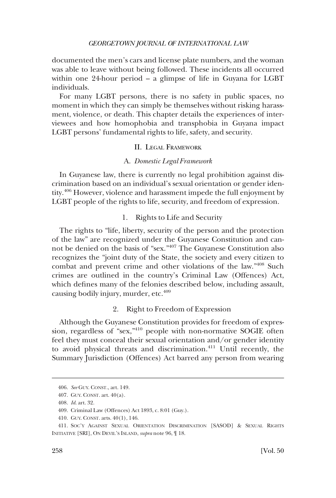documented the men's cars and license plate numbers, and the woman was able to leave without being followed. These incidents all occurred within one 24-hour period – a glimpse of life in Guyana for LGBT individuals.

For many LGBT persons, there is no safety in public spaces, no moment in which they can simply be themselves without risking harassment, violence, or death. This chapter details the experiences of interviewees and how homophobia and transphobia in Guyana impact LGBT persons' fundamental rights to life, safety, and security.

# II. LEGAL FRAMEWORK

## A. *Domestic Legal Framework*

In Guyanese law, there is currently no legal prohibition against discrimination based on an individual's sexual orientation or gender identity.406 However, violence and harassment impede the full enjoyment by LGBT people of the rights to life, security, and freedom of expression.

# 1. Rights to Life and Security

The rights to "life, liberty, security of the person and the protection of the law" are recognized under the Guyanese Constitution and cannot be denied on the basis of "sex."407 The Guyanese Constitution also recognizes the "joint duty of the State, the society and every citizen to combat and prevent crime and other violations of the law."408 Such crimes are outlined in the country's Criminal Law (Offences) Act, which defines many of the felonies described below, including assault, causing bodily injury, murder, etc.<sup>409</sup>

# 2. Right to Freedom of Expression

Although the Guyanese Constitution provides for freedom of expression, regardless of "sex,"410 people with non-normative SOGIE often feel they must conceal their sexual orientation and/or gender identity to avoid physical threats and discrimination.<sup>411</sup> Until recently, the Summary Jurisdiction (Offences) Act barred any person from wearing

<sup>406.</sup> *See* GUY. CONST., art. 149.

<sup>407.</sup> GUY. CONST. art. 40(a).

<sup>408.</sup> *Id*. art. 32.

<sup>409.</sup> Criminal Law (Offences) Act 1893, c. 8:01 (Guy.).

<sup>410.</sup> GUY. CONST. arts. 40(1), 146.

<sup>411.</sup> SOC'Y AGAINST SEXUAL ORIENTATION DISCRIMINATION [SASOD] & SEXUAL RIGHTS INITIATIVE [SRI], ON DEVIL'S ISLAND, *supra* note 96, ¶ 18.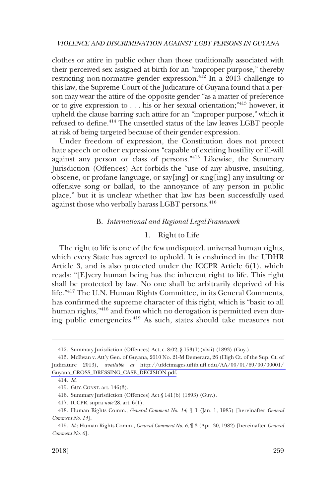clothes or attire in public other than those traditionally associated with their perceived sex assigned at birth for an "improper purpose," thereby restricting non-normative gender expression.<sup> $412$ </sup> In a 2013 challenge to this law, the Supreme Court of the Judicature of Guyana found that a person may wear the attire of the opposite gender "as a matter of preference or to give expression to . . . his or her sexual orientation;"413 however, it upheld the clause barring such attire for an "improper purpose," which it refused to define.414 The unsettled status of the law leaves LGBT people at risk of being targeted because of their gender expression.

Under freedom of expression, the Constitution does not protect hate speech or other expressions "capable of exciting hostility or ill-will against any person or class of persons."<sup>415</sup> Likewise, the Summary Jurisdiction (Offences) Act forbids the "use of any abusive, insulting, obscene, or profane language, or say[ing] or sing[ing] any insulting or offensive song or ballad, to the annoyance of any person in public place," but it is unclear whether that law has been successfully used against those who verbally harass LGBT persons.<sup>416</sup>

# B. *International and Regional Legal Framework*

## 1. Right to Life

The right to life is one of the few undisputed, universal human rights, which every State has agreed to uphold. It is enshrined in the UDHR Article 3, and is also protected under the ICCPR Article 6(1), which reads: "[E]very human being has the inherent right to life. This right shall be protected by law. No one shall be arbitrarily deprived of his life."417 The U.N. Human Rights Committee, in its General Comments, has confirmed the supreme character of this right, which is "basic to all human rights,<sup>"418</sup> and from which no derogation is permitted even during public emergencies.419 As such, states should take measures not

<sup>412.</sup> Summary Jurisdiction (Offences) Act, c. 8:02, § 153(1)(xlvii) (1893) (Guy.).

<sup>413.</sup> McEwan v. Att'y Gen. of Guyana, 2010 No. 21-M Demerara, 26 (High Ct. of the Sup. Ct. of Judicature 2013), *available at* [http://ufdcimages.uflib.ufl.edu/AA/00/01/69/00/00001/](http://ufdcimages.uflib.ufl.edu/AA/00/01/69/00/00001/Guyana_CROSS_DRESSING_CASE_DECISION.pdf)  [Guyana\\_CROSS\\_DRESSING\\_CASE\\_DECISION.pdf.](http://ufdcimages.uflib.ufl.edu/AA/00/01/69/00/00001/Guyana_CROSS_DRESSING_CASE_DECISION.pdf)

<sup>414.</sup> *Id*.

<sup>415.</sup> GUY. CONST. art. 146(3).

<sup>416.</sup> Summary Jurisdiction (Offences) Act § 141(b) (1893) (Guy.).

<sup>417.</sup> ICCPR, supra *note* 28, art. 6(1).

<sup>418.</sup> Human Rights Comm., *General Comment No. 14*, ¶ 1 (Jan. 1, 1985) [hereinafter *General Comment No. 14*].

<sup>419.</sup> *Id*.; Human Rights Comm., *General Comment No. 6*, ¶ 3 (Apr. 30, 1982) [hereinafter *General Comment No. 6*].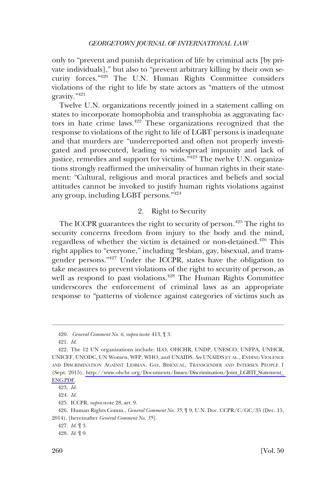only to "prevent and punish deprivation of life by criminal acts [by private individuals]," but also to "prevent arbitrary killing by their own security forces."420 The U.N. Human Rights Committee considers violations of the right to life by state actors as "matters of the utmost gravity."<sup>421</sup>

Twelve U.N. organizations recently joined in a statement calling on states to incorporate homophobia and transphobia as aggravating factors in hate crime laws.<sup>422</sup> These organizations recognized that the response to violations of the right to life of LGBT persons is inadequate and that murders are "underreported and often not properly investigated and prosecuted, leading to widespread impunity and lack of justice, remedies and support for victims."423 The twelve U.N. organizations strongly reaffirmed the universality of human rights in their statement: "Cultural, religious and moral practices and beliefs and social attitudes cannot be invoked to justify human rights violations against any group, including LGBT persons."424

# 2. Right to Security

The ICCPR guarantees the right to security of person.<sup>425</sup> The right to security concerns freedom from injury to the body and the mind, regardless of whether the victim is detained or non-detained.<sup>426</sup> This right applies to "everyone," including "lesbian, gay, bisexual, and transgender persons."427 Under the ICCPR, states have the obligation to take measures to prevent violations of the right to security of person, as well as respond to past violations.<sup>428</sup> The Human Rights Committee underscores the enforcement of criminal laws as an appropriate response to "patterns of violence against categories of victims such as

<sup>420.</sup> *General Comment No. 6*, *supra* note 413, ¶ 3.

<sup>421.</sup> *Id*.

<sup>422.</sup> The 12 UN organizations include: ILO, OHCHR, UNDP, UNESCO, UNFPA, UNHCR, UNICEF, UNODC, UN Women, WFP, WHO, and UNAIDS. *See* UNAIDS ET AL., ENDING VIOLENCE AND DISCRIMINATION AGAINST LESBIAN, GAY, BISEXUAL, TRANSGENDER AND INTERSEX PEOPLE 1 (Sept. 2015), [http://www.ohchr.org/Documents/Issues/Discrimination/Joint\\_LGBTI\\_Statement\\_](http://www.ohchr.org/Documents/Issues/Discrimination/Joint_LGBTI_Statement_ENG.PDF)  [ENG.PDF.](http://www.ohchr.org/Documents/Issues/Discrimination/Joint_LGBTI_Statement_ENG.PDF)

<sup>423.</sup> *Id*.

<sup>424.</sup> *Id*.

<sup>425.</sup> ICCPR, *supra* note 28, art. 9.

<sup>426.</sup> Human Rights Comm., *General Comment No. 35*, ¶ 9, U.N. Doc. CCPR/C/GC/35 (Dec. 15, 2014). [hereinafter *General Comment No. 35*].

<sup>427.</sup> *Id*. ¶ 3.

<sup>428.</sup> *Id*. ¶ 9.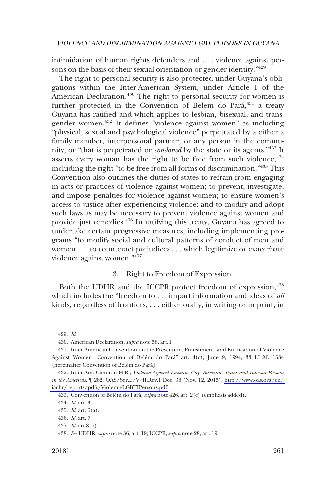intimidation of human rights defenders and . . . violence against persons on the basis of their sexual orientation or gender identity."<sup>429</sup>

The right to personal security is also protected under Guyana's obligations within the Inter-American System, under Article 1 of the American Declaration.<sup>430</sup> The right to personal security for women is further protected in the Convention of Belém do Pará,<sup>431</sup> a treaty Guyana has ratified and which applies to lesbian, bisexual, and transgender women.432 It defines "violence against women" as including "physical, sexual and psychological violence" perpetrated by a either a family member, interpersonal partner, or any person in the community, or "that is perpetrated or *condoned* by the state or its agents."<sup>433</sup> It asserts every woman has the right to be free from such violence,  $434$ including the right "to be free from all forms of discrimination."435 This Convention also outlines the duties of states to refrain from engaging in acts or practices of violence against women; to prevent, investigate, and impose penalties for violence against women; to ensure women's access to justice after experiencing violence; and to modify and adopt such laws as may be necessary to prevent violence against women and provide just remedies.436 In ratifying this treaty, Guyana has agreed to undertake certain progressive measures, including implementing programs "to modify social and cultural patterns of conduct of men and women . . . to counteract prejudices . . . which legitimize or exacerbate violence against women."437

# 3. Right to Freedom of Expression

Both the UDHR and the ICCPR protect freedom of expression,<sup>438</sup> which includes the "freedom to . . . impart information and ideas of *all*  kinds, regardless of frontiers, . . . either orally, in writing or in print, in

<sup>429.</sup> *Id*.

<sup>430.</sup> American Declaration, *supra* note 58, art. I.

<sup>431.</sup> Inter-American Convention on the Prevention, Punishment, and Eradication of Violence Against Women "Convention of Belém do Pará" art. 4(c), June 9, 1994, 33 I.L.M. 1534 [hereinafter Convention of Belém do Pará].

Inter-Am. Comm'n H.R., *Violence Against Lesbian, Gay, Bisexual, Trans and Intersex Persons*  432. *in the Americas*, ¶ 282, OAS/Ser.L/V/II.Rev.1 Doc. 36 (Nov. 12, 2015), [http://www.oas.org/en/](http://www.oas.org/en/iachr/reports/pdfs/ViolenceLGBTIPersons.pdf)  [iachr/reports/pdfs/ViolenceLGBTIPersons.pdf.](http://www.oas.org/en/iachr/reports/pdfs/ViolenceLGBTIPersons.pdf)

<sup>433.</sup> Convention of Belém do Pará, *supra* note 426, art. 2(c) (emphasis added).

<sup>434.</sup> *Id*. art. 3.

<sup>435.</sup> *Id*. art. 6(a).

<sup>436.</sup> *Id*. art. 7.

<sup>437.</sup> *Id*. art 8(b).

<sup>438.</sup> *See* UDHR, *supra* note 36, art. 19; ICCPR, *supra* note 28, art. 19.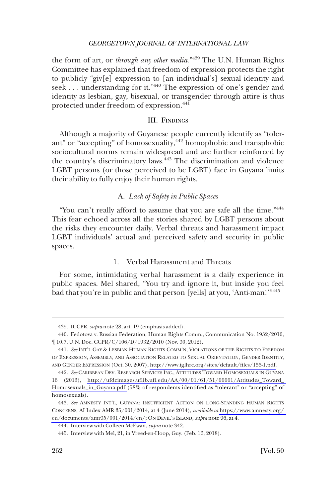the form of art, or *through any other media*."439 The U.N. Human Rights Committee has explained that freedom of expression protects the right to publicly "giv[e] expression to [an individual's] sexual identity and seek . . . understanding for it."440 The expression of one's gender and identity as lesbian, gay, bisexual, or transgender through attire is thus protected under freedom of expression.<sup>441</sup>

# III. FINDINGS

Although a majority of Guyanese people currently identify as "tolerant" or "accepting" of homosexuality,<sup>442</sup> homophobic and transphobic sociocultural norms remain widespread and are further reinforced by the country's discriminatory laws.<sup>443</sup> The discrimination and violence LGBT persons (or those perceived to be LGBT) face in Guyana limits their ability to fully enjoy their human rights.

# A. *Lack of Safety in Public Spaces*

"You can't really afford to assume that you are safe all the time."<sup>444</sup> This fear echoed across all the stories shared by LGBT persons about the risks they encounter daily. Verbal threats and harassment impact LGBT individuals' actual and perceived safety and security in public spaces.

## 1. Verbal Harassment and Threats

For some, intimidating verbal harassment is a daily experience in public spaces. Mel shared, "You try and ignore it, but inside you feel bad that you're in public and that person [yells] at you, 'Anti-man!'"445

<sup>439.</sup> ICCPR, *supra* note 28, art. 19 (emphasis added).

<sup>440.</sup> Fedotova v. Russian Federation, Human Rights Comm., Communication No. 1932/2010, ¶ 10.7, U.N. Doc. CCPR/C/106/D/1932/2010 (Nov. 30, 2012).

<sup>441.</sup> See INT'L GAY & LESBIAN HUMAN RIGHTS COMM'N, VIOLATIONS OF THE RIGHTS TO FREEDOM OF EXPRESSION, ASSEMBLY, AND ASSOCIATION RELATED TO SEXUAL ORIENTATION, GENDER IDENTITY, AND GENDER EXPRESSION (Oct. 30, 2007), [http://www.iglhrc.org/sites/default/files/155-1.pdf.](http://www.iglhrc.org/sites/default/files/155-1.pdf)

*See* CARIBBEAN DEV. RESEARCH SERVICES INC., ATTITUDES TOWARD HOMOSEXUALS IN GUYANA 442. 16 (2013), [http://ufdcimages.uflib.ufl.edu/AA/00/01/61/51/00001/Attitudes\\_Toward\\_](http://ufdcimages.uflib.ufl.edu/AA/00/01/61/51/00001/Attitudes_Toward_Homosexuals_in_Guyana.pdf)  [Homosexuals\\_in\\_Guyana.pdf](http://ufdcimages.uflib.ufl.edu/AA/00/01/61/51/00001/Attitudes_Toward_Homosexuals_in_Guyana.pdf) (58% of respondents identified as "tolerant" or "accepting" of homosexuals).

<sup>443.</sup> See AMNESTY INT'L, GUYANA: INSUFFICIENT ACTION ON LONG-STANDING HUMAN RIGHTS CONCERNS, AI Index AMR 35/001/2014, at 4 (June 2014), *available at* [https://www.amnesty.org/](https://www.amnesty.org/en/documents/amr35/001/2014/en/)  [en/documents/amr35/001/2014/en/;](https://www.amnesty.org/en/documents/amr35/001/2014/en/) ON DEVIL'S ISLAND, *supra* note 96, at 4.

<sup>444.</sup> Interview with Colleen McEwan, *supra* note 342.

<sup>445.</sup> Interview with Mel, 21, in Vreed-en-Hoop, Guy. (Feb. 16, 2018).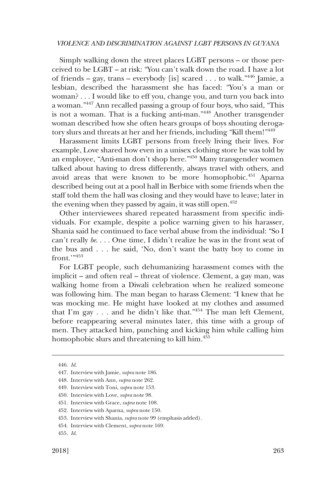Simply walking down the street places LGBT persons – or those perceived to be LGBT – at risk: "You can't walk down the road. I have a lot of friends – gay, trans – everybody [is] scared . . . to walk."446 Jamie, a lesbian, described the harassment she has faced: "You's a man or woman? . . . I would like to eff you, change you, and turn you back into a woman."447 Ann recalled passing a group of four boys, who said, "This is not a woman. That is a fucking anti-man."<sup>448</sup> Another transgender woman described how she often hears groups of boys shouting derogatory slurs and threats at her and her friends, including "Kill them!"<sup>449</sup>

Harassment limits LGBT persons from freely living their lives. For example, Love shared how even in a unisex clothing store he was told by an employee, "Anti-man don't shop here."450 Many transgender women talked about having to dress differently, always travel with others, and avoid areas that were known to be more homophobic.<sup>451</sup> Aparna described being out at a pool hall in Berbice with some friends when the staff told them the hall was closing and they would have to leave; later in the evening when they passed by again, it was still open.<sup>452</sup>

Other interviewees shared repeated harassment from specific individuals. For example, despite a police warning given to his harasser, Shania said he continued to face verbal abuse from the individual: "So I can't really *be*. . . . One time, I didn't realize he was in the front seat of the bus and . . . he said, 'No, don't want the batty boy to come in  $front$ <sup>'"453</sup>

For LGBT people, such dehumanizing harassment comes with the implicit – and often real – threat of violence. Clement, a gay man, was walking home from a Diwali celebration when he realized someone was following him. The man began to harass Clement: "I knew that he was mocking me. He might have looked at my clothes and assumed that I'm gay  $\ldots$  and he didn't like that."<sup>454</sup> The man left Clement, before reappearing several minutes later, this time with a group of men. They attacked him, punching and kicking him while calling him homophobic slurs and threatening to kill him.455

<sup>446.</sup> *Id*.

<sup>447.</sup> Interview with Jamie, *supra* note 186.

<sup>448.</sup> Interview with Ann, *supra* note 262.

<sup>449.</sup> Interview with Toni, *supra* note 153.

<sup>450.</sup> Interview with Love, *supra* note 98.

<sup>451.</sup> Interview with Grace, *supra* note 108.

<sup>452.</sup> Interview with Aparna, *supra* note 150.

<sup>453.</sup> Interview with Shania, *supra* note 99 (emphasis added).

<sup>454.</sup> Interview with Clement, *supra* note 169.

<sup>455.</sup> *Id*.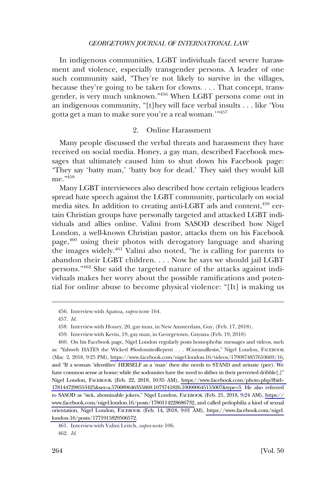In indigenous communities, LGBT individuals faced severe harassment and violence, especially transgender persons. A leader of one such community said, "They're not likely to survive in the villages, because they're going to be taken for clowns. . . . That concept, transgender, is very much unknown."456 When LGBT persons come out in an indigenous community, "[t]hey will face verbal insults . . . like 'You gotta get a man to make sure you're a real woman.'"457

# 2. Online Harassment

Many people discussed the verbal threats and harassment they have received on social media. Honey, a gay man, described Facebook messages that ultimately caused him to shut down his Facebook page: "They say 'batty man,' 'batty boy for dead.' They said they would kill me."458

Many LGBT interviewees also described how certain religious leaders spread hate speech against the LGBT community, particularly on social media sites. In addition to creating anti-LGBT ads and content,<sup>459</sup> certain Christian groups have personally targeted and attacked LGBT individuals and allies online. Valini from SASOD described how Nigel London, a well-known Christian pastor, attacks them on his Facebook page,<sup>460</sup> using their photos with derogatory language and sharing the images widely.461 Valini also noted, "he is calling for parents to abandon their LGBT children. . . . Now he says we should jail LGBT persons."462 She said the targeted nature of the attacks against individuals makes her worry about the possible ramifications and potential for online abuse to become physical violence: "[It] is making us

<sup>456.</sup> Interview with Apatoa, *supra* note 164.

<sup>457.</sup> *Id*.

<sup>458.</sup> Interview with Honey, 20, gay man, in New Amsterdam, Guy. (Feb. 17, 2018).

<sup>459.</sup> Interview with Kevin, 19, gay man, in Georgetown, Guyana (Feb. 19, 2018)

<sup>460.</sup> On his Facebook page, Nigel London regularly posts homophobic messages and videos, such as: "Yahweh HATES the Wicked #SodomitesRepent . . . #GuyanaResist," Nigel London, FACEBOOK (Mar. 2, 2018, 9:25 PM), [https://www.facebook.com/nigel.london.16/videos/1790874857610669/16,](https://www.facebook.com/nigel.london.16/videos/1790874857610669/16) and "If a woman 'identifies' HERSELF as a 'man' then she needs to STAND and urinate (pee). We have common sense at home; while the sodomites have the need to slither in their perverted dribble[,]" Nigel London, FACEBOOK (Feb. 22, 2018, 10:35 AM), https://www.facebook.com/photo.php?fbid= [1781447298553425&set=a.570089646355869.1073741826.100000645155007&type=3.](https://www.facebook.com/photo.php?fbid=1781447298553425&set=a.570089646355869.1073741826.100000645155007&type=3) He also referred to SASOD as "sick, abominable jokers," Nigel London, FACEBOOK (Feb. 21, 2018, 9:24 AM), [https://](https://www.facebook.com/nigel.london.16/posts/1780114228686732)  [www.facebook.com/nigel.london.16/posts/1780114228686732](https://www.facebook.com/nigel.london.16/posts/1780114228686732), and called pedophilia a kind of sexual orientation, Nigel London, FACEBOOK (Feb. 14, 2018, 9:01 AM), [https://www.facebook.com/nigel.](https://www.facebook.com/nigel.london.16/posts/1771915829506572)  [london.16/posts/1771915829506572.](https://www.facebook.com/nigel.london.16/posts/1771915829506572)

<sup>461.</sup> Interview with Valini Leitch, *supra* note 106.

<sup>462.</sup> *Id*.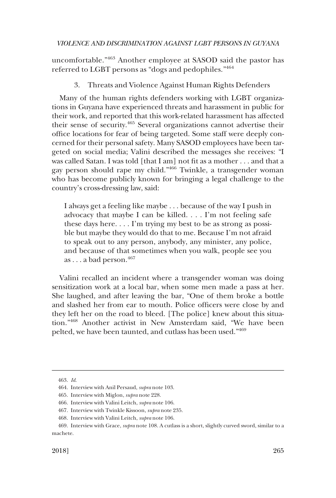uncomfortable."<sup>463</sup> Another employee at SASOD said the pastor has referred to LGBT persons as "dogs and pedophiles."<sup>464</sup>

# 3. Threats and Violence Against Human Rights Defenders

Many of the human rights defenders working with LGBT organizations in Guyana have experienced threats and harassment in public for their work, and reported that this work-related harassment has affected their sense of security.465 Several organizations cannot advertise their office locations for fear of being targeted. Some staff were deeply concerned for their personal safety. Many SASOD employees have been targeted on social media; Valini described the messages she receives: "I was called Satan. I was told [that I am] not fit as a mother . . . and that a gay person should rape my child."466 Twinkle, a transgender woman who has become publicly known for bringing a legal challenge to the country's cross-dressing law, said:

I always get a feeling like maybe . . . because of the way I push in advocacy that maybe I can be killed. . . . I'm not feeling safe these days here. . . . I'm trying my best to be as strong as possible but maybe they would do that to me. Because I'm not afraid to speak out to any person, anybody, any minister, any police, and because of that sometimes when you walk, people see you as . . . a bad person.  $467$ 

Valini recalled an incident where a transgender woman was doing sensitization work at a local bar, when some men made a pass at her. She laughed, and after leaving the bar, "One of them broke a bottle and slashed her from ear to mouth. Police officers were close by and they left her on the road to bleed. [The police] knew about this situation."468 Another activist in New Amsterdam said, "We have been pelted, we have been taunted, and cutlass has been used."469

<sup>463.</sup> *Id*.

<sup>464.</sup> Interview with Anil Persaud, *supra* note 103.

<sup>465.</sup> Interview with Miglon, *supra* note 228.

<sup>466.</sup> Interview with Valini Leitch, *supra* note 106.

<sup>467.</sup> Interview with Twinkle Kissoon, *supra* note 235.

<sup>468.</sup> Interview with Valini Leitch, *supra* note 106.

<sup>469.</sup> Interview with Grace, *supra* note 108. A cutlass is a short, slightly curved sword, similar to a machete.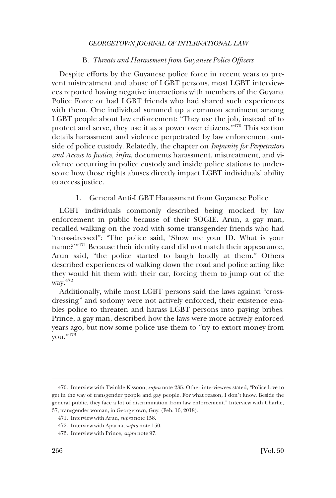## B. *Threats and Harassment from Guyanese Police Officers*

Despite efforts by the Guyanese police force in recent years to prevent mistreatment and abuse of LGBT persons, most LGBT interviewees reported having negative interactions with members of the Guyana Police Force or had LGBT friends who had shared such experiences with them. One individual summed up a common sentiment among LGBT people about law enforcement: "They use the job, instead of to protect and serve, they use it as a power over citizens."470 This section details harassment and violence perpetrated by law enforcement outside of police custody. Relatedly, the chapter on *Impunity for Perpetrators and Access to Justice, infra*, documents harassment, mistreatment, and violence occurring in police custody and inside police stations to underscore how those rights abuses directly impact LGBT individuals' ability to access justice.

#### 1. General Anti-LGBT Harassment from Guyanese Police

LGBT individuals commonly described being mocked by law enforcement in public because of their SOGIE. Arun, a gay man, recalled walking on the road with some transgender friends who had "cross-dressed": "The police said, 'Show me your ID. What is your name?'"<sup>471</sup> Because their identity card did not match their appearance, Arun said, "the police started to laugh loudly at them." Others described experiences of walking down the road and police acting like they would hit them with their car, forcing them to jump out of the way.472

Additionally, while most LGBT persons said the laws against "crossdressing" and sodomy were not actively enforced, their existence enables police to threaten and harass LGBT persons into paying bribes. Prince, a gay man, described how the laws were more actively enforced years ago, but now some police use them to "try to extort money from you."473

<sup>470.</sup> Interview with Twinkle Kissoon, *supra* note 235. Other interviewees stated, "Police love to get in the way of transgender people and gay people. For what reason, I don't know. Beside the general public, they face a lot of discrimination from law enforcement." Interview with Charlie, 37, transgender woman, in Georgetown, Guy. (Feb. 16, 2018).

<sup>471.</sup> Interview with Arun, *supra* note 158.

<sup>472.</sup> Interview with Aparna, *supra* note 150.

<sup>473.</sup> Interview with Prince, *supra* note 97.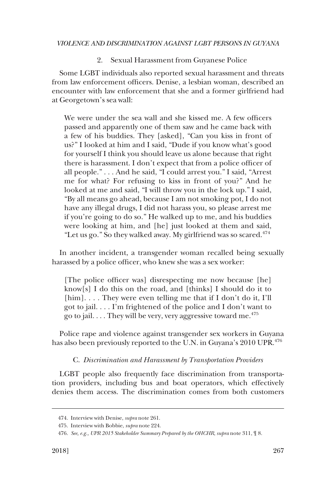2. Sexual Harassment from Guyanese Police

Some LGBT individuals also reported sexual harassment and threats from law enforcement officers. Denise, a lesbian woman, described an encounter with law enforcement that she and a former girlfriend had at Georgetown's sea wall:

We were under the sea wall and she kissed me. A few officers passed and apparently one of them saw and he came back with a few of his buddies. They [asked], "Can you kiss in front of us?" I looked at him and I said, "Dude if you know what's good for yourself I think you should leave us alone because that right there is harassment. I don't expect that from a police officer of all people." . . . And he said, "I could arrest you." I said, "Arrest me for what? For refusing to kiss in front of you?" And he looked at me and said, "I will throw you in the lock up." I said, "By all means go ahead, because I am not smoking pot, I do not have any illegal drugs, I did not harass you, so please arrest me if you're going to do so." He walked up to me, and his buddies were looking at him, and [he] just looked at them and said, "Let us go." So they walked away. My girlfriend was so scared. $^{474}$ 

In another incident, a transgender woman recalled being sexually harassed by a police officer, who knew she was a sex worker:

[The police officer was] disrespecting me now because [he] know[s] I do this on the road, and [thinks] I should do it to [him].... They were even telling me that if I don't do it, I'll got to jail. . . . I'm frightened of the police and I don't want to go to jail.  $\dots$  They will be very, very aggressive toward me.<sup>475</sup>

Police rape and violence against transgender sex workers in Guyana has also been previously reported to the U.N. in Guyana's 2010 UPR.<sup>476</sup>

# C. *Discrimination and Harassment by Transportation Providers*

LGBT people also frequently face discrimination from transportation providers, including bus and boat operators, which effectively denies them access. The discrimination comes from both customers

<sup>474.</sup> Interview with Denise, *supra* note 261.

<sup>475.</sup> Interview with Bobbie, *supra* note 224.

<sup>476.</sup> *See, e.g., UPR 2015 Stakeholder Summary Prepared by the OHCHR*, *supra* note 311, ¶ 8.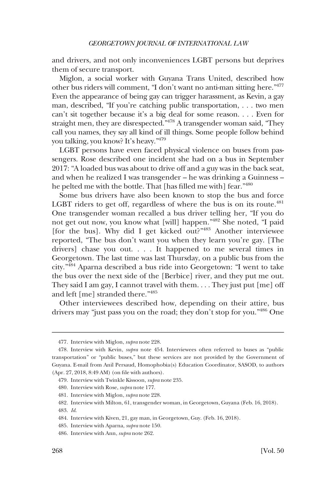and drivers, and not only inconveniences LGBT persons but deprives them of secure transport.

Miglon, a social worker with Guyana Trans United, described how other bus riders will comment, "I don't want no anti-man sitting here."477 Even the appearance of being gay can trigger harassment, as Kevin, a gay man, described, "If you're catching public transportation, . . . two men can't sit together because it's a big deal for some reason. . . . Even for straight men, they are disrespected.<sup>"478</sup> A transgender woman said, "They call you names, they say all kind of ill things. Some people follow behind you talking, you know? It's heavy."479

LGBT persons have even faced physical violence on buses from passengers. Rose described one incident she had on a bus in September 2017: "A loaded bus was about to drive off and a guy was in the back seat, and when he realized I was transgender – he was drinking a Guinness – he pelted me with the bottle. That [has filled me with] fear."480

Some bus drivers have also been known to stop the bus and force LGBT riders to get off, regardless of where the bus is on its route. $^{481}$ One transgender woman recalled a bus driver telling her, "If you do not get out now, you know what [will] happen."482 She noted, "I paid [for the bus]. Why did I get kicked out?"483 Another interviewee reported, "The bus don't want you when they learn you're gay. [The drivers] chase you out. . . . It happened to me several times in Georgetown. The last time was last Thursday, on a public bus from the city."484 Aparna described a bus ride into Georgetown: "I went to take the bus over the next side of the [Berbice] river, and they put me out. They said I am gay, I cannot travel with them. . . . They just put [me] off and left [me] stranded there."485

Other interviewees described how, depending on their attire, bus drivers may "just pass you on the road; they don't stop for you."486 One

<sup>477.</sup> Interview with Miglon, *supra* note 228.

<sup>478.</sup> Interview with Kevin, *supra* note 454. Interviewees often referred to buses as "public transportation" or "public buses," but these services are not provided by the Government of Guyana. E-mail from Anil Persaud, Homophobia(s) Education Coordinator, SASOD, to authors (Apr. 27, 2018, 8:49 AM) (on file with authors).

<sup>479.</sup> Interview with Twinkle Kissoon, *supra* note 235.

<sup>480.</sup> Interview with Rose, *supra* note 177.

<sup>481.</sup> Interview with Miglon, *supra* note 228.

<sup>482.</sup> Interview with Milton, 61, transgender woman, in Georgetown, Guyana (Feb. 16, 2018). 483. *Id*.

<sup>484.</sup> Interview with Kiven, 21, gay man, in Georgetown, Guy. (Feb. 16, 2018).

<sup>485.</sup> Interview with Aparna, *supra* note 150.

<sup>486.</sup> Interview with Ann, *supra* note 262.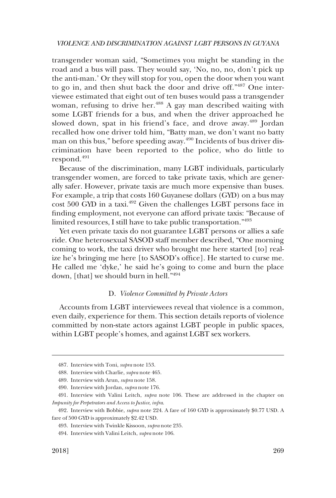transgender woman said, "Sometimes you might be standing in the road and a bus will pass. They would say, 'No, no, no, don't pick up the anti-man.' Or they will stop for you, open the door when you want to go in, and then shut back the door and drive off."487 One interviewee estimated that eight out of ten buses would pass a transgender woman, refusing to drive her.<sup>488</sup> A gay man described waiting with some LGBT friends for a bus, and when the driver approached he slowed down, spat in his friend's face, and drove away.<sup>489</sup> Jordan recalled how one driver told him, "Batty man, we don't want no batty man on this bus," before speeding away.<sup>490</sup> Incidents of bus driver discrimination have been reported to the police, who do little to respond.<sup>491</sup>

Because of the discrimination, many LGBT individuals, particularly transgender women, are forced to take private taxis, which are generally safer. However, private taxis are much more expensive than buses. For example, a trip that costs 160 Guyanese dollars (GYD) on a bus may cost 500 GYD in a taxi.<sup>492</sup> Given the challenges LGBT persons face in finding employment, not everyone can afford private taxis: "Because of limited resources, I still have to take public transportation."<sup>493</sup>

Yet even private taxis do not guarantee LGBT persons or allies a safe ride. One heterosexual SASOD staff member described, "One morning coming to work, the taxi driver who brought me here started [to] realize he's bringing me here [to SASOD's office]. He started to curse me. He called me 'dyke,' he said he's going to come and burn the place down, [that] we should burn in hell."494

## D. *Violence Committed by Private Actors*

Accounts from LGBT interviewees reveal that violence is a common, even daily, experience for them. This section details reports of violence committed by non-state actors against LGBT people in public spaces, within LGBT people's homes, and against LGBT sex workers.

<sup>487.</sup> Interview with Toni, *supra* note 153.

<sup>488.</sup> Interview with Charlie, *supra* note 465.

<sup>489.</sup> Interview with Arun, *supra* note 158.

<sup>490.</sup> Interview with Jordan, *supra* note 176.

<sup>491.</sup> Interview with Valini Leitch, *supra* note 106. These are addressed in the chapter on *Impunity for Perpetrators and Access to Justice*, *infra*.

<sup>492.</sup> Interview with Bobbie, *supra* note 224. A fare of 160 GYD is approximately \$0.77 USD. A fare of 500 GYD is approximately \$2.42 USD.

<sup>493.</sup> Interview with Twinkle Kissoon, *supra* note 235.

<sup>494.</sup> Interview with Valini Leitch, *supra* note 106.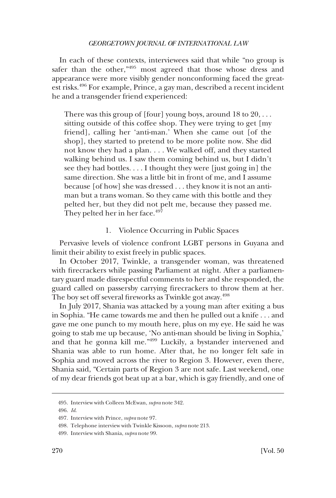In each of these contexts, interviewees said that while "no group is safer than the other,"495 most agreed that those whose dress and appearance were more visibly gender nonconforming faced the greatest risks.496 For example, Prince, a gay man, described a recent incident he and a transgender friend experienced:

There was this group of [four] young boys, around  $18$  to  $20, \ldots$ sitting outside of this coffee shop. They were trying to get [my friend], calling her 'anti-man.' When she came out [of the shop], they started to pretend to be more polite now. She did not know they had a plan. . . . We walked off, and they started walking behind us. I saw them coming behind us, but I didn't see they had bottles. . . . I thought they were [just going in] the same direction. She was a little bit in front of me, and I assume because [of how] she was dressed . . . they know it is not an antiman but a trans woman. So they came with this bottle and they pelted her, but they did not pelt me, because they passed me. They pelted her in her face.<sup>497</sup>

## 1. Violence Occurring in Public Spaces

Pervasive levels of violence confront LGBT persons in Guyana and limit their ability to exist freely in public spaces.

In October 2017, Twinkle, a transgender woman, was threatened with firecrackers while passing Parliament at night. After a parliamentary guard made disrespectful comments to her and she responded, the guard called on passersby carrying firecrackers to throw them at her. The boy set off several fireworks as Twinkle got away.<sup>498</sup>

In July 2017, Shania was attacked by a young man after exiting a bus in Sophia. "He came towards me and then he pulled out a knife . . . and gave me one punch to my mouth here, plus on my eye. He said he was going to stab me up because, 'No anti-man should be living in Sophia,' and that he gonna kill me."499 Luckily, a bystander intervened and Shania was able to run home. After that, he no longer felt safe in Sophia and moved across the river to Region 3. However, even there, Shania said, "Certain parts of Region 3 are not safe. Last weekend, one of my dear friends got beat up at a bar, which is gay friendly, and one of

<sup>495.</sup> Interview with Colleen McEwan, *supra* note 342.

<sup>496.</sup> *Id*.

<sup>497.</sup> Interview with Prince, *supra* note 97.

<sup>498.</sup> Telephone interview with Twinkle Kissoon, *supra* note 213.

<sup>499.</sup> Interview with Shania, *supra* note 99.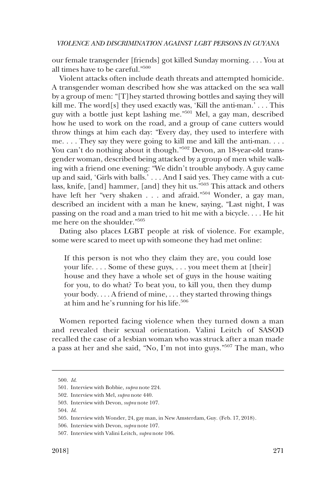our female transgender [friends] got killed Sunday morning. . . . You at all times have to be careful."<sup>500</sup>

Violent attacks often include death threats and attempted homicide. A transgender woman described how she was attacked on the sea wall by a group of men: "[T]hey started throwing bottles and saying they will kill me. The word[s] they used exactly was, 'Kill the anti-man.'  $\dots$  This guy with a bottle just kept lashing me."501 Mel, a gay man, described how he used to work on the road, and a group of cane cutters would throw things at him each day: "Every day, they used to interfere with me. . . . They say they were going to kill me and kill the anti-man. . . . You can't do nothing about it though."<sup>502</sup> Devon, an 18-year-old transgender woman, described being attacked by a group of men while walking with a friend one evening: "We didn't trouble anybody. A guy came up and said, 'Girls with balls.' . . . And I said yes. They came with a cutlass, knife, [and] hammer, [and] they hit us."503 This attack and others have left her "very shaken . . . and afraid."<sup>504</sup> Wonder, a gay man, described an incident with a man he knew, saying, "Last night, I was passing on the road and a man tried to hit me with a bicycle. . . . He hit me here on the shoulder."505

Dating also places LGBT people at risk of violence. For example, some were scared to meet up with someone they had met online:

If this person is not who they claim they are, you could lose your life. . . . Some of these guys, . . . you meet them at [their] house and they have a whole set of guys in the house waiting for you, to do what? To beat you, to kill you, then they dump your body. . . . A friend of mine, . . . they started throwing things at him and he's running for his life.<sup>506</sup>

Women reported facing violence when they turned down a man and revealed their sexual orientation. Valini Leitch of SASOD recalled the case of a lesbian woman who was struck after a man made a pass at her and she said, "No, I'm not into guys."507 The man, who

<sup>500.</sup> *Id*.

<sup>501.</sup> Interview with Bobbie, *supra* note 224.

<sup>502.</sup> Interview with Mel, *supra* note 440.

<sup>503.</sup> Interview with Devon, *supra* note 107.

<sup>504.</sup> *Id*.

<sup>505.</sup> Interview with Wonder, 24, gay man, in New Amsterdam, Guy. (Feb. 17, 2018).

<sup>506.</sup> Interview with Devon, *supra* note 107.

<sup>507.</sup> Interview with Valini Leitch, *supra* note 106.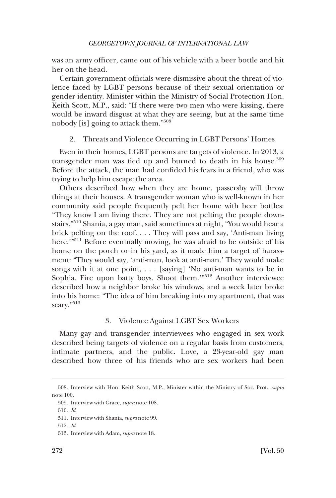was an army officer, came out of his vehicle with a beer bottle and hit her on the head.

Certain government officials were dismissive about the threat of violence faced by LGBT persons because of their sexual orientation or gender identity. Minister within the Ministry of Social Protection Hon. Keith Scott, M.P., said: "If there were two men who were kissing, there would be inward disgust at what they are seeing, but at the same time nobody [is] going to attack them."508

# 2. Threats and Violence Occurring in LGBT Persons' Homes

Even in their homes, LGBT persons are targets of violence. In 2013, a transgender man was tied up and burned to death in his house.<sup>509</sup> Before the attack, the man had confided his fears in a friend, who was trying to help him escape the area.

Others described how when they are home, passersby will throw things at their houses. A transgender woman who is well-known in her community said people frequently pelt her home with beer bottles: "They know I am living there. They are not pelting the people downstairs."510 Shania, a gay man, said sometimes at night, "You would hear a brick pelting on the roof. . . . They will pass and say, 'Anti-man living here.'<sup>"511</sup> Before eventually moving, he was afraid to be outside of his home on the porch or in his yard, as it made him a target of harassment: "They would say, 'anti-man, look at anti-man.' They would make songs with it at one point, . . . [saying] 'No anti-man wants to be in Sophia. Fire upon batty boys. Shoot them.'"512 Another interviewee described how a neighbor broke his windows, and a week later broke into his home: "The idea of him breaking into my apartment, that was scary."<sup>513</sup>

# 3. Violence Against LGBT Sex Workers

Many gay and transgender interviewees who engaged in sex work described being targets of violence on a regular basis from customers, intimate partners, and the public. Love, a 23-year-old gay man described how three of his friends who are sex workers had been

<sup>508.</sup> Interview with Hon. Keith Scott, M.P., Minister within the Ministry of Soc. Prot., *supra*  note 100.

<sup>509.</sup> Interview with Grace, *supra* note 108.

<sup>510.</sup> *Id*.

<sup>511.</sup> Interview with Shania, *supra* note 99.

<sup>512.</sup> *Id*.

<sup>513.</sup> Interview with Adam, *supra* note 18.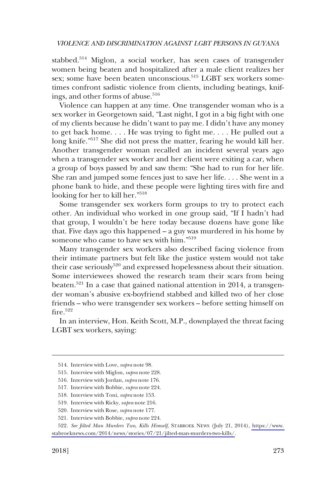stabbed.<sup>514</sup> Miglon, a social worker, has seen cases of transgender women being beaten and hospitalized after a male client realizes her sex; some have been beaten unconscious.<sup>515</sup> LGBT sex workers sometimes confront sadistic violence from clients, including beatings, knifings, and other forms of abuse.<sup>516</sup>

Violence can happen at any time. One transgender woman who is a sex worker in Georgetown said, "Last night, I got in a big fight with one of my clients because he didn't want to pay me. I didn't have any money to get back home. . . . He was trying to fight me. . . . He pulled out a long knife."517 She did not press the matter, fearing he would kill her. Another transgender woman recalled an incident several years ago when a transgender sex worker and her client were exiting a car, when a group of boys passed by and saw them: "She had to run for her life. She ran and jumped some fences just to save her life. . . . She went in a phone bank to hide, and these people were lighting tires with fire and looking for her to kill her."<sup>518</sup>

Some transgender sex workers form groups to try to protect each other. An individual who worked in one group said, "If I hadn't had that group, I wouldn't be here today because dozens have gone like that. Five days ago this happened – a guy was murdered in his home by someone who came to have sex with him."519

Many transgender sex workers also described facing violence from their intimate partners but felt like the justice system would not take their case seriously<sup>520</sup> and expressed hopelessness about their situation. Some interviewees showed the research team their scars from being beaten.521 In a case that gained national attention in 2014, a transgender woman's abusive ex-boyfriend stabbed and killed two of her close friends – who were transgender sex workers – before setting himself on  $fire<sup>.522</sup>$ 

In an interview, Hon. Keith Scott, M.P., downplayed the threat facing LGBT sex workers, saying:

<sup>514.</sup> Interview with Love, *supra* note 98.

<sup>515.</sup> Interview with Miglon, *supra* note 228.

<sup>516.</sup> Interview with Jordan, *supra* note 176.

<sup>517.</sup> Interview with Bobbie, *supra* note 224.

<sup>518.</sup> Interview with Toni, *supra* note 153.

<sup>519.</sup> Interview with Ricky, *supra* note 216.

<sup>520.</sup> Interview with Rose, *supra* note 177.

<sup>521.</sup> Interview with Bobbie, *supra* note 224.

<sup>522.</sup> See Jilted Man Murders Two, Kills Himself, STABROEK NEWS (July 21, 2014), https://www. [stabroeknews.com/2014/news/stories/07/21/jilted-man-murders-two-kills/.](https://www.stabroeknews.com/2014/news/stories/07/21/jilted-man-murders-two-kills/)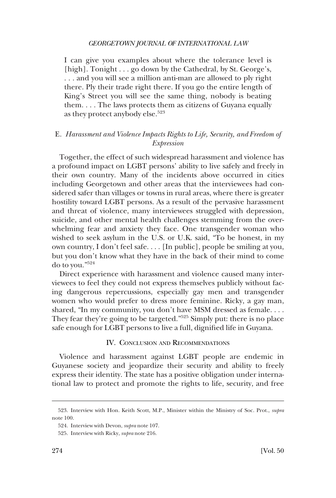I can give you examples about where the tolerance level is [high]. Tonight . . . go down by the Cathedral, by St. George's, . . . and you will see a million anti-man are allowed to ply right there. Ply their trade right there. If you go the entire length of King's Street you will see the same thing, nobody is beating them. . . . The laws protects them as citizens of Guyana equally as they protect anybody else.<sup>523</sup>

# E. *Harassment and Violence Impacts Rights to Life, Security, and Freedom of Expression*

Together, the effect of such widespread harassment and violence has a profound impact on LGBT persons' ability to live safely and freely in their own country. Many of the incidents above occurred in cities including Georgetown and other areas that the interviewees had considered safer than villages or towns in rural areas, where there is greater hostility toward LGBT persons. As a result of the pervasive harassment and threat of violence, many interviewees struggled with depression, suicide, and other mental health challenges stemming from the overwhelming fear and anxiety they face. One transgender woman who wished to seek asylum in the U.S. or U.K. said, "To be honest, in my own country, I don't feel safe. . . . [In public], people be smiling at you, but you don't know what they have in the back of their mind to come do to you."524

Direct experience with harassment and violence caused many interviewees to feel they could not express themselves publicly without facing dangerous repercussions, especially gay men and transgender women who would prefer to dress more feminine. Ricky, a gay man, shared, "In my community, you don't have MSM dressed as female. . . . They fear they're going to be targeted."525 Simply put: there is no place safe enough for LGBT persons to live a full, dignified life in Guyana.

## IV. CONCLUSION AND RECOMMENDATIONS

Violence and harassment against LGBT people are endemic in Guyanese society and jeopardize their security and ability to freely express their identity. The state has a positive obligation under international law to protect and promote the rights to life, security, and free

<sup>523.</sup> Interview with Hon. Keith Scott, M.P., Minister within the Ministry of Soc. Prot., *supra*  note 100.

<sup>524.</sup> Interview with Devon, *supra* note 107.

<sup>525.</sup> Interview with Ricky, *supra* note 216.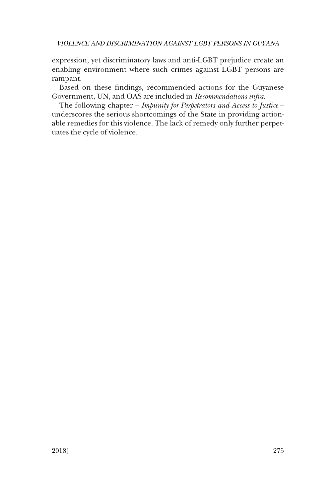expression, yet discriminatory laws and anti-LGBT prejudice create an enabling environment where such crimes against LGBT persons are rampant.

Based on these findings, recommended actions for the Guyanese Government, UN, and OAS are included in *Recommendations infra*.

The following chapter – *Impunity for Perpetrators and Access to Justice* – underscores the serious shortcomings of the State in providing actionable remedies for this violence. The lack of remedy only further perpetuates the cycle of violence.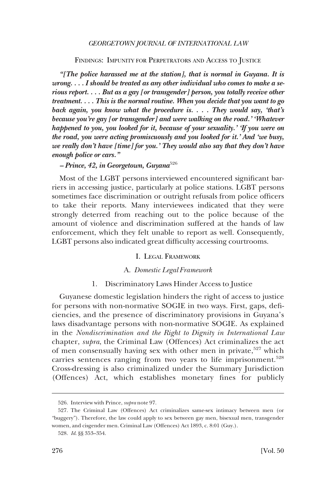FINDINGS: IMPUNITY FOR PERPETRATORS AND ACCESS TO JUSTICE

*"[The police harassed me at the station], that is normal in Guyana. It is wrong. . . . I should be treated as any other individual who comes to make a serious report. . . . But as a gay [or transgender] person, you totally receive other treatment. . . . This is the normal routine. When you decide that you want to go back again, you know what the procedure is. . . . They would say, 'that's because you're gay [or transgender] and were walking on the road.' 'Whatever happened to you, you looked for it, because of your sexuality.' 'If you were on the road, you were acting promiscuously and you looked for it.' And 'we busy, we really don't have [time] for you.' They would also say that they don't have enough police or cars."* 

*– Prince, 42, in Georgetown, Guyana*<sup>526</sup>

Most of the LGBT persons interviewed encountered significant barriers in accessing justice, particularly at police stations. LGBT persons sometimes face discrimination or outright refusals from police officers to take their reports. Many interviewees indicated that they were strongly deterred from reaching out to the police because of the amount of violence and discrimination suffered at the hands of law enforcement, which they felt unable to report as well. Consequently, LGBT persons also indicated great difficulty accessing courtrooms.

### I. LEGAL FRAMEWORK

# A. *Domestic Legal Framework*

## 1. Discriminatory Laws Hinder Access to Justice

Guyanese domestic legislation hinders the right of access to justice for persons with non-normative SOGIE in two ways. First, gaps, deficiencies, and the presence of discriminatory provisions in Guyana's laws disadvantage persons with non-normative SOGIE. As explained in the *Nondiscrimination and the Right to Dignity in International Law*  chapter, *supra*, the Criminal Law (Offences) Act criminalizes the act of men consensually having sex with other men in private,<sup>527</sup> which carries sentences ranging from two years to life imprisonment.<sup>528</sup> Cross-dressing is also criminalized under the Summary Jurisdiction (Offences) Act, which establishes monetary fines for publicly

<sup>526.</sup> Interview with Prince, *supra* note 97.

<sup>527.</sup> The Criminal Law (Offences) Act criminalizes same-sex intimacy between men (or "buggery"). Therefore, the law could apply to sex between gay men, bisexual men, transgender women, and cisgender men. Criminal Law (Offences) Act 1893, c. 8:01 (Guy.).

<sup>528.</sup> *Id*. §§ 353–354.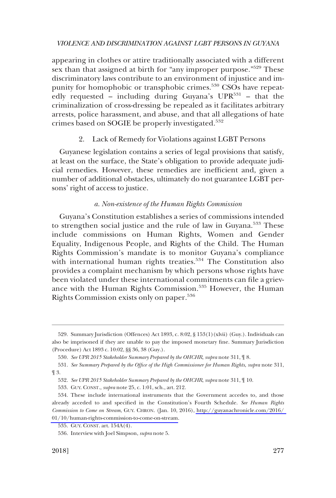appearing in clothes or attire traditionally associated with a different sex than that assigned at birth for "any improper purpose."<sup>529</sup> These discriminatory laws contribute to an environment of injustice and impunity for homophobic or transphobic crimes.<sup>530</sup> CSOs have repeatedly requested – including during Guyana's  $UPR^{531}$  – that the criminalization of cross-dressing be repealed as it facilitates arbitrary arrests, police harassment, and abuse, and that all allegations of hate crimes based on SOGIE be properly investigated.<sup>532</sup>

# 2. Lack of Remedy for Violations against LGBT Persons

Guyanese legislation contains a series of legal provisions that satisfy, at least on the surface, the State's obligation to provide adequate judicial remedies. However, these remedies are inefficient and, given a number of additional obstacles, ultimately do not guarantee LGBT persons' right of access to justice.

# *a. Non-existence of the Human Rights Commission*

Guyana's Constitution establishes a series of commissions intended to strengthen social justice and the rule of law in Guyana.533 These include commissions on Human Rights, Women and Gender Equality, Indigenous People, and Rights of the Child. The Human Rights Commission's mandate is to monitor Guyana's compliance with international human rights treaties.<sup>534</sup> The Constitution also provides a complaint mechanism by which persons whose rights have been violated under these international commitments can file a grievance with the Human Rights Commission.<sup>535</sup> However, the Human Rights Commission exists only on paper.<sup>536</sup>

<sup>529.</sup> Summary Jurisdiction (Offences) Act 1893, c. 8:02, § 153(1)(xlvii) (Guy.). Individuals can also be imprisoned if they are unable to pay the imposed monetary fine. Summary Jurisdiction (Procedure) Act 1893 c. 10:02, §§ 36, 38 (Guy.).

<sup>530.</sup> *See UPR 2015 Stakeholder Summary Prepared by the OHCHR*, *supra* note 311, ¶ 8.

<sup>531.</sup> *See Summary Prepared by the Office of the High Commissioner for Human Rights*, *supra* note 311, ¶ 3.

<sup>532.</sup> *See UPR 2015 Stakeholder Summary Prepared by the OHCHR*, *supra* note 311, ¶ 10.

<sup>533.</sup> GUY. CONST., *supra* note 25, c. 1:01, sch., art. 212.

<sup>534.</sup> These include international instruments that the Government accedes to, and those already acceded to and specified in the Constitution's Fourth Schedule. *See Human Rights Commission to Come on Stream*, GUY. CHRON. (Jan. 10, 2016), [http://guyanachronicle.com/2016/](http://guyanachronicle.com/2016/01/10/human-rights-commission-to-come-on-stream)  [01/10/human-rights-commission-to-come-on-stream.](http://guyanachronicle.com/2016/01/10/human-rights-commission-to-come-on-stream)

<sup>535.</sup> GUY. CONST. art. 154A(4).

<sup>536.</sup> Interview with Joel Simpson, *supra* note 5.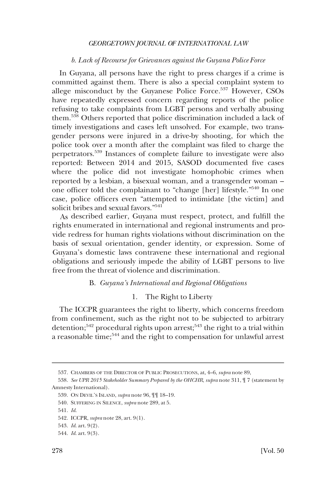## *b. Lack of Recourse for Grievances against the Guyana Police Force*

In Guyana, all persons have the right to press charges if a crime is committed against them. There is also a special complaint system to allege misconduct by the Guyanese Police Force.<sup>537</sup> However, CSOs have repeatedly expressed concern regarding reports of the police refusing to take complaints from LGBT persons and verbally abusing them.538 Others reported that police discrimination included a lack of timely investigations and cases left unsolved. For example, two transgender persons were injured in a drive-by shooting, for which the police took over a month after the complaint was filed to charge the perpetrators.539 Instances of complete failure to investigate were also reported: Between 2014 and 2015, SASOD documented five cases where the police did not investigate homophobic crimes when reported by a lesbian, a bisexual woman, and a transgender woman – one officer told the complainant to "change [her] lifestyle."540 In one case, police officers even "attempted to intimidate [the victim] and solicit bribes and sexual favors."541

As described earlier, Guyana must respect, protect, and fulfill the rights enumerated in international and regional instruments and provide redress for human rights violations without discrimination on the basis of sexual orientation, gender identity, or expression. Some of Guyana's domestic laws contravene these international and regional obligations and seriously impede the ability of LGBT persons to live free from the threat of violence and discrimination.

## B. *Guyana's International and Regional Obligations*

# 1. The Right to Liberty

The ICCPR guarantees the right to liberty, which concerns freedom from confinement, such as the right not to be subjected to arbitrary detention;<sup>542</sup> procedural rights upon arrest;<sup>543</sup> the right to a trial within a reasonable time;544 and the right to compensation for unlawful arrest

<sup>537.</sup> CHAMBERS OF THE DIRECTOR OF PUBLIC PROSECUTIONS, at, 4–6, *supra* note 89,

<sup>538.</sup> *See UPR 2015 Stakeholder Summary Prepared by the OHCHR*, *supra* note 311, ¶ 7 (statement by Amnesty International).

<sup>539.</sup> ON DEVIL'S ISLAND, *supra* note 96, ¶¶ 18–19.

<sup>540.</sup> SUFFERING IN SILENCE, *supra* note 289, at 5.

<sup>541.</sup> *Id*.

<sup>542.</sup> ICCPR, *supra* note 28, art. 9(1).

<sup>543.</sup> *Id*. art. 9(2).

<sup>544.</sup> *Id*. art. 9(3).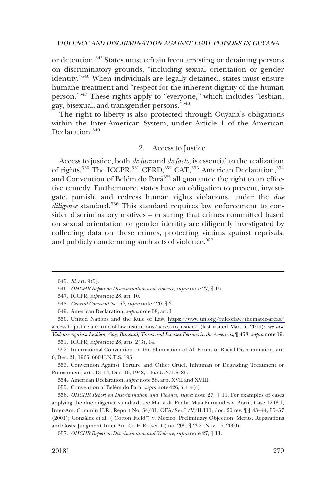or detention.545 States must refrain from arresting or detaining persons on discriminatory grounds, "including sexual orientation or gender identity."546 When individuals are legally detained, states must ensure humane treatment and "respect for the inherent dignity of the human person."547 These rights apply to "everyone," which includes "lesbian, gay, bisexual, and transgender persons."548

The right to liberty is also protected through Guyana's obligations within the Inter-American System, under Article 1 of the American Declaration.<sup>549</sup>

# 2. Access to Justice

Access to justice, both *de jure* and *de facto*, is essential to the realization of rights.<sup>550</sup> The ICCPR,<sup>551</sup> CERD,<sup>552</sup> CAT,<sup>553</sup> American Declaration,<sup>554</sup> and Convention of Belém do Pará<sup>555</sup> all guarantee the right to an effective remedy. Furthermore, states have an obligation to prevent, investigate, punish, and redress human rights violations, under the *due diligence* standard.556 This standard requires law enforcement to consider discriminatory motives – ensuring that crimes committed based on sexual orientation or gender identity are diligently investigated by collecting data on these crimes, protecting victims against reprisals, and publicly condemning such acts of violence.<sup>557</sup>

550. United Nations and the Rule of Law, https://www.un.org/ruleoflaw/themat-ic-areas/ [access-to-justice-and-rule-of-law-institutions/access-to-justice/](https://www.un.org/ruleoflaw/themat-ic-areas/access-to-justice-and-rule-of-law-institutions/access-to-justice/) (last visited Mar. 5, 2019); *see also* 

*Violence Against Lesbian, Gay, Bisexual, Trans and Intersex Persons in the Americas*, ¶ 458, *supra* note 19. 551. ICCPR, *supra* note 28, arts. 2(3), 14.

552. International Convention on the Elimination of All Forms of Racial Discrimination, art. 6, Dec. 21, 1965, 660 U.N.T.S. 195.

553. Convention Against Torture and Other Cruel, Inhuman or Degrading Treatment or Punishment, arts. 13–14, Dec. 10, 1948, 1465 U.N.T.S. 85.

554. American Declaration, *supra* note 58, arts. XVII and XVIII.

555. Convention of Belém do Pará, *supra* note 426, art. 4(c).

556. *OHCHR Report on Discrimination and Violence*, *supra* note 27, ¶ 11. For examples of cases applying the due diligence standard, see Maria da Penha Maia Fernandes v. Brazil, Case 12.051, Inter-Am. Comm'n H.R., Report No. 54/01, OEA/Ser.L/V/II.111, doc. 20 rev. ¶¶ 43–44, 55–57 (2001); González et al. ("Cotton Field") v. Mexico, Preliminary Objection, Merits, Reparations and Costs, Judgment, Inter-Am. Ct. H.R. (ser. C) no. 205, ¶ 252 (Nov. 16, 2009).

557. *OHCHR Report on Discrimination and Violence*, *supra* note 27, ¶ 11.

<sup>545.</sup> *Id*. art. 9(5).

<sup>546.</sup> *OHCHR Report on Discrimination and Violence*, *supra* note 27, ¶ 15.

<sup>547.</sup> ICCPR, *supra* note 28, art. 10.

<sup>548.</sup> *General Comment No. 35*, *supra* note 420, ¶ 3.

<sup>549.</sup> American Declaration, *supra* note 58, art. I.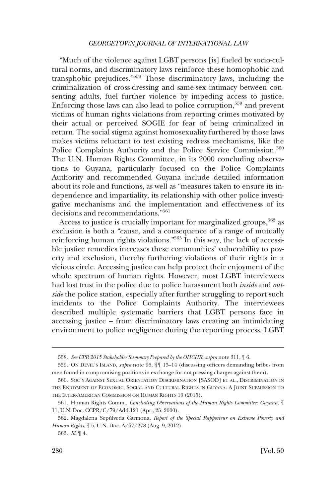"Much of the violence against LGBT persons [is] fueled by socio-cultural norms, and discriminatory laws reinforce these homophobic and transphobic prejudices."558 Those discriminatory laws, including the criminalization of cross-dressing and same-sex intimacy between consenting adults, fuel further violence by impeding access to justice. Enforcing those laws can also lead to police corruption,559 and prevent victims of human rights violations from reporting crimes motivated by their actual or perceived SOGIE for fear of being criminalized in return. The social stigma against homosexuality furthered by those laws makes victims reluctant to test existing redress mechanisms, like the Police Complaints Authority and the Police Service Commission.<sup>560</sup> The U.N. Human Rights Committee, in its 2000 concluding observations to Guyana, particularly focused on the Police Complaints Authority and recommended Guyana include detailed information about its role and functions, as well as "measures taken to ensure its independence and impartiality, its relationship with other police investigative mechanisms and the implementation and effectiveness of its decisions and recommendations."<sup>561</sup>

Access to justice is crucially important for marginalized groups,<sup>562</sup> as exclusion is both a "cause, and a consequence of a range of mutually reinforcing human rights violations."563 In this way, the lack of accessible justice remedies increases these communities' vulnerability to poverty and exclusion, thereby furthering violations of their rights in a vicious circle. Accessing justice can help protect their enjoyment of the whole spectrum of human rights. However, most LGBT interviewees had lost trust in the police due to police harassment both *inside* and *outside* the police station, especially after further struggling to report such incidents to the Police Complaints Authority. The interviewees described multiple systematic barriers that LGBT persons face in accessing justice – from discriminatory laws creating an intimidating environment to police negligence during the reporting process. LGBT

<sup>558.</sup> *See UPR 2015 Stakeholder Summary Prepared by the OHCHR*, *supra* note 311, ¶ 6.

<sup>559.</sup> ON DEVIL'S ISLAND, *supra* note 96, ¶¶ 13–14 (discussing officers demanding bribes from men found in compromising positions in exchange for not pressing charges against them).

<sup>560.</sup> SOC'Y AGAINST SEXUAL ORIENTATION DISCRIMINATION [SASOD] ET AL., DISCRIMINATION IN THE ENJOYMENT OF ECONOMIC, SOCIAL AND CULTURAL RIGHTS IN GUYANA: A JOINT SUBMISSION TO THE INTER-AMERICAN COMMISSION ON HUMAN RIGHTS 10 (2015).

<sup>561.</sup> Human Rights Comm., *Concluding Observations of the Human Rights Committee: Guyana*, ¶ 11, U.N. Doc. CCPR/C/79/Add.121 (Apr., 25, 2000).

<sup>562.</sup> Magdalena Sepu´lveda Carmona, *Report of the Special Rapporteur on Extreme Poverty and Human Rights*, ¶ 5, U.N. Doc. A/67/278 (Aug. 9, 2012).

<sup>563.</sup> *Id*. ¶ 4.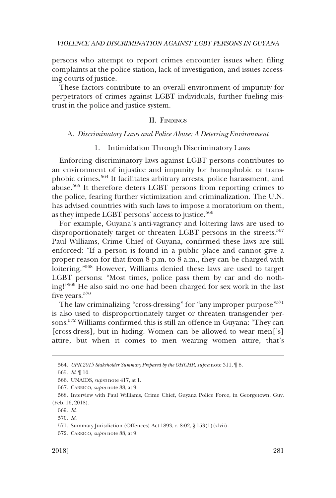persons who attempt to report crimes encounter issues when filing complaints at the police station, lack of investigation, and issues accessing courts of justice.

These factors contribute to an overall environment of impunity for perpetrators of crimes against LGBT individuals, further fueling mistrust in the police and justice system.

## II. FINDINGS

#### A. *Discriminatory Laws and Police Abuse: A Deterring Environment*

### 1. Intimidation Through Discriminatory Laws

Enforcing discriminatory laws against LGBT persons contributes to an environment of injustice and impunity for homophobic or transphobic crimes.564 It facilitates arbitrary arrests, police harassment, and abuse.565 It therefore deters LGBT persons from reporting crimes to the police, fearing further victimization and criminalization. The U.N. has advised countries with such laws to impose a moratorium on them, as they impede LGBT persons' access to justice.<sup>566</sup>

For example, Guyana's anti-vagrancy and loitering laws are used to disproportionately target or threaten LGBT persons in the streets.<sup>567</sup> Paul Williams, Crime Chief of Guyana, confirmed these laws are still enforced: "If a person is found in a public place and cannot give a proper reason for that from 8 p.m. to 8 a.m., they can be charged with loitering."568 However, Williams denied these laws are used to target LGBT persons: "Most times, police pass them by car and do nothing!"569 He also said no one had been charged for sex work in the last five years.<sup>570</sup>

The law criminalizing "cross-dressing" for "any improper purpose"<sup>571</sup> is also used to disproportionately target or threaten transgender persons.572 Williams confirmed this is still an offence in Guyana: "They can [cross-dress], but in hiding. Women can be allowed to wear men['s] attire, but when it comes to men wearing women attire, that's

<sup>564.</sup> *UPR 2015 Stakeholder Summary Prepared by the OHCHR*, *supra* note 311, ¶ 8.

<sup>565.</sup> *Id*. ¶ 10.

<sup>566.</sup> UNAIDS, *supra* note 417, at 1.

<sup>567.</sup> CARRICO, *supra* note 88, at 9.

<sup>568.</sup> Interview with Paul Williams, Crime Chief, Guyana Police Force, in Georgetown, Guy. (Feb. 16, 2018).

<sup>569.</sup> *Id*.

<sup>570.</sup> *Id*.

<sup>571.</sup> Summary Jurisdiction (Offences) Act 1893, c. 8:02, § 153(1)(xlvii).

<sup>572.</sup> CARRICO, *supra* note 88, at 9.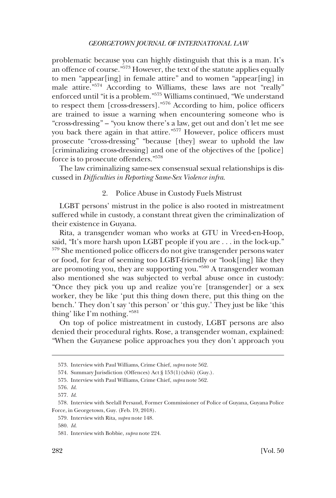problematic because you can highly distinguish that this is a man. It's an offence of course."<sup>573</sup> However, the text of the statute applies equally to men "appear[ing] in female attire" and to women "appear[ing] in male attire."574 According to Williams, these laws are not "really" enforced until "it is a problem."575 Williams continued, "We understand to respect them [cross-dressers]."<sup>576</sup> According to him, police officers are trained to issue a warning when encountering someone who is "cross-dressing" – "you know there's a law, get out and don't let me see you back there again in that attire."577 However, police officers must prosecute "cross-dressing" "because [they] swear to uphold the law [criminalizing cross-dressing] and one of the objectives of the [police] force is to prosecute offenders."578

The law criminalizing same-sex consensual sexual relationships is discussed in *Difficulties in Reporting Same-Sex Violence infra*.

## 2. Police Abuse in Custody Fuels Mistrust

LGBT persons' mistrust in the police is also rooted in mistreatment suffered while in custody, a constant threat given the criminalization of their existence in Guyana.

Rita, a transgender woman who works at GTU in Vreed-en-Hoop, said, "It's more harsh upon LGBT people if you are . . . in the lock-up." 579 She mentioned police officers do not give transgender persons water or food, for fear of seeming too LGBT-friendly or "look[ing] like they are promoting you, they are supporting you."580 A transgender woman also mentioned she was subjected to verbal abuse once in custody: "Once they pick you up and realize you're [transgender] or a sex worker, they be like 'put this thing down there, put this thing on the bench.' They don't say 'this person' or 'this guy.' They just be like 'this thing' like I'm nothing."<sup>581</sup>

On top of police mistreatment in custody, LGBT persons are also denied their procedural rights. Rose, a transgender woman, explained: "When the Guyanese police approaches you they don't approach you

<sup>573.</sup> Interview with Paul Williams, Crime Chief, *supra* note 562.

<sup>574.</sup> Summary Jurisdiction (Offences) Act § 153(1)(xlvii) (Guy.).

<sup>575.</sup> Interview with Paul Williams, Crime Chief, *supra* note 562.

<sup>576.</sup> *Id*.

<sup>577.</sup> *Id*.

<sup>578.</sup> Interview with Seelall Persaud, Former Commissioner of Police of Guyana, Guyana Police Force, in Georgetown, Guy. (Feb. 19, 2018).

<sup>579.</sup> Interview with Rita, *supra* note 148.

<sup>580.</sup> *Id*.

<sup>581.</sup> Interview with Bobbie, *supra* note 224.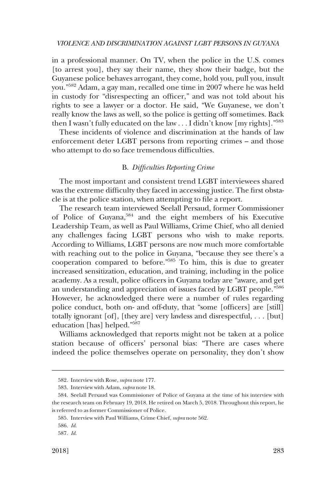in a professional manner. On TV, when the police in the U.S. comes [to arrest you], they say their name, they show their badge, but the Guyanese police behaves arrogant, they come, hold you, pull you, insult you."582 Adam, a gay man, recalled one time in 2007 where he was held in custody for "disrespecting an officer," and was not told about his rights to see a lawyer or a doctor. He said, "We Guyanese, we don't really know the laws as well, so the police is getting off sometimes. Back then I wasn't fully educated on the law  $\dots$  I didn't know [my rights]."<sup>583</sup>

These incidents of violence and discrimination at the hands of law enforcement deter LGBT persons from reporting crimes – and those who attempt to do so face tremendous difficulties.

## B. *Difficulties Reporting Crime*

The most important and consistent trend LGBT interviewees shared was the extreme difficulty they faced in accessing justice. The first obstacle is at the police station, when attempting to file a report.

The research team interviewed Seelall Persaud, former Commissioner of Police of Guyana,584 and the eight members of his Executive Leadership Team, as well as Paul Williams, Crime Chief, who all denied any challenges facing LGBT persons who wish to make reports. According to Williams, LGBT persons are now much more comfortable with reaching out to the police in Guyana, "because they see there's a cooperation compared to before."585 To him, this is due to greater increased sensitization, education, and training, including in the police academy. As a result, police officers in Guyana today are "aware, and get an understanding and appreciation of issues faced by LGBT people."586 However, he acknowledged there were a number of rules regarding police conduct, both on- and off-duty, that "some [officers] are [still] totally ignorant [of], [they are] very lawless and disrespectful, . . . [but] education [has] helped."587

Williams acknowledged that reports might not be taken at a police station because of officers' personal bias: "There are cases where indeed the police themselves operate on personality, they don't show

<sup>582.</sup> Interview with Rose, *supra* note 177.

<sup>583.</sup> Interview with Adam, *supra* note 18.

<sup>584.</sup> Seelall Persaud was Commissioner of Police of Guyana at the time of his interview with the research team on February 19, 2018. He retired on March 5, 2018. Throughout this report, he is referred to as former Commissioner of Police.

<sup>585.</sup> Interview with Paul Williams, Crime Chief, *supra* note 562.

<sup>586.</sup> *Id*.

<sup>587.</sup> *Id*.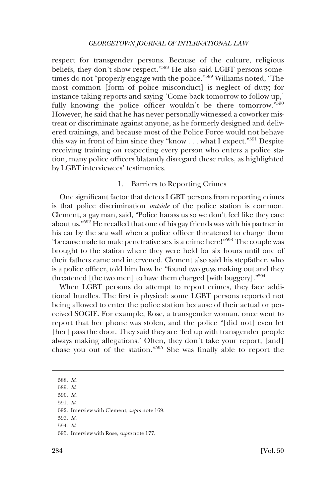respect for transgender persons. Because of the culture, religious beliefs, they don't show respect."<sup>588</sup> He also said LGBT persons sometimes do not "properly engage with the police."589 Williams noted, "The most common [form of police misconduct] is neglect of duty; for instance taking reports and saying 'Come back tomorrow to follow up,' fully knowing the police officer wouldn't be there tomorrow."<sup>590</sup> However, he said that he has never personally witnessed a coworker mistreat or discriminate against anyone, as he formerly designed and delivered trainings, and because most of the Police Force would not behave this way in front of him since they "know . . . what I expect."<sup>591</sup> Despite receiving training on respecting every person who enters a police station, many police officers blatantly disregard these rules, as highlighted by LGBT interviewees' testimonies.

## 1. Barriers to Reporting Crimes

One significant factor that deters LGBT persons from reporting crimes is that police discrimination *outside* of the police station is common. Clement, a gay man, said, "Police harass us so we don't feel like they care about us."592 He recalled that one of his gay friends was with his partner in his car by the sea wall when a police officer threatened to charge them "because male to male penetrative sex is a crime here!"593 The couple was brought to the station where they were held for six hours until one of their fathers came and intervened. Clement also said his stepfather, who is a police officer, told him how he "found two guys making out and they threatened [the two men] to have them charged [with buggery]."594

When LGBT persons do attempt to report crimes, they face additional hurdles. The first is physical: some LGBT persons reported not being allowed to enter the police station because of their actual or perceived SOGIE. For example, Rose, a transgender woman, once went to report that her phone was stolen, and the police "[did not] even let [her] pass the door. They said they are 'fed up with transgender people always making allegations.' Often, they don't take your report, [and] chase you out of the station."595 She was finally able to report the

594. *Id*.

<sup>588.</sup> *Id*.

<sup>589.</sup> *Id*.

<sup>590.</sup> *Id*.

<sup>591.</sup> *Id*.

<sup>592.</sup> Interview with Clement, *supra* note 169.

<sup>593.</sup> *Id*.

<sup>595.</sup> Interview with Rose, *supra* note 177.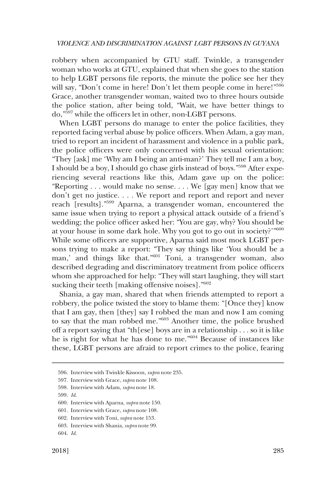robbery when accompanied by GTU staff. Twinkle, a transgender woman who works at GTU, explained that when she goes to the station to help LGBT persons file reports, the minute the police see her they will say, "Don't come in here! Don't let them people come in here!"<sup>596</sup> Grace, another transgender woman, waited two to three hours outside the police station, after being told, "Wait, we have better things to do,"597 while the officers let in other, non-LGBT persons.

When LGBT persons do manage to enter the police facilities, they reported facing verbal abuse by police officers. When Adam, a gay man, tried to report an incident of harassment and violence in a public park, the police officers were only concerned with his sexual orientation: "They [ask] me 'Why am I being an anti-man?' They tell me I am a boy, I should be a boy, I should go chase girls instead of boys."598 After experiencing several reactions like this, Adam gave up on the police: "Reporting . . . would make no sense. . . . We [gay men] know that we don't get no justice. . . . We report and report and report and never reach [results]."599 Aparna, a transgender woman, encountered the same issue when trying to report a physical attack outside of a friend's wedding; the police officer asked her: "You are gay, why? You should be at your house in some dark hole. Why you got to go out in society?'"600 While some officers are supportive, Aparna said most mock LGBT persons trying to make a report: "They say things like 'You should be a man,' and things like that."<sup>601</sup> Toni, a transgender woman, also described degrading and discriminatory treatment from police officers whom she approached for help: "They will start laughing, they will start sucking their teeth [making offensive noises]."<sup>602</sup>

Shania, a gay man, shared that when friends attempted to report a robbery, the police twisted the story to blame them: "[Once they] know that I am gay, then [they] say I robbed the man and now I am coming to say that the man robbed me."603 Another time, the police brushed off a report saying that "th[ese] boys are in a relationship . . . so it is like he is right for what he has done to me."604 Because of instances like these, LGBT persons are afraid to report crimes to the police, fearing

<sup>596.</sup> Interview with Twinkle Kissoon, *supra* note 235.

<sup>597.</sup> Interview with Grace, *supra* note 108.

<sup>598.</sup> Interview with Adam, *supra* note 18.

<sup>599.</sup> *Id*.

<sup>600.</sup> Interview with Aparna, *supra* note 150.

<sup>601.</sup> Interview with Grace, *supra* note 108.

<sup>602.</sup> Interview with Toni, *supra* note 153.

<sup>603.</sup> Interview with Shania, *supra* note 99.

<sup>604.</sup> *Id*.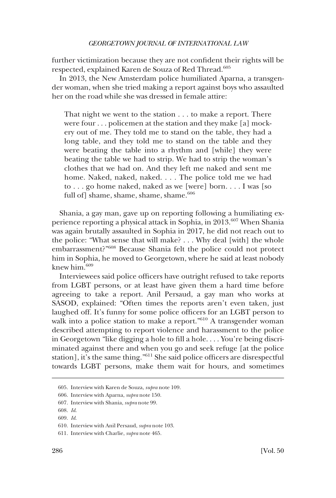further victimization because they are not confident their rights will be respected, explained Karen de Souza of Red Thread.<sup>605</sup>

In 2013, the New Amsterdam police humiliated Aparna, a transgender woman, when she tried making a report against boys who assaulted her on the road while she was dressed in female attire:

That night we went to the station . . . to make a report. There were four . . . policemen at the station and they make [a] mockery out of me. They told me to stand on the table, they had a long table, and they told me to stand on the table and they were beating the table into a rhythm and [while] they were beating the table we had to strip. We had to strip the woman's clothes that we had on. And they left me naked and sent me home. Naked, naked, naked. . . . The police told me we had to . . . go home naked, naked as we [were] born. . . . I was [so full of] shame, shame, shame, shame.<sup>606</sup>

Shania, a gay man, gave up on reporting following a humiliating experience reporting a physical attack in Sophia, in 2013.<sup>607</sup> When Shania was again brutally assaulted in Sophia in 2017, he did not reach out to the police: "What sense that will make? . . . Why deal [with] the whole embarrassment?"608 Because Shania felt the police could not protect him in Sophia, he moved to Georgetown, where he said at least nobody knew him.609

Interviewees said police officers have outright refused to take reports from LGBT persons, or at least have given them a hard time before agreeing to take a report. Anil Persaud, a gay man who works at SASOD, explained: "Often times the reports aren't even taken, just laughed off. It's funny for some police officers for an LGBT person to walk into a police station to make a report."<sup>610</sup> A transgender woman described attempting to report violence and harassment to the police in Georgetown "like digging a hole to fill a hole. . . . You're being discriminated against there and when you go and seek refuge [at the police station], it's the same thing."611 She said police officers are disrespectful towards LGBT persons, make them wait for hours, and sometimes

<sup>605.</sup> Interview with Karen de Souza, *supra* note 109.

<sup>606.</sup> Interview with Aparna, *supra* note 150.

<sup>607.</sup> Interview with Shania, *supra* note 99.

<sup>608.</sup> *Id*.

<sup>609.</sup> *Id*.

<sup>610.</sup> Interview with Anil Persaud, *supra* note 103.

<sup>611.</sup> Interview with Charlie, *supra* note 465.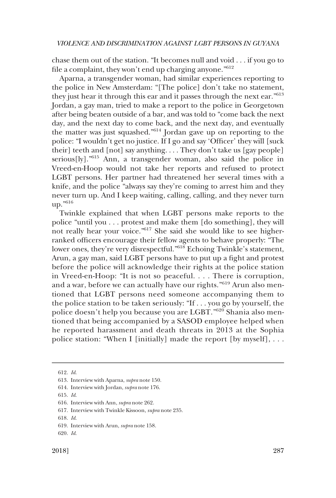chase them out of the station. "It becomes null and void . . . if you go to file a complaint, they won't end up charging anyone."<sup>612</sup>

Aparna, a transgender woman, had similar experiences reporting to the police in New Amsterdam: "[The police] don't take no statement, they just hear it through this ear and it passes through the next ear.<sup>"613</sup> Jordan, a gay man, tried to make a report to the police in Georgetown after being beaten outside of a bar, and was told to "come back the next day, and the next day to come back, and the next day, and eventually the matter was just squashed."614 Jordan gave up on reporting to the police: "I wouldn't get no justice. If I go and say 'Officer' they will [suck their] teeth and [not] say anything. . . . They don't take us [gay people] serious[ly]."615 Ann, a transgender woman, also said the police in Vreed-en-Hoop would not take her reports and refused to protect LGBT persons. Her partner had threatened her several times with a knife, and the police "always say they're coming to arrest him and they never turn up. And I keep waiting, calling, calling, and they never turn up."616

Twinkle explained that when LGBT persons make reports to the police "until you . . . protest and make them [do something], they will not really hear your voice."<sup>617</sup> She said she would like to see higherranked officers encourage their fellow agents to behave properly: "The lower ones, they're very disrespectful."<sup>618</sup> Echoing Twinkle's statement, Arun, a gay man, said LGBT persons have to put up a fight and protest before the police will acknowledge their rights at the police station in Vreed-en-Hoop: "It is not so peaceful. . . . There is corruption, and a war, before we can actually have our rights."<sup>619</sup> Arun also mentioned that LGBT persons need someone accompanying them to the police station to be taken seriously: "If . . . you go by yourself, the police doesn't help you because you are LGBT."620 Shania also mentioned that being accompanied by a SASOD employee helped when he reported harassment and death threats in 2013 at the Sophia police station: "When I [initially] made the report [by myself], . . .

<sup>612.</sup> *Id*.

<sup>613.</sup> Interview with Aparna, *supra* note 150.

<sup>614.</sup> Interview with Jordan, *supra* note 176.

<sup>615.</sup> *Id*.

<sup>616.</sup> Interview with Ann, *supra* note 262.

<sup>617.</sup> Interview with Twinkle Kissoon, *supra* note 235.

<sup>618.</sup> *Id*.

<sup>619.</sup> Interview with Arun, *supra* note 158.

<sup>620.</sup> *Id*.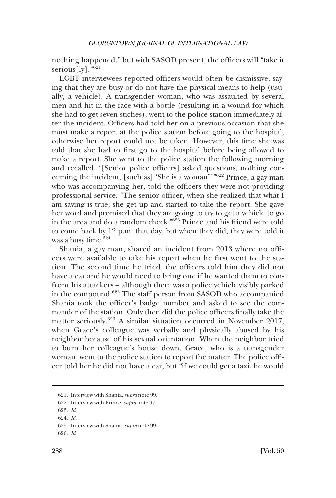nothing happened," but with SASOD present, the officers will "take it serious $[1v]$ ."<sup>621</sup>

LGBT interviewees reported officers would often be dismissive, saying that they are busy or do not have the physical means to help (usually, a vehicle). A transgender woman, who was assaulted by several men and hit in the face with a bottle (resulting in a wound for which she had to get seven stiches), went to the police station immediately after the incident. Officers had told her on a previous occasion that she must make a report at the police station before going to the hospital, otherwise her report could not be taken. However, this time she was told that she had to first go to the hospital before being allowed to make a report. She went to the police station the following morning and recalled, "[Senior police officers] asked questions, nothing concerning the incident, [such as] 'She is a woman?'"622 Prince, a gay man who was accompanying her, told the officers they were not providing professional service. "The senior officer, when she realized that what I am saying is true, she get up and started to take the report. She gave her word and promised that they are going to try to get a vehicle to go in the area and do a random check."623 Prince and his friend were told to come back by 12 p.m. that day, but when they did, they were told it was a busy time.  $\rm ^{624}$ 

Shania, a gay man, shared an incident from 2013 where no officers were available to take his report when he first went to the station. The second time he tried, the officers told him they did not have a car and he would need to bring one if he wanted them to confront his attackers – although there was a police vehicle visibly parked in the compound.<sup>625</sup> The staff person from SASOD who accompanied Shania took the officer's badge number and asked to see the commander of the station. Only then did the police officers finally take the matter seriously.<sup>626</sup> A similar situation occurred in November 2017, when Grace's colleague was verbally and physically abused by his neighbor because of his sexual orientation. When the neighbor tried to burn her colleague's house down, Grace, who is a transgender woman, went to the police station to report the matter. The police officer told her he did not have a car, but "if we could get a taxi, he would

<sup>621.</sup> Interview with Shania, *supra* note 99.

<sup>622.</sup> Interview with Prince, *supra* note 97.

<sup>623.</sup> *Id*.

<sup>624.</sup> *Id*.

<sup>625.</sup> Interview with Shania, *supra* note 99.

<sup>626.</sup> *Id*.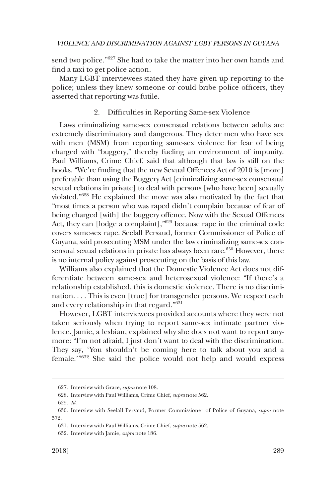send two police."627 She had to take the matter into her own hands and find a taxi to get police action.

Many LGBT interviewees stated they have given up reporting to the police; unless they knew someone or could bribe police officers, they asserted that reporting was futile.

### 2. Difficulties in Reporting Same-sex Violence

Laws criminalizing same-sex consensual relations between adults are extremely discriminatory and dangerous. They deter men who have sex with men (MSM) from reporting same-sex violence for fear of being charged with "buggery," thereby fueling an environment of impunity. Paul Williams, Crime Chief, said that although that law is still on the books, "We're finding that the new Sexual Offences Act of 2010 is [more] preferable than using the Buggery Act [criminalizing same-sex consensual sexual relations in private] to deal with persons [who have been] sexually violated."628 He explained the move was also motivated by the fact that "most times a person who was raped didn't complain because of fear of being charged [with] the buggery offence. Now with the Sexual Offences Act, they can [lodge a complaint],"629 because rape in the criminal code covers same-sex rape. Seelall Persaud, former Commissioner of Police of Guyana, said prosecuting MSM under the law criminalizing same-sex consensual sexual relations in private has always been rare.<sup>630</sup> However, there is no internal policy against prosecuting on the basis of this law.

Williams also explained that the Domestic Violence Act does not differentiate between same-sex and heterosexual violence: "If there's a relationship established, this is domestic violence. There is no discrimination. . . . This is even [true] for transgender persons. We respect each and every relationship in that regard."631

However, LGBT interviewees provided accounts where they were not taken seriously when trying to report same-sex intimate partner violence. Jamie, a lesbian, explained why she does not want to report anymore: "I'm not afraid, I just don't want to deal with the discrimination. They say, 'You shouldn't be coming here to talk about you and a female.'"632 She said the police would not help and would express

<sup>627.</sup> Interview with Grace, *supra* note 108.

<sup>628.</sup> Interview with Paul Williams, Crime Chief, *supra* note 562.

<sup>629.</sup> *Id*.

<sup>630.</sup> Interview with Seelall Persaud, Former Commissioner of Police of Guyana, *supra* note 572.

<sup>631.</sup> Interview with Paul Williams, Crime Chief, *supra* note 562.

<sup>632.</sup> Interview with Jamie, *supra* note 186.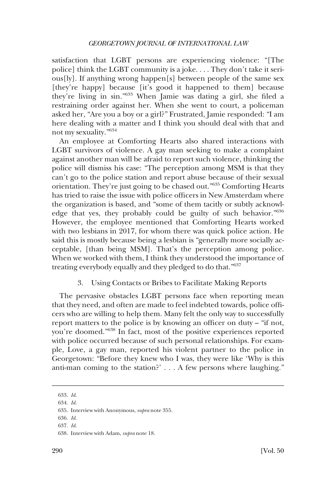satisfaction that LGBT persons are experiencing violence: "[The police] think the LGBT community is a joke. . . . They don't take it serious[ly]. If anything wrong happen[s] between people of the same sex [they're happy] because [it's good it happened to them] because they're living in sin."633 When Jamie was dating a girl, she filed a restraining order against her. When she went to court, a policeman asked her, "Are you a boy or a girl?" Frustrated, Jamie responded: "I am here dealing with a matter and I think you should deal with that and not my sexuality."<sup>634</sup>

An employee at Comforting Hearts also shared interactions with LGBT survivors of violence. A gay man seeking to make a complaint against another man will be afraid to report such violence, thinking the police will dismiss his case: "The perception among MSM is that they can't go to the police station and report abuse because of their sexual orientation. They're just going to be chased out."635 Comforting Hearts has tried to raise the issue with police officers in New Amsterdam where the organization is based, and "some of them tacitly or subtly acknowledge that yes, they probably could be guilty of such behavior."636 However, the employee mentioned that Comforting Hearts worked with two lesbians in 2017, for whom there was quick police action. He said this is mostly because being a lesbian is "generally more socially acceptable, [than being MSM]. That's the perception among police. When we worked with them, I think they understood the importance of treating everybody equally and they pledged to do that."637

## 3. Using Contacts or Bribes to Facilitate Making Reports

The pervasive obstacles LGBT persons face when reporting mean that they need, and often are made to feel indebted towards, police officers who are willing to help them. Many felt the only way to successfully report matters to the police is by knowing an officer on duty – "if not, you're doomed."638 In fact, most of the positive experiences reported with police occurred because of such personal relationships. For example, Love, a gay man, reported his violent partner to the police in Georgetown: "Before they knew who I was, they were like 'Why is this anti-man coming to the station?' . . . A few persons where laughing."

<sup>633.</sup> *Id*.

<sup>634.</sup> *Id*.

<sup>635.</sup> Interview with Anonymous, *supra* note 355.

<sup>636.</sup> *Id*.

<sup>637.</sup> *Id*.

<sup>638.</sup> Interview with Adam, *supra* note 18.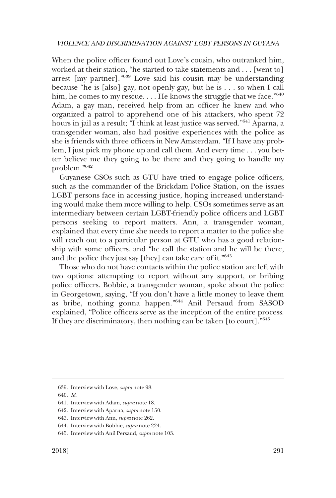When the police officer found out Love's cousin, who outranked him, worked at their station, "he started to take statements and . . . [went to] arrest [my partner]."639 Love said his cousin may be understanding because "he is [also] gay, not openly gay, but he is . . . so when I call him, he comes to my rescue.... He knows the struggle that we face."<sup>640</sup> Adam, a gay man, received help from an officer he knew and who organized a patrol to apprehend one of his attackers, who spent 72 hours in jail as a result; "I think at least justice was served."<sup>641</sup> Aparna, a transgender woman, also had positive experiences with the police as she is friends with three officers in New Amsterdam. "If I have any problem, I just pick my phone up and call them. And every time . . . you better believe me they going to be there and they going to handle my problem."642

Guyanese CSOs such as GTU have tried to engage police officers, such as the commander of the Brickdam Police Station, on the issues LGBT persons face in accessing justice, hoping increased understanding would make them more willing to help. CSOs sometimes serve as an intermediary between certain LGBT-friendly police officers and LGBT persons seeking to report matters. Ann, a transgender woman, explained that every time she needs to report a matter to the police she will reach out to a particular person at GTU who has a good relationship with some officers, and "he call the station and he will be there, and the police they just say [they] can take care of it."<sup>643</sup>

Those who do not have contacts within the police station are left with two options: attempting to report without any support, or bribing police officers. Bobbie, a transgender woman, spoke about the police in Georgetown, saying, "If you don't have a little money to leave them as bribe, nothing gonna happen."644 Anil Persaud from SASOD explained, "Police officers serve as the inception of the entire process. If they are discriminatory, then nothing can be taken [to court]."<sup>645</sup>

<sup>639.</sup> Interview with Love, *supra* note 98.

<sup>640.</sup> *Id*.

<sup>641.</sup> Interview with Adam, *supra* note 18.

<sup>642.</sup> Interview with Aparna, *supra* note 150.

<sup>643.</sup> Interview with Ann, *supra* note 262.

<sup>644.</sup> Interview with Bobbie, *supra* note 224.

<sup>645.</sup> Interview with Anil Persaud, *supra* note 103.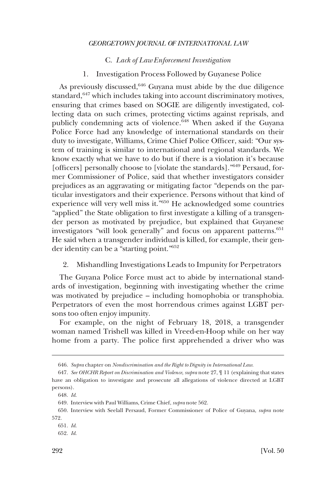#### C. *Lack of Law Enforcement Investigation*

### 1. Investigation Process Followed by Guyanese Police

As previously discussed,  $646$  Guyana must abide by the due diligence standard,<sup>647</sup> which includes taking into account discriminatory motives, ensuring that crimes based on SOGIE are diligently investigated, collecting data on such crimes, protecting victims against reprisals, and publicly condemning acts of violence.<sup>648</sup> When asked if the Guyana Police Force had any knowledge of international standards on their duty to investigate, Williams, Crime Chief Police Officer, said: "Our system of training is similar to international and regional standards. We know exactly what we have to do but if there is a violation it's because [officers] personally choose to [violate the standards]."649 Persaud, former Commissioner of Police, said that whether investigators consider prejudices as an aggravating or mitigating factor "depends on the particular investigators and their experience. Persons without that kind of experience will very well miss it."650 He acknowledged some countries "applied" the State obligation to first investigate a killing of a transgender person as motivated by prejudice, but explained that Guyanese investigators "will look generally" and focus on apparent patterns.<sup>651</sup> He said when a transgender individual is killed, for example, their gender identity can be a "starting point."652

### 2. Mishandling Investigations Leads to Impunity for Perpetrators

The Guyana Police Force must act to abide by international standards of investigation, beginning with investigating whether the crime was motivated by prejudice – including homophobia or transphobia. Perpetrators of even the most horrendous crimes against LGBT persons too often enjoy impunity.

For example, on the night of February 18, 2018, a transgender woman named Trishell was killed in Vreed-en-Hoop while on her way home from a party. The police first apprehended a driver who was

<sup>646.</sup> *Supra* chapter on *Nondiscrimination and the Right to Dignity in International Law*.

<sup>647.</sup> *See OHCHR Report on Discrimination and Violence*, *supra* note 27, ¶ 11 (explaining that states have an obligation to investigate and prosecute all allegations of violence directed at LGBT persons).

<sup>648.</sup> *Id*.

<sup>649.</sup> Interview with Paul Williams, Crime Chief, *supra* note 562.

<sup>650.</sup> Interview with Seelall Persaud, Former Commissioner of Police of Guyana, *supra* note 572.

<sup>651.</sup> *Id*.

<sup>652.</sup> *Id*.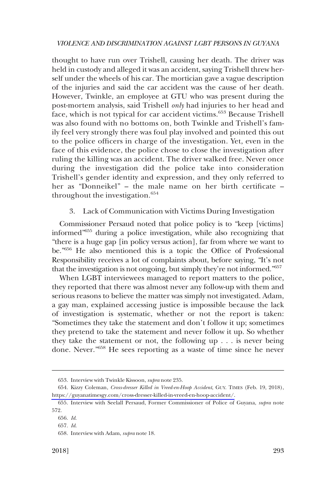thought to have run over Trishell, causing her death. The driver was held in custody and alleged it was an accident, saying Trishell threw herself under the wheels of his car. The mortician gave a vague description of the injuries and said the car accident was the cause of her death. However, Twinkle, an employee at GTU who was present during the post-mortem analysis, said Trishell *only* had injuries to her head and face, which is not typical for car accident victims.<sup>653</sup> Because Trishell was also found with no bottoms on, both Twinkle and Trishell's family feel very strongly there was foul play involved and pointed this out to the police officers in charge of the investigation. Yet, even in the face of this evidence, the police chose to close the investigation after ruling the killing was an accident. The driver walked free. Never once during the investigation did the police take into consideration Trishell's gender identity and expression, and they only referred to her as "Donneikel" – the male name on her birth certificate – throughout the investigation.<sup>654</sup>

## 3. Lack of Communication with Victims During Investigation

Commissioner Persaud noted that police policy is to "keep [victims] informed"655 during a police investigation, while also recognizing that "there is a huge gap [in policy versus action], far from where we want to be."656 He also mentioned this is a topic the Office of Professional Responsibility receives a lot of complaints about, before saying, "It's not that the investigation is not ongoing, but simply they're not informed."657

When LGBT interviewees managed to report matters to the police, they reported that there was almost never any follow-up with them and serious reasons to believe the matter was simply not investigated. Adam, a gay man, explained accessing justice is impossible because the lack of investigation is systematic, whether or not the report is taken: "Sometimes they take the statement and don't follow it up; sometimes they pretend to take the statement and never follow it up. So whether they take the statement or not, the following up . . . is never being done. Never."658 He sees reporting as a waste of time since he never

<sup>653.</sup> Interview with Twinkle Kissoon, *supra* note 235.

<sup>654.</sup> Kizzy Coleman, *Cross-dresser Killed in Vreed-en-Hoop Accident*, GUY. TIMES (Feb. 19, 2018), [https://guyanatimesgy.com/cross-dresser-killed-in-vreed-en-hoop-accident/.](https://guyanatimesgy.com/cross-dresser-killed-in-vreed-en-hoop-accident/)

<sup>655.</sup> Interview with Seelall Persaud, Former Commissioner of Police of Guyana, *supra* note 572.

<sup>656.</sup> *Id*.

<sup>657.</sup> *Id*.

<sup>658.</sup> Interview with Adam, *supra* note 18.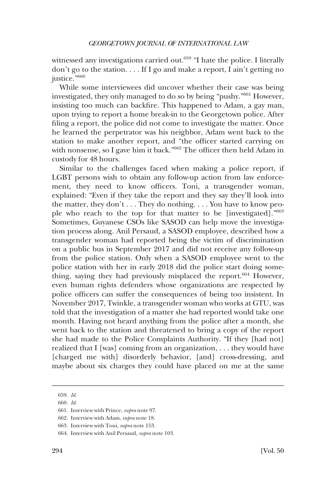witnessed any investigations carried out.<sup>659</sup> "I hate the police. I literally don't go to the station. . . . If I go and make a report, I ain't getting no justice."660

While some interviewees did uncover whether their case was being investigated, they only managed to do so by being "pushy."661 However, insisting too much can backfire. This happened to Adam, a gay man, upon trying to report a home break-in to the Georgetown police. After filing a report, the police did not come to investigate the matter. Once he learned the perpetrator was his neighbor, Adam went back to the station to make another report, and "the officer started carrying on with nonsense, so I gave him it back.<sup>"662</sup> The officer then held Adam in custody for 48 hours.

Similar to the challenges faced when making a police report, if LGBT persons wish to obtain any follow-up action from law enforcement, they need to know officers. Toni, a transgender woman, explained: "Even if they take the report and they say they'll look into the matter, they don't  $\dots$  They do nothing.  $\dots$  You have to know people who reach to the top for that matter to be [investigated]."<sup>663</sup> Sometimes, Guyanese CSOs like SASOD can help move the investigation process along. Anil Persaud, a SASOD employee, described how a transgender woman had reported being the victim of discrimination on a public bus in September 2017 and did not receive any follow-up from the police station. Only when a SASOD employee went to the police station with her in early 2018 did the police start doing something, saying they had previously misplaced the report.<sup>664</sup> However, even human rights defenders whose organizations are respected by police officers can suffer the consequences of being too insistent. In November 2017, Twinkle, a transgender woman who works at GTU, was told that the investigation of a matter she had reported would take one month. Having not heard anything from the police after a month, she went back to the station and threatened to bring a copy of the report she had made to the Police Complaints Authority. "If they [had not] realized that I [was] coming from an organization, . . . they would have [charged me with] disorderly behavior, [and] cross-dressing, and maybe about six charges they could have placed on me at the same

<sup>659.</sup> *Id*.

<sup>660.</sup> *Id*.

<sup>661.</sup> Interview with Prince, *supra* note 97.

<sup>662.</sup> Interview with Adam, *supra* note 18.

<sup>663.</sup> Interview with Toni, *supra* note 153.

<sup>664.</sup> Interview with Anil Persaud, *supra* note 103.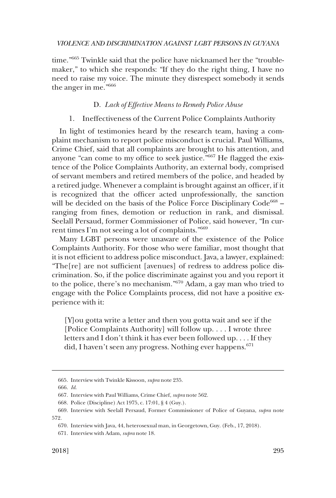time."665 Twinkle said that the police have nicknamed her the "troublemaker," to which she responds: "If they do the right thing, I have no need to raise my voice. The minute they disrespect somebody it sends the anger in me."666

### D. *Lack of Effective Means to Remedy Police Abuse*

### 1. Ineffectiveness of the Current Police Complaints Authority

In light of testimonies heard by the research team, having a complaint mechanism to report police misconduct is crucial. Paul Williams, Crime Chief, said that all complaints are brought to his attention, and anyone "can come to my office to seek justice."667 He flagged the existence of the Police Complaints Authority, an external body, comprised of servant members and retired members of the police, and headed by a retired judge. Whenever a complaint is brought against an officer, if it is recognized that the officer acted unprofessionally, the sanction will be decided on the basis of the Police Force Disciplinary  $Code^{668}$  – ranging from fines, demotion or reduction in rank, and dismissal. Seelall Persaud, former Commissioner of Police, said however, "In current times I'm not seeing a lot of complaints."669

Many LGBT persons were unaware of the existence of the Police Complaints Authority. For those who were familiar, most thought that it is not efficient to address police misconduct. Java, a lawyer, explained: "The[re] are not sufficient [avenues] of redress to address police discrimination. So, if the police discriminate against you and you report it to the police, there's no mechanism."670 Adam, a gay man who tried to engage with the Police Complaints process, did not have a positive experience with it:

[Y]ou gotta write a letter and then you gotta wait and see if the [Police Complaints Authority] will follow up. . . . I wrote three letters and I don't think it has ever been followed up. . . . If they did, I haven't seen any progress. Nothing ever happens.<sup>671</sup>

<sup>665.</sup> Interview with Twinkle Kissoon, *supra* note 235.

<sup>666.</sup> *Id*.

<sup>667.</sup> Interview with Paul Williams, Crime Chief, *supra* note 562.

<sup>668.</sup> Police (Discipline) Act 1975, c. 17:01, § 4 (Guy.).

<sup>669.</sup> Interview with Seelall Persaud, Former Commissioner of Police of Guyana, *supra* note 572.

<sup>670.</sup> Interview with Java, 44, heterosexual man, in Georgetown, Guy. (Feb., 17, 2018).

<sup>671.</sup> Interview with Adam, *supra* note 18.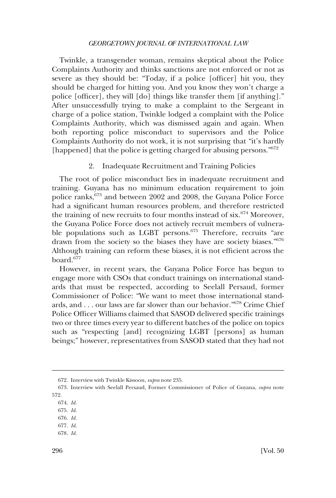Twinkle, a transgender woman, remains skeptical about the Police Complaints Authority and thinks sanctions are not enforced or not as severe as they should be: "Today, if a police [officer] hit you, they should be charged for hitting you. And you know they won't charge a police [officer], they will [do] things like transfer them [if anything]." After unsuccessfully trying to make a complaint to the Sergeant in charge of a police station, Twinkle lodged a complaint with the Police Complaints Authority, which was dismissed again and again. When both reporting police misconduct to supervisors and the Police Complaints Authority do not work, it is not surprising that "it's hardly [happened] that the police is getting charged for abusing persons."<sup>672</sup>

#### 2. Inadequate Recruitment and Training Policies

The root of police misconduct lies in inadequate recruitment and training. Guyana has no minimum education requirement to join police ranks,<sup>673</sup> and between 2002 and 2008, the Guyana Police Force had a significant human resources problem, and therefore restricted the training of new recruits to four months instead of  $s$ ix.<sup>674</sup> Moreover, the Guyana Police Force does not actively recruit members of vulnerable populations such as LGBT persons.<sup>675</sup> Therefore, recruits "are drawn from the society so the biases they have are society biases."<sup>676</sup> Although training can reform these biases, it is not efficient across the board.677

However, in recent years, the Guyana Police Force has begun to engage more with CSOs that conduct trainings on international standards that must be respected, according to Seelall Persaud, former Commissioner of Police: "We want to meet those international standards, and . . . our laws are far slower than our behavior."678 Crime Chief Police Officer Williams claimed that SASOD delivered specific trainings two or three times every year to different batches of the police on topics such as "respecting [and] recognizing LGBT [persons] as human beings;" however, representatives from SASOD stated that they had not

- 676. *Id*.
- 677. *Id*. 678. *Id*.

<sup>672.</sup> Interview with Twinkle Kissoon, *supra* note 235.

<sup>673.</sup> Interview with Seelall Persaud, Former Commissioner of Police of Guyana, *supra* note 572.

<sup>674.</sup> *Id*.

<sup>675.</sup> *Id*.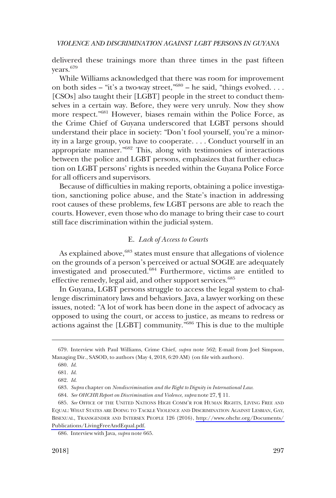delivered these trainings more than three times in the past fifteen years.679

While Williams acknowledged that there was room for improvement on both sides – "it's a two-way street,  $^{0.80}$  – he said, "things evolved... [CSOs] also taught their [LGBT] people in the street to conduct themselves in a certain way. Before, they were very unruly. Now they show more respect."681 However, biases remain within the Police Force, as the Crime Chief of Guyana underscored that LGBT persons should understand their place in society: "Don't fool yourself, you're a minority in a large group, you have to cooperate. . . . Conduct yourself in an appropriate manner."682 This, along with testimonies of interactions between the police and LGBT persons, emphasizes that further education on LGBT persons' rights is needed within the Guyana Police Force for all officers and supervisors.

Because of difficulties in making reports, obtaining a police investigation, sanctioning police abuse, and the State's inaction in addressing root causes of these problems, few LGBT persons are able to reach the courts. However, even those who do manage to bring their case to court still face discrimination within the judicial system.

### E. *Lack of Access to Courts*

As explained above,<sup>683</sup> states must ensure that allegations of violence on the grounds of a person's perceived or actual SOGIE are adequately investigated and prosecuted.684 Furthermore, victims are entitled to effective remedy, legal aid, and other support services.<sup>685</sup>

In Guyana, LGBT persons struggle to access the legal system to challenge discriminatory laws and behaviors. Java, a lawyer working on these issues, noted: "A lot of work has been done in the aspect of advocacy as opposed to using the court, or access to justice, as means to redress or actions against the [LGBT] community."686 This is due to the multiple

686. Interview with Java, *supra* note 665.

<sup>679.</sup> Interview with Paul Williams, Crime Chief, *supra* note 562; E-mail from Joel Simpson, Managing Dir., SASOD, to authors (May 4, 2018, 6:20 AM) (on file with authors).

<sup>680.</sup> *Id*.

<sup>681.</sup> *Id*.

<sup>682.</sup> *Id*.

<sup>683.</sup> *Supra* chapter on *Nondiscrimination and the Right to Dignity in International Law*.

<sup>684.</sup> *See OHCHR Report on Discrimination and Violence*, *supra* note 27, ¶ 11.

<sup>685.</sup> See OFFICE OF THE UNITED NATIONS HIGH COMM'R FOR HUMAN RIGHTS, LIVING FREE AND EQUAL: WHAT STATES ARE DOING TO TACKLE VIOLENCE AND DISCRIMINATION AGAINST LESBIAN, GAY, BISEXUAL, TRANSGENDER AND INTERSEX PEOPLE 126 (2016), [http://www.ohchr.org/Documents/](http://www.ohchr.org/Documents/Publications/LivingFreeAndEqual.pdf)  [Publications/LivingFreeAndEqual.pdf.](http://www.ohchr.org/Documents/Publications/LivingFreeAndEqual.pdf)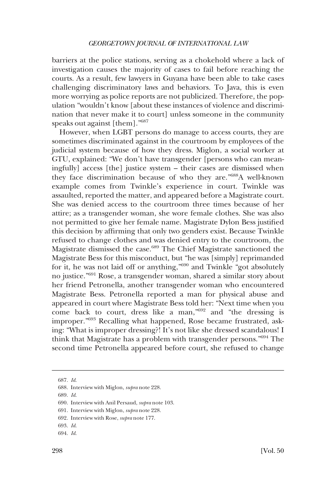barriers at the police stations, serving as a chokehold where a lack of investigation causes the majority of cases to fail before reaching the courts. As a result, few lawyers in Guyana have been able to take cases challenging discriminatory laws and behaviors. To Java, this is even more worrying as police reports are not publicized. Therefore, the population "wouldn't know [about these instances of violence and discrimination that never make it to court] unless someone in the community speaks out against [them]."687

However, when LGBT persons do manage to access courts, they are sometimes discriminated against in the courtroom by employees of the judicial system because of how they dress. Miglon, a social worker at GTU, explained: "We don't have transgender [persons who can meaningfully] access [the] justice system – their cases are dismissed when they face discrimination because of who they are."688A well-known example comes from Twinkle's experience in court. Twinkle was assaulted, reported the matter, and appeared before a Magistrate court. She was denied access to the courtroom three times because of her attire; as a transgender woman, she wore female clothes. She was also not permitted to give her female name. Magistrate Dylon Bess justified this decision by affirming that only two genders exist. Because Twinkle refused to change clothes and was denied entry to the courtroom, the Magistrate dismissed the case.689 The Chief Magistrate sanctioned the Magistrate Bess for this misconduct, but "he was [simply] reprimanded for it, he was not laid off or anything,"690 and Twinkle "got absolutely no justice."691 Rose, a transgender woman, shared a similar story about her friend Petronella, another transgender woman who encountered Magistrate Bess. Petronella reported a man for physical abuse and appeared in court where Magistrate Bess told her: "Next time when you come back to court, dress like a man,"692 and "the dressing is improper."693 Recalling what happened, Rose became frustrated, asking: "What is improper dressing?! It's not like she dressed scandalous! I think that Magistrate has a problem with transgender persons."694 The second time Petronella appeared before court, she refused to change

<sup>687.</sup> *Id*.

<sup>688.</sup> Interview with Miglon, *supra* note 228.

<sup>689.</sup> *Id*.

<sup>690.</sup> Interview with Anil Persaud, *supra* note 103.

<sup>691.</sup> Interview with Miglon, *supra* note 228.

<sup>692.</sup> Interview with Rose, *supra* note 177.

<sup>693.</sup> *Id*.

<sup>694.</sup> *Id*.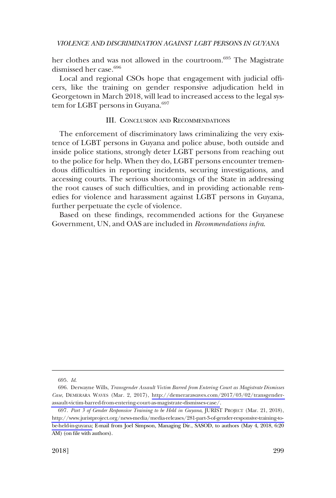her clothes and was not allowed in the courtroom.<sup>695</sup> The Magistrate dismissed her case.<sup>696</sup>

Local and regional CSOs hope that engagement with judicial officers, like the training on gender responsive adjudication held in Georgetown in March 2018, will lead to increased access to the legal system for LGBT persons in Guyana.<sup>697</sup>

### III. CONCLUSION AND RECOMMENDATIONS

The enforcement of discriminatory laws criminalizing the very existence of LGBT persons in Guyana and police abuse, both outside and inside police stations, strongly deter LGBT persons from reaching out to the police for help. When they do, LGBT persons encounter tremendous difficulties in reporting incidents, securing investigations, and accessing courts. The serious shortcomings of the State in addressing the root causes of such difficulties, and in providing actionable remedies for violence and harassment against LGBT persons in Guyana, further perpetuate the cycle of violence.

Based on these findings, recommended actions for the Guyanese Government, UN, and OAS are included in *Recommendations infra*.

<sup>695.</sup> *Id*.

<sup>696.</sup> Derwayne Wills, *Transgender Assault Victim Barred from Entering Court as Magistrate Dismisses Case*, DEMERARA WAVES (Mar. 2, 2017), [http://demerarawaves.com/2017/03/02/transgender](http://demerarawaves.com/2017/03/02/transgender-assault-victim-barred-from-entering-court-as-magistrate-dismisses-case/)[assault-victim-barred-from-entering-court-as-magistrate-dismisses-case/](http://demerarawaves.com/2017/03/02/transgender-assault-victim-barred-from-entering-court-as-magistrate-dismisses-case/).

*Part 3 of Gender Responsive Training to be Held in Guyana*, JURIST PROJECT (Mar. 21, 2018), 697. [http://www.juristproject.org/news-media/media-releases/281-part-3-of-gender-responsive-training-to](http://www.juristproject.org/news-media/media-releases/281-part-3-of-gender-responsive-training-to-be-held-in-guyana)[be-held-in-guyana;](http://www.juristproject.org/news-media/media-releases/281-part-3-of-gender-responsive-training-to-be-held-in-guyana) E-mail from Joel Simpson, Managing Dir., SASOD, to authors (May 4, 2018, 6:20 AM) (on file with authors).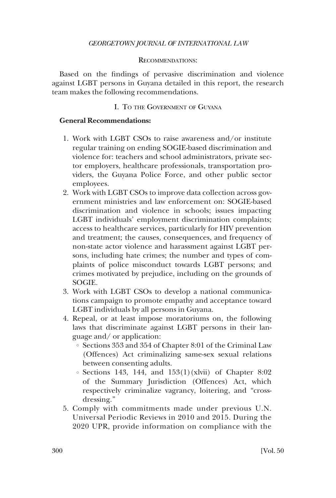### RECOMMENDATIONS:

Based on the findings of pervasive discrimination and violence against LGBT persons in Guyana detailed in this report, the research team makes the following recommendations.

### I. TO THE GOVERNMENT OF GUYANA

### **General Recommendations:**

- 1. Work with LGBT CSOs to raise awareness and/or institute regular training on ending SOGIE-based discrimination and violence for: teachers and school administrators, private sector employers, healthcare professionals, transportation providers, the Guyana Police Force, and other public sector employees.
- 2. Work with LGBT CSOs to improve data collection across government ministries and law enforcement on: SOGIE-based discrimination and violence in schools; issues impacting LGBT individuals' employment discrimination complaints; access to healthcare services, particularly for HIV prevention and treatment; the causes, consequences, and frequency of non-state actor violence and harassment against LGBT persons, including hate crimes; the number and types of complaints of police misconduct towards LGBT persons; and crimes motivated by prejudice, including on the grounds of SOGIE.
- 3. Work with LGBT CSOs to develop a national communications campaign to promote empathy and acceptance toward LGBT individuals by all persons in Guyana.
- 4. Repeal, or at least impose moratoriums on, the following laws that discriminate against LGBT persons in their language and/ or application:
	- $\circ~$  Sections 353 and 354 of Chapter 8:01 of the Criminal Law (Offences) Act criminalizing same-sex sexual relations between consenting adults.
	- Sections 143, 144, and 153(1)(xlvii) of Chapter 8:02 8 of the Summary Jurisdiction (Offences) Act, which respectively criminalize vagrancy, loitering, and "crossdressing."
- 5. Comply with commitments made under previous U.N. Universal Periodic Reviews in 2010 and 2015. During the 2020 UPR, provide information on compliance with the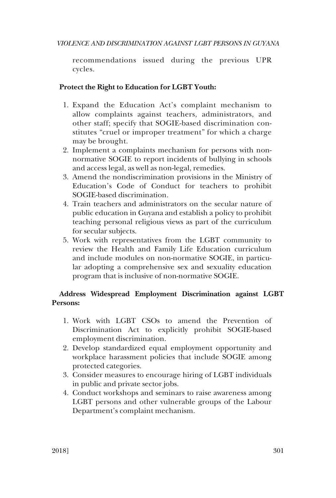recommendations issued during the previous UPR cycles.

# **Protect the Right to Education for LGBT Youth:**

- 1. Expand the Education Act's complaint mechanism to allow complaints against teachers, administrators, and other staff; specify that SOGIE-based discrimination constitutes "cruel or improper treatment" for which a charge may be brought.
- 2. Implement a complaints mechanism for persons with nonnormative SOGIE to report incidents of bullying in schools and access legal, as well as non-legal, remedies.
- 3. Amend the nondiscrimination provisions in the Ministry of Education's Code of Conduct for teachers to prohibit SOGIE-based discrimination.
- 4. Train teachers and administrators on the secular nature of public education in Guyana and establish a policy to prohibit teaching personal religious views as part of the curriculum for secular subjects.
- 5. Work with representatives from the LGBT community to review the Health and Family Life Education curriculum and include modules on non-normative SOGIE, in particular adopting a comprehensive sex and sexuality education program that is inclusive of non-normative SOGIE.

# **Address Widespread Employment Discrimination against LGBT Persons:**

- 1. Work with LGBT CSOs to amend the Prevention of Discrimination Act to explicitly prohibit SOGIE-based employment discrimination.
- 2. Develop standardized equal employment opportunity and workplace harassment policies that include SOGIE among protected categories.
- 3. Consider measures to encourage hiring of LGBT individuals in public and private sector jobs.
- 4. Conduct workshops and seminars to raise awareness among LGBT persons and other vulnerable groups of the Labour Department's complaint mechanism.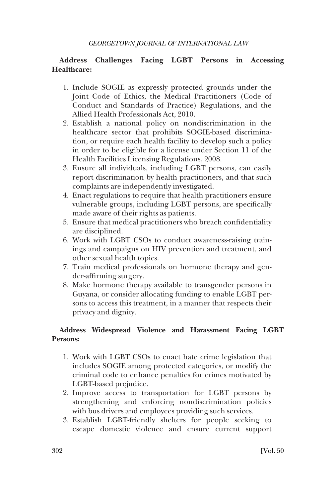# **Address Challenges Facing LGBT Persons in Accessing Healthcare:**

- 1. Include SOGIE as expressly protected grounds under the Joint Code of Ethics, the Medical Practitioners (Code of Conduct and Standards of Practice) Regulations, and the Allied Health Professionals Act, 2010.
- 2. Establish a national policy on nondiscrimination in the healthcare sector that prohibits SOGIE-based discrimination, or require each health facility to develop such a policy in order to be eligible for a license under Section 11 of the Health Facilities Licensing Regulations, 2008.
- 3. Ensure all individuals, including LGBT persons, can easily report discrimination by health practitioners, and that such complaints are independently investigated.
- 4. Enact regulations to require that health practitioners ensure vulnerable groups, including LGBT persons, are specifically made aware of their rights as patients.
- 5. Ensure that medical practitioners who breach confidentiality are disciplined.
- 6. Work with LGBT CSOs to conduct awareness-raising trainings and campaigns on HIV prevention and treatment, and other sexual health topics.
- 7. Train medical professionals on hormone therapy and gender-affirming surgery.
- 8. Make hormone therapy available to transgender persons in Guyana, or consider allocating funding to enable LGBT persons to access this treatment, in a manner that respects their privacy and dignity.

# **Address Widespread Violence and Harassment Facing LGBT Persons:**

- 1. Work with LGBT CSOs to enact hate crime legislation that includes SOGIE among protected categories, or modify the criminal code to enhance penalties for crimes motivated by LGBT-based prejudice.
- 2. Improve access to transportation for LGBT persons by strengthening and enforcing nondiscrimination policies with bus drivers and employees providing such services.
- 3. Establish LGBT-friendly shelters for people seeking to escape domestic violence and ensure current support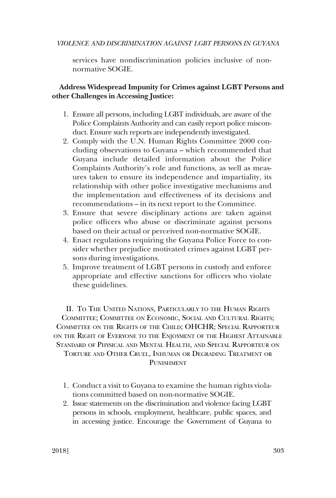services have nondiscrimination policies inclusive of nonnormative SOGIE.

## **Address Widespread Impunity for Crimes against LGBT Persons and other Challenges in Accessing Justice:**

- 1. Ensure all persons, including LGBT individuals, are aware of the Police Complaints Authority and can easily report police misconduct. Ensure such reports are independently investigated.
- 2. Comply with the U.N. Human Rights Committee 2000 concluding observations to Guyana – which recommended that Guyana include detailed information about the Police Complaints Authority's role and functions, as well as measures taken to ensure its independence and impartiality, its relationship with other police investigative mechanisms and the implementation and effectiveness of its decisions and recommendations – in its next report to the Committee.
- 3. Ensure that severe disciplinary actions are taken against police officers who abuse or discriminate against persons based on their actual or perceived non-normative SOGIE.
- 4. Enact regulations requiring the Guyana Police Force to consider whether prejudice motivated crimes against LGBT persons during investigations.
- 5. Improve treatment of LGBT persons in custody and enforce appropriate and effective sanctions for officers who violate these guidelines.

II. TO THE UNITED NATIONS, PARTICULARLY TO THE HUMAN RIGHTS COMMITTEE; COMMITTEE ON ECONOMIC, SOCIAL AND CULTURAL RIGHTS; COMMITTEE ON THE RIGHTS OF THE CHILD; OHCHR; SPECIAL RAPPORTEUR ON THE RIGHT OF EVERYONE TO THE ENJOYMENT OF THE HIGHEST ATTAINABLE STANDARD OF PHYSICAL AND MENTAL HEALTH, AND SPECIAL RAPPORTEUR ON TORTURE AND OTHER CRUEL, INHUMAN OR DEGRADING TREATMENT OR PUNISHMENT

- 1. Conduct a visit to Guyana to examine the human rights violations committed based on non-normative SOGIE.
- 2. Issue statements on the discrimination and violence facing LGBT persons in schools, employment, healthcare, public spaces, and in accessing justice. Encourage the Government of Guyana to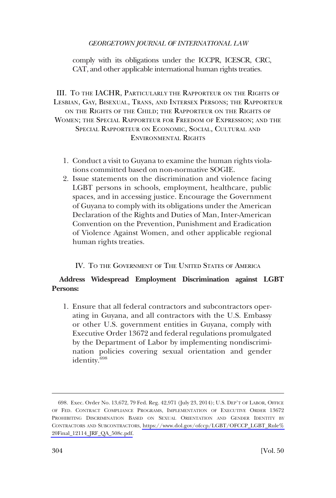comply with its obligations under the ICCPR, ICESCR, CRC, CAT, and other applicable international human rights treaties.

III. TO THE IACHR, PARTICULARLY THE RAPPORTEUR ON THE RIGHTS OF LESBIAN, GAY, BISEXUAL, TRANS, AND INTERSEX PERSONS; THE RAPPORTEUR ON THE RIGHTS OF THE CHILD; THE RAPPORTEUR ON THE RIGHTS OF WOMEN; THE SPECIAL RAPPORTEUR FOR FREEDOM OF EXPRESSION; AND THE SPECIAL RAPPORTEUR ON ECONOMIC, SOCIAL, CULTURAL AND ENVIRONMENTAL RIGHTS

- 1. Conduct a visit to Guyana to examine the human rights violations committed based on non-normative SOGIE.
- 2. Issue statements on the discrimination and violence facing LGBT persons in schools, employment, healthcare, public spaces, and in accessing justice. Encourage the Government of Guyana to comply with its obligations under the American Declaration of the Rights and Duties of Man, Inter-American Convention on the Prevention, Punishment and Eradication of Violence Against Women, and other applicable regional human rights treaties.

## IV. TO THE GOVERNMENT OF THE UNITED STATES OF AMERICA

# **Address Widespread Employment Discrimination against LGBT Persons:**

1. Ensure that all federal contractors and subcontractors operating in Guyana, and all contractors with the U.S. Embassy or other U.S. government entities in Guyana, comply with Executive Order 13672 and federal regulations promulgated by the Department of Labor by implementing nondiscrimination policies covering sexual orientation and gender identity.<sup>698</sup>

<sup>698.</sup> Exec. Order No. 13,672, 79 Fed. Reg. 42,971 (July 23, 2014); U.S. DEP'T OF LABOR, OFFICE OF FED. CONTRACT COMPLIANCE PROGRAMS, IMPLEMENTATION OF EXECUTIVE ORDER 13672 PROHIBITING DISCRIMINATION BASED ON SEXUAL ORIENTATION AND GENDER IDENTITY BY CONTRACTORS AND SUBCONTRACTORS, [https://www.dol.gov/ofccp/LGBT/OFCCP\\_LGBT\\_Rule%](https://www.dol.gov/ofccp/LGBT/OFCCP_LGBT_Rule%20Final_12114_JRF_QA_508c.pdf)  [20Final\\_12114\\_JRF\\_QA\\_508c.pdf.](https://www.dol.gov/ofccp/LGBT/OFCCP_LGBT_Rule%20Final_12114_JRF_QA_508c.pdf)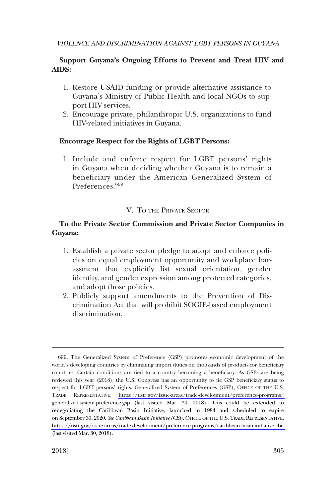# **Support Guyana's Ongoing Efforts to Prevent and Treat HIV and AIDS:**

- 1. Restore USAID funding or provide alternative assistance to Guyana's Ministry of Public Health and local NGOs to support HIV services.
- 2. Encourage private, philanthropic U.S. organizations to fund HIV-related initiatives in Guyana.

# **Encourage Respect for the Rights of LGBT Persons:**

1. Include and enforce respect for LGBT persons' rights in Guyana when deciding whether Guyana is to remain a beneficiary under the American Generalized System of Preferences.<sup>699</sup>

## V. TO THE PRIVATE SECTOR

## **To the Private Sector Commission and Private Sector Companies in Guyana:**

- 1. Establish a private sector pledge to adopt and enforce policies on equal employment opportunity and workplace harassment that explicitly list sexual orientation, gender identity, and gender expression among protected categories, and adopt those policies.
- 2. Publicly support amendments to the Prevention of Discrimination Act that will prohibit SOGIE-based employment discrimination.

<sup>699.</sup> The Generalized System of Preference (GSP) promotes economic development of the world's developing countries by eliminating import duties on thousands of products for beneficiary countries. Certain conditions are tied to a country becoming a beneficiary. As GSPs are being reviewed this year (2018), the U.S. Congress has an opportunity to tie GSP beneficiary status to respect for LGBT persons' rights. Generalized System of Preferences (GSP), OFFICE OF THE U.S. TRADE REPRESENTATIVE, [https://ustr.gov/issue-areas/trade-development/preference-programs/](https://ustr.gov/issue-areas/trade-development/preference-programs/generalized-system-preference-gsp)  [generalized-system-preference-gsp](https://ustr.gov/issue-areas/trade-development/preference-programs/generalized-system-preference-gsp) (last visited Mar. 30, 2018). This could be extended to renegotiating the Caribbean Basin Initiative, launched in 1984 and scheduled to expire on September 30, 2020. *See Caribbean Basin Initiative (CBI)*, OFFICE OF THE U.S. TRADE REPRESENTATIVE, <https://ustr.gov/issue-areas/trade-development/preference-programs/caribbean-basin-initiative-cbi> (last visited Mar. 30, 2018).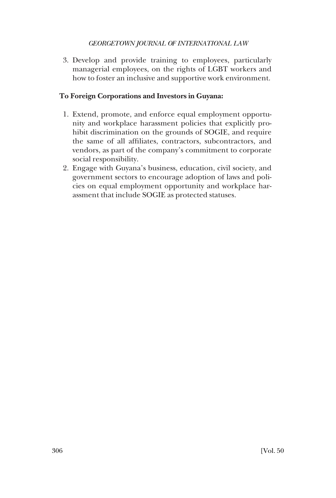3. Develop and provide training to employees, particularly managerial employees, on the rights of LGBT workers and how to foster an inclusive and supportive work environment.

## **To Foreign Corporations and Investors in Guyana:**

- 1. Extend, promote, and enforce equal employment opportunity and workplace harassment policies that explicitly prohibit discrimination on the grounds of SOGIE, and require the same of all affiliates, contractors, subcontractors, and vendors, as part of the company's commitment to corporate social responsibility.
- 2. Engage with Guyana's business, education, civil society, and government sectors to encourage adoption of laws and policies on equal employment opportunity and workplace harassment that include SOGIE as protected statuses.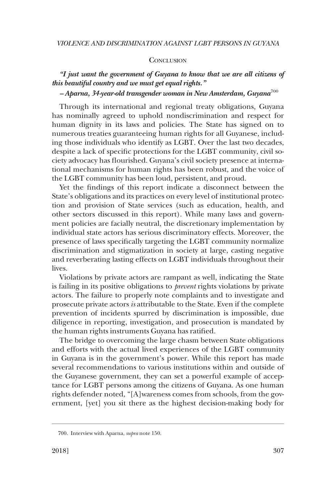#### **CONCLUSION**

## *"I just want the government of Guyana to know that we are all citizens of this beautiful country and we must get equal rights."*

## *– Aparna, 34-year-old transgender woman in New Amsterdam, Guyana*<sup>700</sup>

Through its international and regional treaty obligations, Guyana has nominally agreed to uphold nondiscrimination and respect for human dignity in its laws and policies. The State has signed on to numerous treaties guaranteeing human rights for all Guyanese, including those individuals who identify as LGBT. Over the last two decades, despite a lack of specific protections for the LGBT community, civil society advocacy has flourished. Guyana's civil society presence at international mechanisms for human rights has been robust, and the voice of the LGBT community has been loud, persistent, and proud.

Yet the findings of this report indicate a disconnect between the State's obligations and its practices on every level of institutional protection and provision of State services (such as education, health, and other sectors discussed in this report). While many laws and government policies are facially neutral, the discretionary implementation by individual state actors has serious discriminatory effects. Moreover, the presence of laws specifically targeting the LGBT community normalize discrimination and stigmatization in society at large, casting negative and reverberating lasting effects on LGBT individuals throughout their lives.

Violations by private actors are rampant as well, indicating the State is failing in its positive obligations to *prevent* rights violations by private actors. The failure to properly note complaints and to investigate and prosecute private actors *is* attributable to the State. Even if the complete prevention of incidents spurred by discrimination is impossible, due diligence in reporting, investigation, and prosecution is mandated by the human rights instruments Guyana has ratified.

The bridge to overcoming the large chasm between State obligations and efforts with the actual lived experiences of the LGBT community in Guyana is in the government's power. While this report has made several recommendations to various institutions within and outside of the Guyanese government, they can set a powerful example of acceptance for LGBT persons among the citizens of Guyana. As one human rights defender noted, "[A]wareness comes from schools, from the government, [yet] you sit there as the highest decision-making body for

<sup>700.</sup> Interview with Aparna, *supra* note 150.